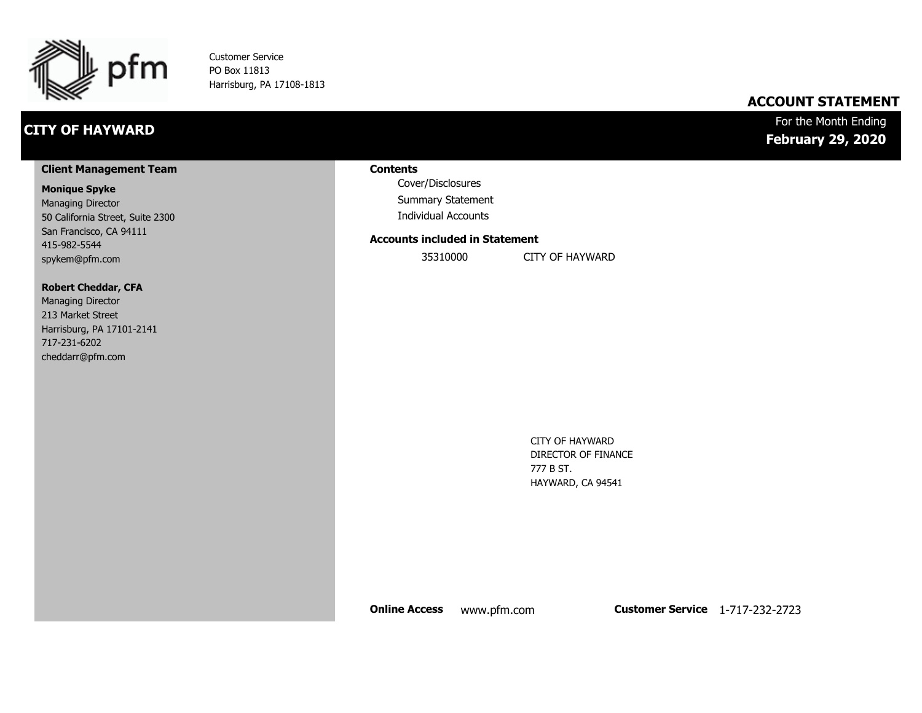

Customer Service PO Box 11813 Harrisburg, PA 17108-1813

# **CITY OF HAYWARD**

# **ACCOUNT STATEMENT**

For the Month Ending **February 29, 2020**

#### **Client Management Team**

#### **Monique Spyke**

Managing Director 50 California Street, Suite 2300 San Francisco, CA 94111 415-982-5544 spykem@pfm.com

#### **Robert Cheddar, CFA**

| <b>Managing Director</b>  |
|---------------------------|
| 213 Market Street         |
| Harrisburg, PA 17101-2141 |
| 717-231-6202              |
| cheddarr@pfm.com          |

#### **Contents**

Cover/Disclosures Summary Statement Individual Accounts

#### **Accounts included in Statement**

35310000 CITY OF HAYWARD

CITY OF HAYWARD DIRECTOR OF FINANCE 777 B ST. HAYWARD, CA 94541

**Online Access** www.pfm.com **Customer Service** 1-717-232-2723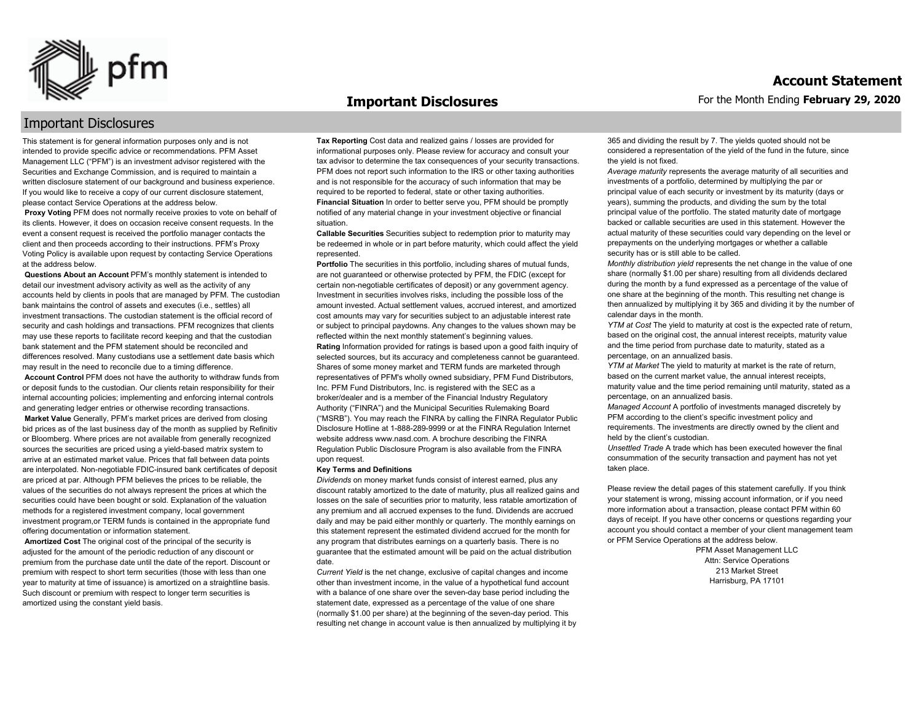

#### **Important Disclosures**

# Important Disclosures

This statement is for general information purposes only and is not intended to provide specific advice or recommendations. PFM Asset Management LLC ("PFM") is an investment advisor registered with the Securities and Exchange Commission, and is required to maintain a written disclosure statement of our background and business experience. If you would like to receive a copy of our current disclosure statement, please contact Service Operations at the address below.

**Proxy Voting** PFM does not normally receive proxies to vote on behalf of its clients. However, it does on occasion receive consent requests. In the event a consent request is received the portfolio manager contacts the client and then proceeds according to their instructions. PFM's Proxy Voting Policy is available upon request by contacting Service Operations at the address below.

**Questions About an Account** PFM's monthly statement is intended to detail our investment advisory activity as well as the activity of any accounts held by clients in pools that are managed by PFM. The custodian bank maintains the control of assets and executes (i.e., settles) all investment transactions. The custodian statement is the official record of security and cash holdings and transactions. PFM recognizes that clients may use these reports to facilitate record keeping and that the custodian bank statement and the PFM statement should be reconciled and differences resolved. Many custodians use a settlement date basis which may result in the need to reconcile due to a timing difference.

**Account Control** PFM does not have the authority to withdraw funds from or deposit funds to the custodian. Our clients retain responsibility for their internal accounting policies; implementing and enforcing internal controls and generating ledger entries or otherwise recording transactions.

**Market Value** Generally, PFM's market prices are derived from closing bid prices as of the last business day of the month as supplied by Refinitiv or Bloomberg. Where prices are not available from generally recognized sources the securities are priced using a yield-based matrix system to arrive at an estimated market value. Prices that fall between data points are interpolated. Non-negotiable FDIC-insured bank certificates of deposit are priced at par. Although PFM believes the prices to be reliable, the values of the securities do not always represent the prices at which the securities could have been bought or sold. Explanation of the valuation methods for a registered investment company, local government investment program,or TERM funds is contained in the appropriate fund offering documentation or information statement.

**Amortized Cost** The original cost of the principal of the security is adjusted for the amount of the periodic reduction of any discount or premium from the purchase date until the date of the report. Discount or premium with respect to short term securities (those with less than one year to maturity at time of issuance) is amortized on a straightline basis. Such discount or premium with respect to longer term securities is amortized using the constant yield basis.

**Tax Reporting** Cost data and realized gains / losses are provided for informational purposes only. Please review for accuracy and consult your tax advisor to determine the tax consequences of your security transactions. PFM does not report such information to the IRS or other taxing authorities and is not responsible for the accuracy of such information that may be required to be reported to federal, state or other taxing authorities. **Financial Situation** In order to better serve you, PFM should be promptly notified of any material change in your investment objective or financial situation.

**Callable Securities** Securities subject to redemption prior to maturity may be redeemed in whole or in part before maturity, which could affect the yield represented.

Portfolio The securities in this portfolio, including shares of mutual funds, are not guaranteed or otherwise protected by PFM, the FDIC (except for certain non-negotiable certificates of deposit) or any government agency. Investment in securities involves risks, including the possible loss of the amount invested. Actual settlement values, accrued interest, and amortized cost amounts may vary for securities subject to an adjustable interest rate or subject to principal paydowns. Any changes to the values shown may be reflected within the next monthly statement's beginning values. **Rating** Information provided for ratings is based upon a good faith inquiry of selected sources, but its accuracy and completeness cannot be guaranteed. Shares of some money market and TERM funds are marketed through representatives of PFM's wholly owned subsidiary, PFM Fund Distributors, Inc. PFM Fund Distributors, Inc. is registered with the SEC as a broker/dealer and is a member of the Financial Industry Regulatory Authority ("FINRA") and the Municipal Securities Rulemaking Board ("MSRB"). You may reach the FINRA by calling the FINRA Regulator Public Disclosure Hotline at 1-888-289-9999 or at the FINRA Regulation Internet website address www.nasd.com. A brochure describing the FINRA Regulation Public Disclosure Program is also available from the FINRA upon request.

#### **Key Terms and Definitions**

*Dividends* on money market funds consist of interest earned, plus any discount ratably amortized to the date of maturity, plus all realized gains and losses on the sale of securities prior to maturity, less ratable amortization of any premium and all accrued expenses to the fund. Dividends are accrued daily and may be paid either monthly or quarterly. The monthly earnings on this statement represent the estimated dividend accrued for the month for any program that distributes earnings on a quarterly basis. There is no guarantee that the estimated amount will be paid on the actual distribution date.

*Current Yield* is the net change, exclusive of capital changes and income other than investment income, in the value of a hypothetical fund account with a balance of one share over the seven-day base period including the statement date, expressed as a percentage of the value of one share (normally \$1.00 per share) at the beginning of the seven-day period. This resulting net change in account value is then annualized by multiplying it by 365 and dividing the result by 7. The yields quoted should not be considered a representation of the yield of the fund in the future, since the yield is not fixed.

*Average maturity* represents the average maturity of all securities and investments of a portfolio, determined by multiplying the par or principal value of each security or investment by its maturity (days or years), summing the products, and dividing the sum by the total principal value of the portfolio. The stated maturity date of mortgage backed or callable securities are used in this statement. However the actual maturity of these securities could vary depending on the level or prepayments on the underlying mortgages or whether a callable security has or is still able to be called.

*Monthly distribution yield* represents the net change in the value of one share (normally \$1.00 per share) resulting from all dividends declared during the month by a fund expressed as a percentage of the value of one share at the beginning of the month. This resulting net change is then annualized by multiplying it by 365 and dividing it by the number of calendar days in the month.

*YTM at Cost* The yield to maturity at cost is the expected rate of return, based on the original cost, the annual interest receipts, maturity value and the time period from purchase date to maturity, stated as a percentage, on an annualized basis.

*YTM at Market* The yield to maturity at market is the rate of return, based on the current market value, the annual interest receipts, maturity value and the time period remaining until maturity, stated as a percentage, on an annualized basis.

*Managed Account* A portfolio of investments managed discretely by PFM according to the client's specific investment policy and requirements. The investments are directly owned by the client and held by the client's custodian.

*Unsettled Trade* A trade which has been executed however the final consummation of the security transaction and payment has not yet taken place.

Please review the detail pages of this statement carefully. If you think your statement is wrong, missing account information, or if you need more information about a transaction, please contact PFM within 60 days of receipt. If you have other concerns or questions regarding your account you should contact a member of your client management team or PFM Service Operations at the address below.

> PFM Asset Management LLC Attn: Service Operations 213 Market Street Harrisburg, PA 17101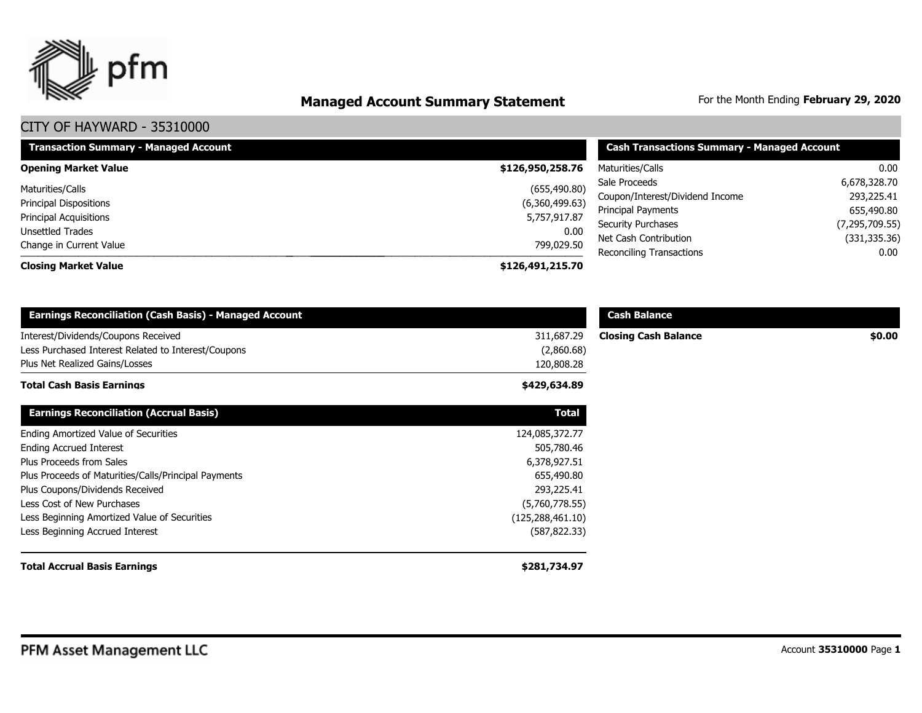

# **Managed Account Summary Statement** For the Month Ending February 29, 2020

| <b>Transaction Summary - Managed Account</b> | <b>Cash Transactions Summary - Managed Account</b> |                                 |                  |
|----------------------------------------------|----------------------------------------------------|---------------------------------|------------------|
| <b>Opening Market Value</b>                  | \$126,950,258.76                                   | Maturities/Calls                | 0.00             |
| Maturities/Calls                             | (655, 490.80)                                      | Sale Proceeds                   | 6,678,328.70     |
| Principal Dispositions                       | (6,360,499.63)                                     | Coupon/Interest/Dividend Income | 293,225.41       |
|                                              |                                                    | Principal Payments              | 655,490.80       |
| Principal Acquisitions                       | 5,757,917.87                                       | <b>Security Purchases</b>       | (7, 295, 709.55) |
| Unsettled Trades                             | 0.00                                               | Net Cash Contribution           | (331, 335.36)    |
| Change in Current Value                      | 799,029.50                                         | <b>Reconciling Transactions</b> | 0.00             |
| <b>Closing Market Value</b>                  | \$126,491,215.70                                   |                                 |                  |

| <b>Earnings Reconciliation (Cash Basis) - Managed Account</b>                                                                |                                        | <b>Cash Balance</b>         |        |
|------------------------------------------------------------------------------------------------------------------------------|----------------------------------------|-----------------------------|--------|
| Interest/Dividends/Coupons Received<br>Less Purchased Interest Related to Interest/Coupons<br>Plus Net Realized Gains/Losses | 311,687.29<br>(2,860.68)<br>120,808.28 | <b>Closing Cash Balance</b> | \$0.00 |
| <b>Total Cash Basis Earnings</b>                                                                                             | \$429,634.89                           |                             |        |
| <b>Earnings Reconciliation (Accrual Basis)</b>                                                                               | <b>Total</b>                           |                             |        |
| Ending Amortized Value of Securities                                                                                         | 124,085,372.77                         |                             |        |
| <b>Ending Accrued Interest</b>                                                                                               | 505,780.46                             |                             |        |
| Plus Proceeds from Sales                                                                                                     | 6,378,927.51                           |                             |        |
| Plus Proceeds of Maturities/Calls/Principal Payments                                                                         | 655,490.80                             |                             |        |
| Plus Coupons/Dividends Received                                                                                              | 293,225.41                             |                             |        |
| Less Cost of New Purchases                                                                                                   | (5,760,778.55)                         |                             |        |
| Less Beginning Amortized Value of Securities                                                                                 | (125, 288, 461.10)                     |                             |        |
| Less Beginning Accrued Interest                                                                                              | (587, 822.33)                          |                             |        |
| <b>Total Accrual Basis Earnings</b>                                                                                          | \$281,734.97                           |                             |        |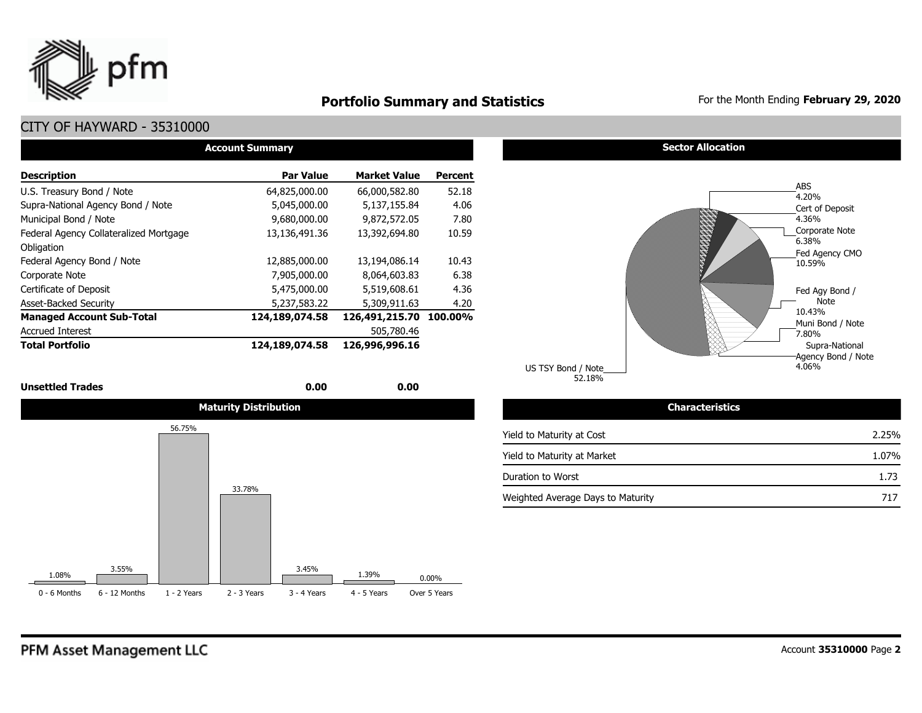

# **Portfolio Summary and Statistics** For the Month Ending **February 29, 2020**

# CITY OF HAYWARD - 35310000

| <b>Account Summary</b>                 |                  |                        |         |  |  |  |  |  |  |  |  |
|----------------------------------------|------------------|------------------------|---------|--|--|--|--|--|--|--|--|
| <b>Description</b>                     | <b>Par Value</b> | <b>Market Value</b>    | Percent |  |  |  |  |  |  |  |  |
| U.S. Treasury Bond / Note              | 64,825,000.00    | 66,000,582,80          | 52.18   |  |  |  |  |  |  |  |  |
| Supra-National Agency Bond / Note      | 5,045,000.00     | 5,137,155.84           | 4.06    |  |  |  |  |  |  |  |  |
| Municipal Bond / Note                  | 9,680,000.00     | 9,872,572.05           | 7.80    |  |  |  |  |  |  |  |  |
| Federal Agency Collateralized Mortgage | 13,136,491.36    | 13,392,694.80          | 10.59   |  |  |  |  |  |  |  |  |
| Obligation                             |                  |                        |         |  |  |  |  |  |  |  |  |
| Federal Agency Bond / Note             | 12,885,000.00    | 13,194,086.14          | 10.43   |  |  |  |  |  |  |  |  |
| Corporate Note                         | 7,905,000.00     | 8,064,603.83           | 6.38    |  |  |  |  |  |  |  |  |
| Certificate of Deposit                 | 5,475,000.00     | 5,519,608.61           | 4.36    |  |  |  |  |  |  |  |  |
| <b>Asset-Backed Security</b>           | 5,237,583.22     | 5,309,911.63           | 4.20    |  |  |  |  |  |  |  |  |
| <b>Managed Account Sub-Total</b>       | 124,189,074.58   | 126,491,215.70 100.00% |         |  |  |  |  |  |  |  |  |
| <b>Accrued Interest</b>                |                  | 505,780.46             |         |  |  |  |  |  |  |  |  |
| <b>Total Portfolio</b>                 | 124,189,074.58   | 126,996,996.16         |         |  |  |  |  |  |  |  |  |

#### **Unsettled Trades 0.00 0.00**



#### **Sector Allocation**



52.18% US TSY Bond / Note

#### Yield to Maturity at Cost Yield to Maturity at Market Duration to Worst Weighted Average Days to Maturity 1.73 717 2.25% 1.07%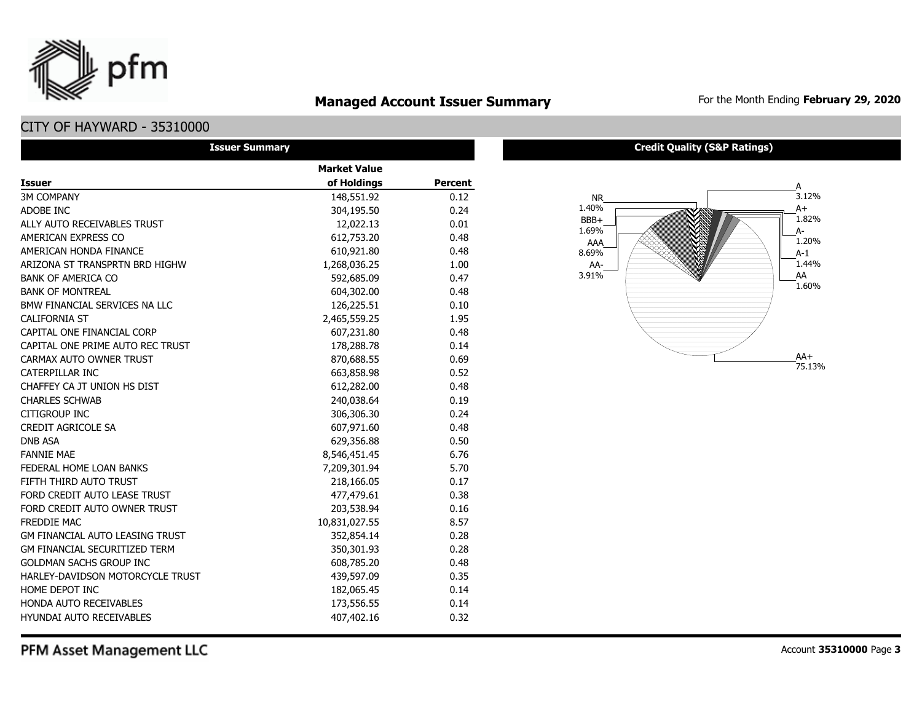

# **Managed Account Issuer Summary** For the Month Ending February 29, 2020

# CITY OF HAYWARD - 35310000

| <b>Issuer Summary</b>                  |                     |         |
|----------------------------------------|---------------------|---------|
|                                        | <b>Market Value</b> |         |
| <b>Issuer</b>                          | of Holdings         | Percent |
| <b>3M COMPANY</b>                      | 148,551.92          | 0.12    |
| ADOBE INC                              | 304,195.50          | 0.24    |
| ALLY AUTO RECEIVABLES TRUST            | 12,022.13           | 0.01    |
| AMERICAN EXPRESS CO                    | 612,753.20          | 0.48    |
| AMERICAN HONDA FINANCE                 | 610,921.80          | 0.48    |
| ARIZONA ST TRANSPRTN BRD HIGHW         | 1,268,036.25        | 1.00    |
| <b>BANK OF AMERICA CO</b>              | 592,685.09          | 0.47    |
| <b>BANK OF MONTREAL</b>                | 604,302.00          | 0.48    |
| BMW FINANCIAL SERVICES NA LLC          | 126,225.51          | 0.10    |
| <b>CALIFORNIA ST</b>                   | 2,465,559.25        | 1.95    |
| CAPITAL ONE FINANCIAL CORP             | 607,231.80          | 0.48    |
| CAPITAL ONE PRIME AUTO REC TRUST       | 178,288.78          | 0.14    |
| CARMAX AUTO OWNER TRUST                | 870,688.55          | 0.69    |
| CATERPILLAR INC                        | 663,858.98          | 0.52    |
| CHAFFEY CA JT UNION HS DIST            | 612,282.00          | 0.48    |
| <b>CHARLES SCHWAB</b>                  | 240,038.64          | 0.19    |
| <b>CITIGROUP INC</b>                   | 306,306.30          | 0.24    |
| <b>CREDIT AGRICOLE SA</b>              | 607,971.60          | 0.48    |
| <b>DNB ASA</b>                         | 629,356.88          | 0.50    |
| <b>FANNIE MAE</b>                      | 8,546,451.45        | 6.76    |
| FEDERAL HOME LOAN BANKS                | 7,209,301.94        | 5.70    |
| FIFTH THIRD AUTO TRUST                 | 218,166.05          | 0.17    |
| FORD CREDIT AUTO LEASE TRUST           | 477,479.61          | 0.38    |
| FORD CREDIT AUTO OWNER TRUST           | 203,538.94          | 0.16    |
| <b>FREDDIE MAC</b>                     | 10,831,027.55       | 8.57    |
| <b>GM FINANCIAL AUTO LEASING TRUST</b> | 352,854.14          | 0.28    |
| GM FINANCIAL SECURITIZED TERM          | 350,301.93          | 0.28    |
| <b>GOLDMAN SACHS GROUP INC</b>         | 608,785.20          | 0.48    |
| HARLEY-DAVIDSON MOTORCYCLE TRUST       | 439,597.09          | 0.35    |
| HOME DEPOT INC                         | 182,065.45          | 0.14    |
| HONDA AUTO RECEIVABLES                 | 173,556.55          | 0.14    |
| <b>HYUNDAI AUTO RECEIVABLES</b>        | 407,402.16          | 0.32    |

#### **Credit Quality (S&P Ratings)**



PFM Asset Management LLC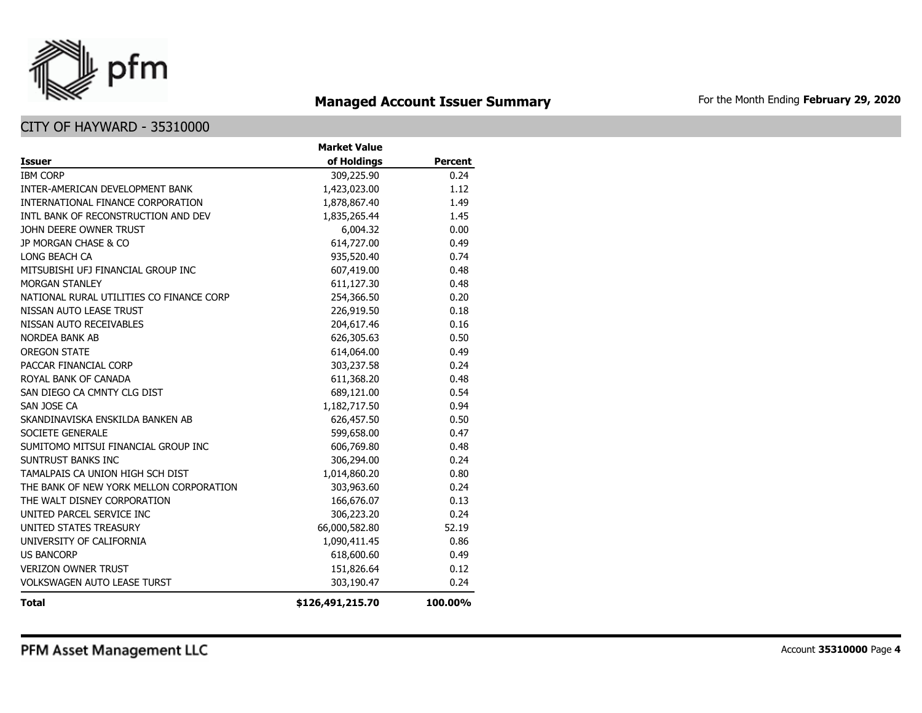

# **Managed Account Issuer Summary** For the Month Ending February 29, 2020

|                                          | <b>Market Value</b> |                |
|------------------------------------------|---------------------|----------------|
| <b>Issuer</b>                            | of Holdings         | <b>Percent</b> |
| <b>IBM CORP</b>                          | 309,225.90          | 0.24           |
| INTER-AMERICAN DEVELOPMENT BANK          | 1,423,023.00        | 1.12           |
| INTERNATIONAL FINANCE CORPORATION        | 1,878,867.40        | 1.49           |
| INTL BANK OF RECONSTRUCTION AND DEV      | 1,835,265.44        | 1.45           |
| JOHN DEERE OWNER TRUST                   | 6,004.32            | 0.00           |
| JP MORGAN CHASE & CO                     | 614,727.00          | 0.49           |
| LONG BEACH CA                            | 935,520.40          | 0.74           |
| MITSUBISHI UFJ FINANCIAL GROUP INC       | 607,419.00          | 0.48           |
| <b>MORGAN STANLEY</b>                    | 611,127.30          | 0.48           |
| NATIONAL RURAL UTILITIES CO FINANCE CORP | 254,366.50          | 0.20           |
| NISSAN AUTO LEASE TRUST                  | 226,919.50          | 0.18           |
| NISSAN AUTO RECEIVABLES                  | 204,617.46          | 0.16           |
| <b>NORDEA BANK AB</b>                    | 626,305.63          | 0.50           |
| <b>OREGON STATE</b>                      | 614,064.00          | 0.49           |
| PACCAR FINANCIAL CORP                    | 303,237.58          | 0.24           |
| ROYAL BANK OF CANADA                     | 611,368.20          | 0.48           |
| SAN DIEGO CA CMNTY CLG DIST              | 689,121.00          | 0.54           |
| SAN JOSE CA                              | 1,182,717.50        | 0.94           |
| SKANDINAVISKA ENSKILDA BANKEN AB         | 626,457.50          | 0.50           |
| <b>SOCIETE GENERALE</b>                  | 599,658.00          | 0.47           |
| SUMITOMO MITSUI FINANCIAL GROUP INC      | 606,769.80          | 0.48           |
| SUNTRUST BANKS INC                       | 306,294.00          | 0.24           |
| TAMALPAIS CA UNION HIGH SCH DIST         | 1,014,860.20        | 0.80           |
| THE BANK OF NEW YORK MELLON CORPORATION  | 303,963.60          | 0.24           |
| THE WALT DISNEY CORPORATION              | 166,676.07          | 0.13           |
| UNITED PARCEL SERVICE INC                | 306,223.20          | 0.24           |
| UNITED STATES TREASURY                   | 66,000,582.80       | 52.19          |
| UNIVERSITY OF CALIFORNIA                 | 1,090,411.45        | 0.86           |
| <b>US BANCORP</b>                        | 618,600.60          | 0.49           |
| <b>VERIZON OWNER TRUST</b>               | 151,826.64          | 0.12           |
| <b>VOLKSWAGEN AUTO LEASE TURST</b>       | 303,190.47          | 0.24           |
| <b>Total</b>                             | \$126,491,215.70    | 100.00%        |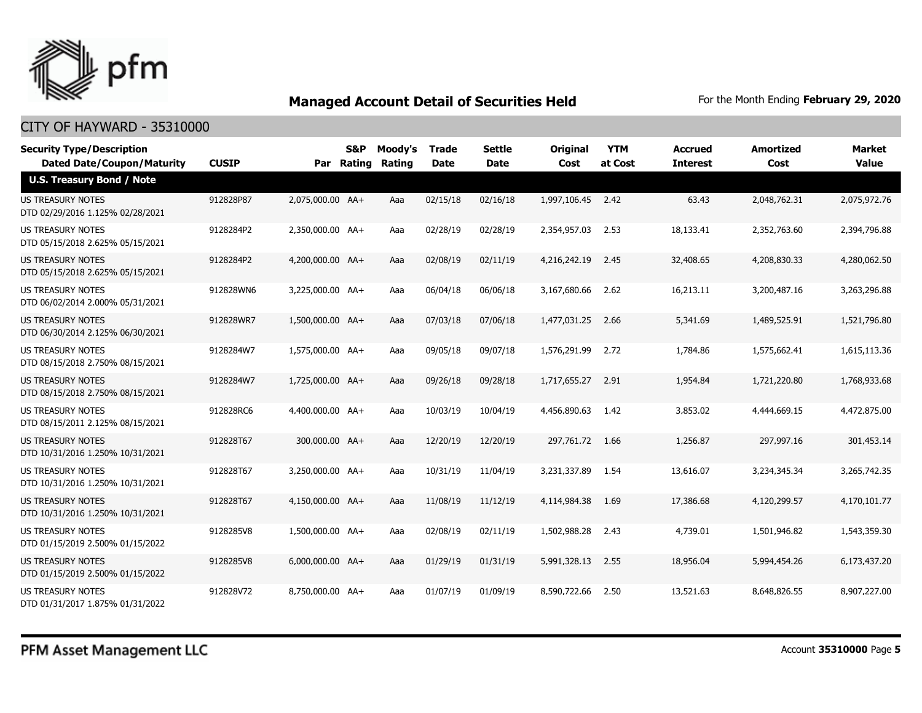

| <b>Security Type/Description</b>                             |              |                  | <b>S&amp;P</b> | Moody's | <b>Trade</b> | <b>Settle</b> | <b>Original</b> | <b>YTM</b> | Accrued         | <b>Amortized</b> | <b>Market</b> |
|--------------------------------------------------------------|--------------|------------------|----------------|---------|--------------|---------------|-----------------|------------|-----------------|------------------|---------------|
| <b>Dated Date/Coupon/Maturity</b>                            | <b>CUSIP</b> | Par              | Rating         | Rating  | Date         | <b>Date</b>   | Cost            | at Cost    | <b>Interest</b> | Cost             | <b>Value</b>  |
| <b>U.S. Treasury Bond / Note</b>                             |              |                  |                |         |              |               |                 |            |                 |                  |               |
| <b>US TREASURY NOTES</b><br>DTD 02/29/2016 1.125% 02/28/2021 | 912828P87    | 2,075,000.00 AA+ |                | Aaa     | 02/15/18     | 02/16/18      | 1,997,106.45    | 2.42       | 63.43           | 2,048,762.31     | 2,075,972.76  |
| US TREASURY NOTES<br>DTD 05/15/2018 2.625% 05/15/2021        | 9128284P2    | 2,350,000.00 AA+ |                | Aaa     | 02/28/19     | 02/28/19      | 2,354,957.03    | 2.53       | 18,133.41       | 2,352,763.60     | 2,394,796.88  |
| <b>US TREASURY NOTES</b><br>DTD 05/15/2018 2.625% 05/15/2021 | 9128284P2    | 4,200,000.00 AA+ |                | Aaa     | 02/08/19     | 02/11/19      | 4,216,242.19    | 2.45       | 32,408.65       | 4,208,830.33     | 4,280,062.50  |
| <b>US TREASURY NOTES</b><br>DTD 06/02/2014 2.000% 05/31/2021 | 912828WN6    | 3,225,000.00 AA+ |                | Aaa     | 06/04/18     | 06/06/18      | 3,167,680,66    | 2.62       | 16,213.11       | 3,200,487.16     | 3,263,296.88  |
| <b>US TREASURY NOTES</b><br>DTD 06/30/2014 2.125% 06/30/2021 | 912828WR7    | 1,500,000.00 AA+ |                | Aaa     | 07/03/18     | 07/06/18      | 1,477,031.25    | 2.66       | 5,341.69        | 1,489,525.91     | 1,521,796.80  |
| <b>US TREASURY NOTES</b><br>DTD 08/15/2018 2.750% 08/15/2021 | 9128284W7    | 1,575,000.00 AA+ |                | Aaa     | 09/05/18     | 09/07/18      | 1,576,291.99    | 2.72       | 1,784.86        | 1,575,662.41     | 1,615,113.36  |
| <b>US TREASURY NOTES</b><br>DTD 08/15/2018 2.750% 08/15/2021 | 9128284W7    | 1,725,000.00 AA+ |                | Aaa     | 09/26/18     | 09/28/18      | 1,717,655.27    | 2.91       | 1,954.84        | 1,721,220.80     | 1,768,933,68  |
| <b>US TREASURY NOTES</b><br>DTD 08/15/2011 2.125% 08/15/2021 | 912828RC6    | 4,400,000.00 AA+ |                | Aaa     | 10/03/19     | 10/04/19      | 4,456,890.63    | 1.42       | 3,853.02        | 4,444,669.15     | 4,472,875.00  |
| US TREASURY NOTES<br>DTD 10/31/2016 1.250% 10/31/2021        | 912828T67    | 300,000.00 AA+   |                | Aaa     | 12/20/19     | 12/20/19      | 297,761,72      | 1.66       | 1,256.87        | 297,997.16       | 301,453.14    |
| <b>US TREASURY NOTES</b><br>DTD 10/31/2016 1.250% 10/31/2021 | 912828T67    | 3,250,000.00 AA+ |                | Aaa     | 10/31/19     | 11/04/19      | 3,231,337.89    | 1.54       | 13,616.07       | 3,234,345.34     | 3,265,742.35  |
| <b>US TREASURY NOTES</b><br>DTD 10/31/2016 1.250% 10/31/2021 | 912828T67    | 4,150,000.00 AA+ |                | Aaa     | 11/08/19     | 11/12/19      | 4,114,984.38    | 1.69       | 17,386.68       | 4,120,299.57     | 4,170,101.77  |
| US TREASURY NOTES<br>DTD 01/15/2019 2.500% 01/15/2022        | 9128285V8    | 1,500,000.00 AA+ |                | Aaa     | 02/08/19     | 02/11/19      | 1,502,988.28    | 2.43       | 4,739.01        | 1,501,946.82     | 1,543,359.30  |
| <b>US TREASURY NOTES</b><br>DTD 01/15/2019 2.500% 01/15/2022 | 9128285V8    | 6,000,000.00 AA+ |                | Aaa     | 01/29/19     | 01/31/19      | 5,991,328.13    | 2.55       | 18,956.04       | 5,994,454.26     | 6,173,437.20  |
| <b>US TREASURY NOTES</b><br>DTD 01/31/2017 1.875% 01/31/2022 | 912828V72    | 8,750,000.00 AA+ |                | Aaa     | 01/07/19     | 01/09/19      | 8,590,722,66    | 2.50       | 13,521.63       | 8,648,826.55     | 8,907,227,00  |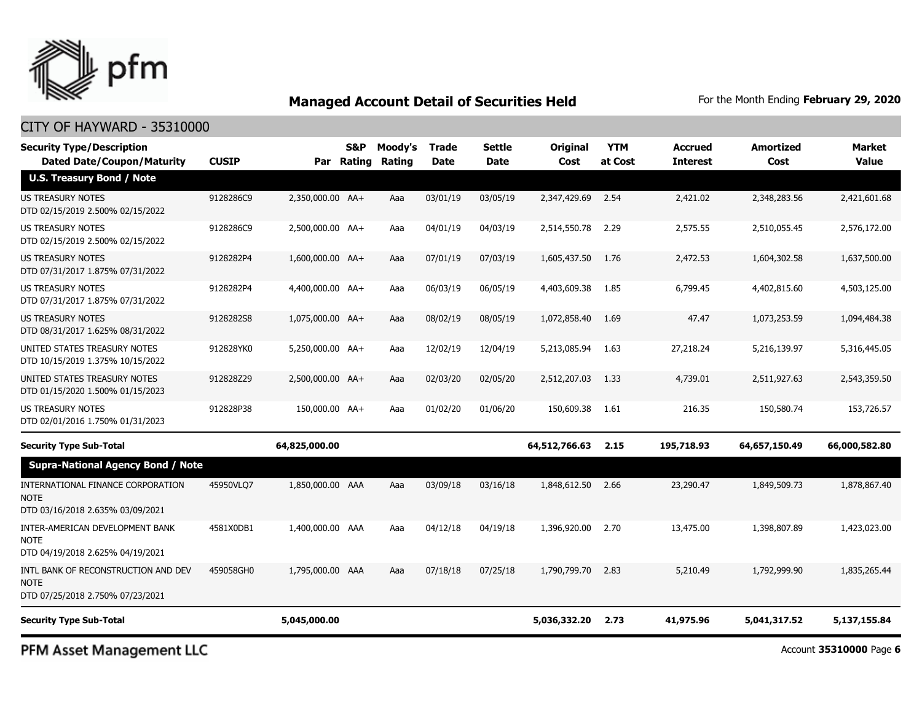

### CITY OF HAYWARD - 35310000

| <b>Security Type/Description</b><br><b>Dated Date/Coupon/Maturity</b>                  | <b>CUSIP</b> |                  | <b>S&amp;P</b><br>Par Rating | Moody's<br>Rating | Trade<br><b>Date</b> | Settle<br><b>Date</b> | <b>Original</b><br>Cost | <b>YTM</b><br>at Cost | <b>Accrued</b><br><b>Interest</b> | <b>Amortized</b><br>Cost | Market<br>Value |
|----------------------------------------------------------------------------------------|--------------|------------------|------------------------------|-------------------|----------------------|-----------------------|-------------------------|-----------------------|-----------------------------------|--------------------------|-----------------|
| <b>U.S. Treasury Bond / Note</b>                                                       |              |                  |                              |                   |                      |                       |                         |                       |                                   |                          |                 |
| <b>US TREASURY NOTES</b><br>DTD 02/15/2019 2.500% 02/15/2022                           | 9128286C9    | 2,350,000.00 AA+ |                              | Aaa               | 03/01/19             | 03/05/19              | 2,347,429.69            | 2.54                  | 2,421.02                          | 2,348,283.56             | 2,421,601.68    |
| US TREASURY NOTES<br>DTD 02/15/2019 2.500% 02/15/2022                                  | 9128286C9    | 2,500,000.00 AA+ |                              | Aaa               | 04/01/19             | 04/03/19              | 2,514,550.78            | 2.29                  | 2,575.55                          | 2,510,055.45             | 2,576,172.00    |
| <b>US TREASURY NOTES</b><br>DTD 07/31/2017 1.875% 07/31/2022                           | 9128282P4    | 1,600,000.00 AA+ |                              | Aaa               | 07/01/19             | 07/03/19              | 1,605,437.50            | 1.76                  | 2,472.53                          | 1,604,302.58             | 1,637,500.00    |
| <b>US TREASURY NOTES</b><br>DTD 07/31/2017 1.875% 07/31/2022                           | 9128282P4    | 4,400,000.00 AA+ |                              | Aaa               | 06/03/19             | 06/05/19              | 4,403,609.38            | 1.85                  | 6,799.45                          | 4,402,815.60             | 4,503,125.00    |
| <b>US TREASURY NOTES</b><br>DTD 08/31/2017 1.625% 08/31/2022                           | 9128282S8    | 1,075,000.00 AA+ |                              | Aaa               | 08/02/19             | 08/05/19              | 1,072,858.40            | 1.69                  | 47.47                             | 1,073,253.59             | 1,094,484.38    |
| UNITED STATES TREASURY NOTES<br>DTD 10/15/2019 1.375% 10/15/2022                       | 912828YK0    | 5,250,000.00 AA+ |                              | Aaa               | 12/02/19             | 12/04/19              | 5,213,085.94            | 1.63                  | 27,218.24                         | 5,216,139.97             | 5,316,445.05    |
| UNITED STATES TREASURY NOTES<br>DTD 01/15/2020 1.500% 01/15/2023                       | 912828Z29    | 2,500,000.00 AA+ |                              | Aaa               | 02/03/20             | 02/05/20              | 2,512,207.03            | 1.33                  | 4,739.01                          | 2,511,927.63             | 2,543,359.50    |
| <b>US TREASURY NOTES</b><br>DTD 02/01/2016 1.750% 01/31/2023                           | 912828P38    | 150,000.00 AA+   |                              | Aaa               | 01/02/20             | 01/06/20              | 150,609.38              | 1.61                  | 216.35                            | 150,580.74               | 153,726.57      |
| <b>Security Type Sub-Total</b>                                                         |              | 64,825,000.00    |                              |                   |                      |                       | 64,512,766.63           | 2.15                  | 195,718.93                        | 64,657,150.49            | 66,000,582.80   |
| <b>Supra-National Agency Bond / Note</b>                                               |              |                  |                              |                   |                      |                       |                         |                       |                                   |                          |                 |
| INTERNATIONAL FINANCE CORPORATION<br><b>NOTE</b><br>DTD 03/16/2018 2.635% 03/09/2021   | 45950VLO7    | 1,850,000.00 AAA |                              | Aaa               | 03/09/18             | 03/16/18              | 1,848,612.50            | 2.66                  | 23,290.47                         | 1,849,509.73             | 1,878,867.40    |
| INTER-AMERICAN DEVELOPMENT BANK<br><b>NOTE</b><br>DTD 04/19/2018 2.625% 04/19/2021     | 4581X0DB1    | 1,400,000.00 AAA |                              | Aaa               | 04/12/18             | 04/19/18              | 1,396,920.00            | 2.70                  | 13,475.00                         | 1,398,807.89             | 1,423,023,00    |
| INTL BANK OF RECONSTRUCTION AND DEV<br><b>NOTE</b><br>DTD 07/25/2018 2.750% 07/23/2021 | 459058GH0    | 1,795,000.00 AAA |                              | Aaa               | 07/18/18             | 07/25/18              | 1,790,799.70            | 2.83                  | 5,210.49                          | 1,792,999.90             | 1,835,265.44    |
| <b>Security Type Sub-Total</b>                                                         |              | 5,045,000.00     |                              |                   |                      |                       | 5,036,332.20            | 2.73                  | 41,975.96                         | 5,041,317.52             | 5,137,155.84    |

PFM Asset Management LLC

Account **35310000** Page **6**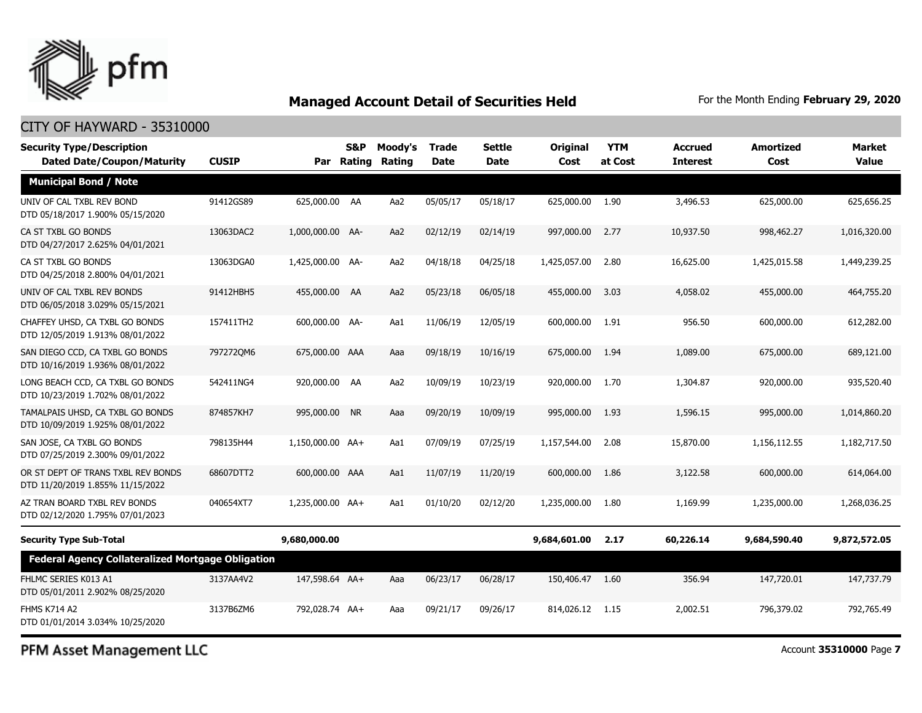

### CITY OF HAYWARD - 35310000

| <b>Security Type/Description</b><br><b>Dated Date/Coupon/Maturity</b>  | <b>CUSIP</b> |                  | <b>S&amp;P</b><br>Par Rating | Moody's<br>Rating | <b>Trade</b><br><b>Date</b> | <b>Settle</b><br>Date | Original<br>Cost | <b>YTM</b><br>at Cost | <b>Accrued</b><br><b>Interest</b> | <b>Amortized</b><br>Cost | Market<br><b>Value</b> |
|------------------------------------------------------------------------|--------------|------------------|------------------------------|-------------------|-----------------------------|-----------------------|------------------|-----------------------|-----------------------------------|--------------------------|------------------------|
| <b>Municipal Bond / Note</b>                                           |              |                  |                              |                   |                             |                       |                  |                       |                                   |                          |                        |
| UNIV OF CAL TXBL REV BOND<br>DTD 05/18/2017 1.900% 05/15/2020          | 91412GS89    | 625,000.00 AA    |                              | Aa2               | 05/05/17                    | 05/18/17              | 625,000.00       | 1.90                  | 3,496.53                          | 625,000.00               | 625,656.25             |
| CA ST TXBL GO BONDS<br>DTD 04/27/2017 2.625% 04/01/2021                | 13063DAC2    | 1,000,000.00 AA- |                              | Aa2               | 02/12/19                    | 02/14/19              | 997,000.00       | 2.77                  | 10,937.50                         | 998,462.27               | 1,016,320.00           |
| CA ST TXBL GO BONDS<br>DTD 04/25/2018 2.800% 04/01/2021                | 13063DGA0    | 1,425,000.00 AA- |                              | Aa2               | 04/18/18                    | 04/25/18              | 1,425,057,00     | 2.80                  | 16,625.00                         | 1,425,015.58             | 1,449,239.25           |
| UNIV OF CAL TXBL REV BONDS<br>DTD 06/05/2018 3.029% 05/15/2021         | 91412HBH5    | 455,000.00 AA    |                              | Aa2               | 05/23/18                    | 06/05/18              | 455,000.00       | 3.03                  | 4,058.02                          | 455,000.00               | 464,755.20             |
| CHAFFEY UHSD, CA TXBL GO BONDS<br>DTD 12/05/2019 1.913% 08/01/2022     | 157411TH2    | 600,000.00 AA-   |                              | Aa1               | 11/06/19                    | 12/05/19              | 600,000.00       | 1.91                  | 956.50                            | 600,000.00               | 612,282.00             |
| SAN DIEGO CCD, CA TXBL GO BONDS<br>DTD 10/16/2019 1.936% 08/01/2022    | 7972720M6    | 675,000.00 AAA   |                              | Aaa               | 09/18/19                    | 10/16/19              | 675,000.00       | 1.94                  | 1,089.00                          | 675,000.00               | 689,121.00             |
| LONG BEACH CCD, CA TXBL GO BONDS<br>DTD 10/23/2019 1.702% 08/01/2022   | 542411NG4    | 920,000.00 AA    |                              | Aa2               | 10/09/19                    | 10/23/19              | 920,000.00       | 1.70                  | 1,304.87                          | 920,000.00               | 935,520.40             |
| TAMALPAIS UHSD, CA TXBL GO BONDS<br>DTD 10/09/2019 1.925% 08/01/2022   | 874857KH7    | 995,000.00 NR    |                              | Aaa               | 09/20/19                    | 10/09/19              | 995,000.00       | 1.93                  | 1,596.15                          | 995,000.00               | 1,014,860.20           |
| SAN JOSE, CA TXBL GO BONDS<br>DTD 07/25/2019 2.300% 09/01/2022         | 798135H44    | 1,150,000.00 AA+ |                              | Aa1               | 07/09/19                    | 07/25/19              | 1,157,544.00     | 2.08                  | 15,870.00                         | 1,156,112.55             | 1,182,717.50           |
| OR ST DEPT OF TRANS TXBL REV BONDS<br>DTD 11/20/2019 1.855% 11/15/2022 | 68607DTT2    | 600,000,00 AAA   |                              | Aa1               | 11/07/19                    | 11/20/19              | 600,000,00       | 1.86                  | 3,122.58                          | 600,000,00               | 614,064.00             |
| AZ TRAN BOARD TXBL REV BONDS<br>DTD 02/12/2020 1.795% 07/01/2023       | 040654XT7    | 1,235,000.00 AA+ |                              | Aa1               | 01/10/20                    | 02/12/20              | 1,235,000.00     | 1.80                  | 1,169.99                          | 1,235,000.00             | 1,268,036.25           |
| <b>Security Type Sub-Total</b>                                         |              | 9,680,000.00     |                              |                   |                             |                       | 9,684,601.00     | 2.17                  | 60,226.14                         | 9,684,590.40             | 9,872,572.05           |
| <b>Federal Agency Collateralized Mortgage Obligation</b>               |              |                  |                              |                   |                             |                       |                  |                       |                                   |                          |                        |
| FHLMC SERIES K013 A1<br>DTD 05/01/2011 2.902% 08/25/2020               | 3137AA4V2    | 147,598.64 AA+   |                              | Aaa               | 06/23/17                    | 06/28/17              | 150,406.47 1.60  |                       | 356.94                            | 147,720.01               | 147,737.79             |
| <b>FHMS K714 A2</b><br>DTD 01/01/2014 3.034% 10/25/2020                | 3137B6ZM6    | 792,028.74 AA+   |                              | Aaa               | 09/21/17                    | 09/26/17              | 814,026.12       | 1.15                  | 2,002.51                          | 796,379.02               | 792,765.49             |

PFM Asset Management LLC

Account **35310000** Page **7**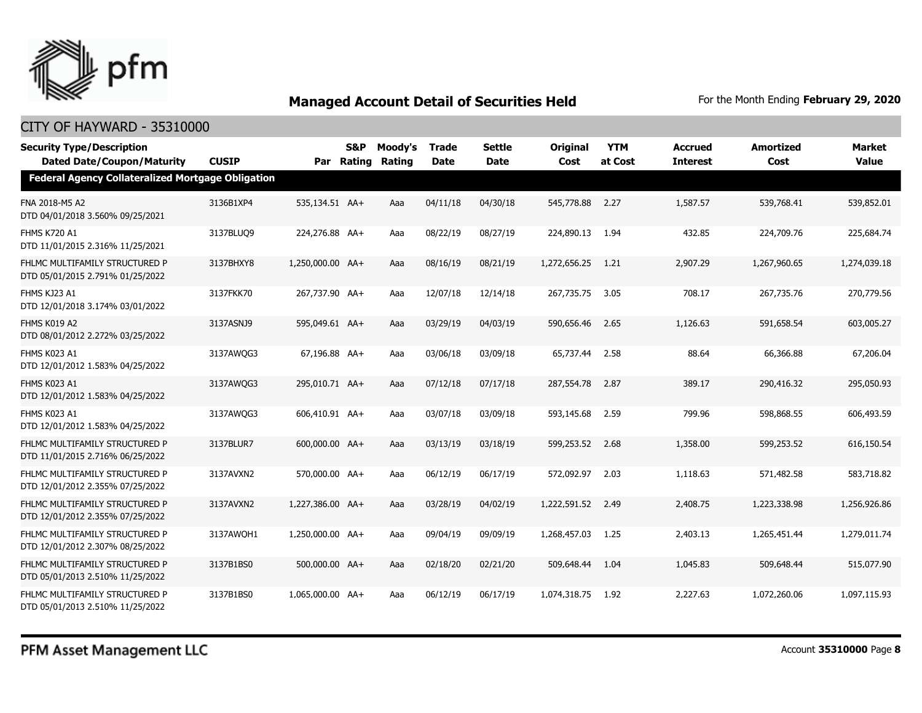

| <b>Security Type/Description</b><br><b>Dated Date/Coupon/Maturity</b> | <b>CUSIP</b> |                  | S&P<br>Par Rating | Moody's<br><b>Rating</b> | Trade<br><b>Date</b> | Settle<br><b>Date</b> | <b>Original</b><br>Cost | <b>YTM</b><br>at Cost | <b>Accrued</b><br><b>Interest</b> | <b>Amortized</b><br>Cost | Market<br><b>Value</b> |
|-----------------------------------------------------------------------|--------------|------------------|-------------------|--------------------------|----------------------|-----------------------|-------------------------|-----------------------|-----------------------------------|--------------------------|------------------------|
| Federal Agency Collateralized Mortgage Obligation                     |              |                  |                   |                          |                      |                       |                         |                       |                                   |                          |                        |
| FNA 2018-M5 A2<br>DTD 04/01/2018 3.560% 09/25/2021                    | 3136B1XP4    | 535,134.51 AA+   |                   | Aaa                      | 04/11/18             | 04/30/18              | 545,778.88              | 2.27                  | 1,587.57                          | 539,768.41               | 539,852.01             |
| FHMS K720 A1<br>DTD 11/01/2015 2.316% 11/25/2021                      | 3137BLUO9    | 224,276.88 AA+   |                   | Aaa                      | 08/22/19             | 08/27/19              | 224,890.13              | 1.94                  | 432.85                            | 224,709.76               | 225,684.74             |
| FHLMC MULTIFAMILY STRUCTURED P<br>DTD 05/01/2015 2.791% 01/25/2022    | 3137BHXY8    | 1,250,000.00 AA+ |                   | Aaa                      | 08/16/19             | 08/21/19              | 1,272,656.25            | 1.21                  | 2,907.29                          | 1,267,960.65             | 1,274,039.18           |
| FHMS KJ23 A1<br>DTD 12/01/2018 3.174% 03/01/2022                      | 3137FKK70    | 267,737.90 AA+   |                   | Aaa                      | 12/07/18             | 12/14/18              | 267,735.75              | 3.05                  | 708.17                            | 267,735.76               | 270,779.56             |
| FHMS K019 A2<br>DTD 08/01/2012 2.272% 03/25/2022                      | 3137ASNJ9    | 595,049.61 AA+   |                   | Aaa                      | 03/29/19             | 04/03/19              | 590,656.46              | 2.65                  | 1,126.63                          | 591,658.54               | 603,005.27             |
| FHMS K023 A1<br>DTD 12/01/2012 1.583% 04/25/2022                      | 3137AWQG3    | 67,196.88 AA+    |                   | Aaa                      | 03/06/18             | 03/09/18              | 65,737.44               | 2.58                  | 88.64                             | 66,366.88                | 67,206.04              |
| FHMS K023 A1<br>DTD 12/01/2012 1.583% 04/25/2022                      | 3137AWQG3    | 295,010.71 AA+   |                   | Aaa                      | 07/12/18             | 07/17/18              | 287,554.78              | 2.87                  | 389.17                            | 290,416.32               | 295,050.93             |
| FHMS K023 A1<br>DTD 12/01/2012 1.583% 04/25/2022                      | 3137AWQG3    | 606,410.91 AA+   |                   | Aaa                      | 03/07/18             | 03/09/18              | 593,145.68              | 2.59                  | 799.96                            | 598,868.55               | 606,493.59             |
| FHLMC MULTIFAMILY STRUCTURED P<br>DTD 11/01/2015 2.716% 06/25/2022    | 3137BLUR7    | 600,000.00 AA+   |                   | Aaa                      | 03/13/19             | 03/18/19              | 599,253.52              | 2.68                  | 1,358.00                          | 599,253.52               | 616,150.54             |
| FHLMC MULTIFAMILY STRUCTURED P<br>DTD 12/01/2012 2.355% 07/25/2022    | 3137AVXN2    | 570,000.00 AA+   |                   | Aaa                      | 06/12/19             | 06/17/19              | 572,092.97              | 2.03                  | 1,118.63                          | 571,482.58               | 583,718.82             |
| FHLMC MULTIFAMILY STRUCTURED P<br>DTD 12/01/2012 2.355% 07/25/2022    | 3137AVXN2    | 1,227,386.00 AA+ |                   | Aaa                      | 03/28/19             | 04/02/19              | 1,222,591.52            | 2.49                  | 2,408.75                          | 1,223,338.98             | 1,256,926.86           |
| FHLMC MULTIFAMILY STRUCTURED P<br>DTD 12/01/2012 2.307% 08/25/2022    | 3137AWOH1    | 1,250,000.00 AA+ |                   | Aaa                      | 09/04/19             | 09/09/19              | 1,268,457.03            | 1.25                  | 2,403.13                          | 1,265,451.44             | 1,279,011.74           |
| FHLMC MULTIFAMILY STRUCTURED P<br>DTD 05/01/2013 2.510% 11/25/2022    | 3137B1BS0    | 500,000.00 AA+   |                   | Aaa                      | 02/18/20             | 02/21/20              | 509,648.44              | 1.04                  | 1,045.83                          | 509,648.44               | 515,077.90             |
| FHLMC MULTIFAMILY STRUCTURED P<br>DTD 05/01/2013 2.510% 11/25/2022    | 3137B1BS0    | 1,065,000.00 AA+ |                   | Aaa                      | 06/12/19             | 06/17/19              | 1,074,318.75            | 1.92                  | 2,227.63                          | 1,072,260.06             | 1,097,115.93           |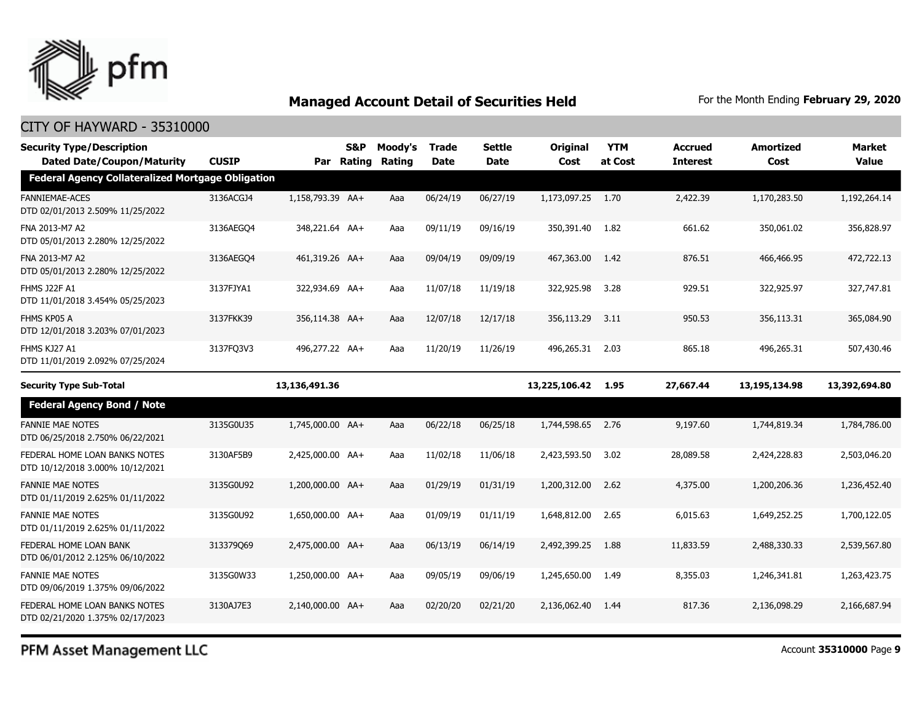

| <b>Security Type/Description</b><br><b>Dated Date/Coupon/Maturity</b> | <b>CUSIP</b> | Par              | S&P<br>Rating | Moody's<br>Rating | <b>Trade</b><br><b>Date</b> | Settle<br><b>Date</b> | <b>Original</b><br>Cost | <b>YTM</b><br>at Cost | <b>Accrued</b><br><b>Interest</b> | <b>Amortized</b><br>Cost | <b>Market</b><br><b>Value</b> |
|-----------------------------------------------------------------------|--------------|------------------|---------------|-------------------|-----------------------------|-----------------------|-------------------------|-----------------------|-----------------------------------|--------------------------|-------------------------------|
| <b>Federal Agency Collateralized Mortgage Obligation</b>              |              |                  |               |                   |                             |                       |                         |                       |                                   |                          |                               |
| <b>FANNIEMAE-ACES</b><br>DTD 02/01/2013 2.509% 11/25/2022             | 3136ACGJ4    | 1,158,793.39 AA+ |               | Aaa               | 06/24/19                    | 06/27/19              | 1,173,097.25            | 1.70                  | 2,422.39                          | 1,170,283.50             | 1,192,264.14                  |
| FNA 2013-M7 A2<br>DTD 05/01/2013 2.280% 12/25/2022                    | 3136AEGO4    | 348,221.64 AA+   |               | Aaa               | 09/11/19                    | 09/16/19              | 350,391.40              | 1.82                  | 661.62                            | 350,061.02               | 356,828.97                    |
| FNA 2013-M7 A2<br>DTD 05/01/2013 2.280% 12/25/2022                    | 3136AEGO4    | 461,319.26 AA+   |               | Aaa               | 09/04/19                    | 09/09/19              | 467,363.00              | 1.42                  | 876.51                            | 466,466.95               | 472,722.13                    |
| FHMS J22F A1<br>DTD 11/01/2018 3.454% 05/25/2023                      | 3137FJYA1    | 322,934.69 AA+   |               | Aaa               | 11/07/18                    | 11/19/18              | 322,925.98              | 3.28                  | 929.51                            | 322,925.97               | 327,747.81                    |
| FHMS KP05 A<br>DTD 12/01/2018 3.203% 07/01/2023                       | 3137FKK39    | 356,114.38 AA+   |               | Aaa               | 12/07/18                    | 12/17/18              | 356,113.29              | 3.11                  | 950.53                            | 356,113.31               | 365,084.90                    |
| FHMS KJ27 A1<br>DTD 11/01/2019 2.092% 07/25/2024                      | 3137FO3V3    | 496,277.22 AA+   |               | Aaa               | 11/20/19                    | 11/26/19              | 496,265.31              | 2.03                  | 865.18                            | 496,265.31               | 507,430.46                    |
| <b>Security Type Sub-Total</b>                                        |              | 13,136,491.36    |               |                   |                             |                       | 13,225,106.42           | 1.95                  | 27,667.44                         | 13,195,134.98            | 13,392,694.80                 |
| <b>Federal Agency Bond / Note</b>                                     |              |                  |               |                   |                             |                       |                         |                       |                                   |                          |                               |
| <b>FANNIE MAE NOTES</b><br>DTD 06/25/2018 2.750% 06/22/2021           | 3135G0U35    | 1,745,000.00 AA+ |               | Aaa               | 06/22/18                    | 06/25/18              | 1,744,598.65            | 2.76                  | 9,197.60                          | 1,744,819.34             | 1,784,786.00                  |
| FEDERAL HOME LOAN BANKS NOTES<br>DTD 10/12/2018 3.000% 10/12/2021     | 3130AF5B9    | 2,425,000.00 AA+ |               | Aaa               | 11/02/18                    | 11/06/18              | 2,423,593.50            | 3.02                  | 28,089.58                         | 2,424,228.83             | 2,503,046.20                  |
| <b>FANNIE MAE NOTES</b><br>DTD 01/11/2019 2.625% 01/11/2022           | 3135G0U92    | 1,200,000.00 AA+ |               | Aaa               | 01/29/19                    | 01/31/19              | 1,200,312.00            | 2.62                  | 4,375.00                          | 1,200,206.36             | 1,236,452.40                  |
| <b>FANNIE MAE NOTES</b><br>DTD 01/11/2019 2.625% 01/11/2022           | 3135G0U92    | 1,650,000.00 AA+ |               | Aaa               | 01/09/19                    | 01/11/19              | 1,648,812.00            | 2.65                  | 6,015.63                          | 1,649,252.25             | 1,700,122.05                  |
| FEDERAL HOME LOAN BANK<br>DTD 06/01/2012 2.125% 06/10/2022            | 313379069    | 2,475,000.00 AA+ |               | Aaa               | 06/13/19                    | 06/14/19              | 2,492,399.25            | 1.88                  | 11,833.59                         | 2,488,330.33             | 2,539,567.80                  |
| <b>FANNIE MAE NOTES</b><br>DTD 09/06/2019 1.375% 09/06/2022           | 3135G0W33    | 1,250,000.00 AA+ |               | Aaa               | 09/05/19                    | 09/06/19              | 1,245,650.00            | 1.49                  | 8,355.03                          | 1,246,341.81             | 1,263,423.75                  |
| FEDERAL HOME LOAN BANKS NOTES<br>DTD 02/21/2020 1.375% 02/17/2023     | 3130AJ7E3    | 2,140,000.00 AA+ |               | Aaa               | 02/20/20                    | 02/21/20              | 2,136,062.40            | 1.44                  | 817.36                            | 2,136,098.29             | 2,166,687.94                  |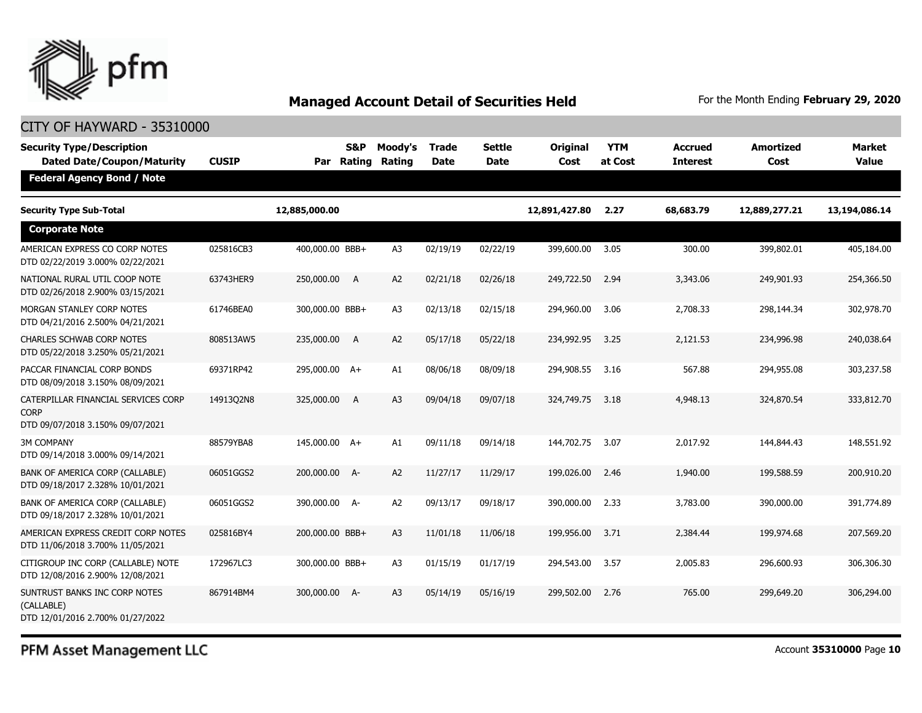

| <b>Security Type/Description</b><br><b>Dated Date/Coupon/Maturity</b>                  | <b>CUSIP</b> | Par             | S&P<br>Rating | Moody's<br>Rating | <b>Trade</b><br><b>Date</b> | <b>Settle</b><br>Date | Original<br>Cost | <b>YTM</b><br>at Cost | Accrued<br><b>Interest</b> | <b>Amortized</b><br>Cost | <b>Market</b><br><b>Value</b> |
|----------------------------------------------------------------------------------------|--------------|-----------------|---------------|-------------------|-----------------------------|-----------------------|------------------|-----------------------|----------------------------|--------------------------|-------------------------------|
| <b>Federal Agency Bond / Note</b>                                                      |              |                 |               |                   |                             |                       |                  |                       |                            |                          |                               |
| <b>Security Type Sub-Total</b>                                                         |              | 12,885,000.00   |               |                   |                             |                       | 12,891,427.80    | 2.27                  | 68,683.79                  | 12,889,277.21            | 13,194,086.14                 |
| <b>Corporate Note</b>                                                                  |              |                 |               |                   |                             |                       |                  |                       |                            |                          |                               |
| AMERICAN EXPRESS CO CORP NOTES<br>DTD 02/22/2019 3.000% 02/22/2021                     | 025816CB3    | 400,000.00 BBB+ |               | A3                | 02/19/19                    | 02/22/19              | 399,600.00       | 3.05                  | 300.00                     | 399,802.01               | 405,184.00                    |
| NATIONAL RURAL UTIL COOP NOTE<br>DTD 02/26/2018 2.900% 03/15/2021                      | 63743HER9    | 250,000.00 A    |               | A2                | 02/21/18                    | 02/26/18              | 249,722.50       | 2.94                  | 3,343.06                   | 249,901.93               | 254,366.50                    |
| MORGAN STANLEY CORP NOTES<br>DTD 04/21/2016 2.500% 04/21/2021                          | 61746BEA0    | 300,000.00 BBB+ |               | A <sub>3</sub>    | 02/13/18                    | 02/15/18              | 294,960,00       | 3.06                  | 2,708.33                   | 298,144.34               | 302,978.70                    |
| <b>CHARLES SCHWAB CORP NOTES</b><br>DTD 05/22/2018 3.250% 05/21/2021                   | 808513AW5    | 235,000.00 A    |               | A2                | 05/17/18                    | 05/22/18              | 234,992.95       | 3.25                  | 2,121.53                   | 234,996.98               | 240,038.64                    |
| PACCAR FINANCIAL CORP BONDS<br>DTD 08/09/2018 3.150% 08/09/2021                        | 69371RP42    | 295,000.00 A+   |               | A1                | 08/06/18                    | 08/09/18              | 294,908.55       | 3.16                  | 567.88                     | 294,955.08               | 303,237.58                    |
| CATERPILLAR FINANCIAL SERVICES CORP<br><b>CORP</b><br>DTD 09/07/2018 3.150% 09/07/2021 | 14913Q2N8    | 325,000.00 A    |               | A <sub>3</sub>    | 09/04/18                    | 09/07/18              | 324,749.75       | 3.18                  | 4,948.13                   | 324,870.54               | 333,812.70                    |
| <b>3M COMPANY</b><br>DTD 09/14/2018 3.000% 09/14/2021                                  | 88579YBA8    | 145,000.00 A+   |               | A1                | 09/11/18                    | 09/14/18              | 144,702.75       | 3.07                  | 2,017.92                   | 144,844.43               | 148,551.92                    |
| BANK OF AMERICA CORP (CALLABLE)<br>DTD 09/18/2017 2.328% 10/01/2021                    | 06051GGS2    | 200,000.00 A-   |               | A2                | 11/27/17                    | 11/29/17              | 199,026.00       | 2.46                  | 1,940.00                   | 199,588.59               | 200,910.20                    |
| BANK OF AMERICA CORP (CALLABLE)<br>DTD 09/18/2017 2.328% 10/01/2021                    | 06051GGS2    | 390,000.00 A-   |               | A2                | 09/13/17                    | 09/18/17              | 390,000.00       | 2.33                  | 3,783.00                   | 390,000.00               | 391,774.89                    |
| AMERICAN EXPRESS CREDIT CORP NOTES<br>DTD 11/06/2018 3.700% 11/05/2021                 | 025816BY4    | 200,000.00 BBB+ |               | A3                | 11/01/18                    | 11/06/18              | 199,956.00       | 3.71                  | 2,384.44                   | 199,974.68               | 207,569.20                    |
| CITIGROUP INC CORP (CALLABLE) NOTE<br>DTD 12/08/2016 2.900% 12/08/2021                 | 172967LC3    | 300,000.00 BBB+ |               | A <sub>3</sub>    | 01/15/19                    | 01/17/19              | 294,543.00       | 3.57                  | 2,005.83                   | 296,600.93               | 306,306.30                    |
| SUNTRUST BANKS INC CORP NOTES<br>(CALLABLE)<br>DTD 12/01/2016 2.700% 01/27/2022        | 867914BM4    | 300,000.00 A-   |               | A3                | 05/14/19                    | 05/16/19              | 299,502.00       | 2.76                  | 765.00                     | 299,649.20               | 306,294.00                    |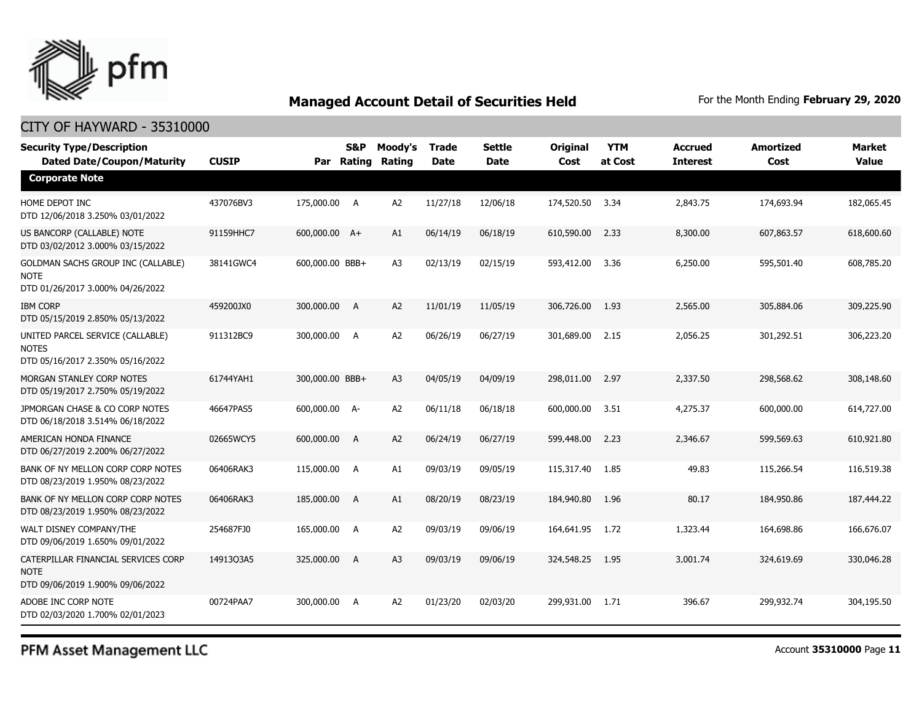

### CITY OF HAYWARD - 35310000

| <b>Security Type/Description</b><br><b>Dated Date/Coupon/Maturity</b>                        | <b>CUSIP</b> | Par             | S&P<br>Rating  | Moody's<br>Rating | <b>Trade</b><br><b>Date</b> | <b>Settle</b><br>Date | <b>Original</b><br>Cost | <b>YTM</b><br>at Cost | <b>Accrued</b><br><b>Interest</b> | <b>Amortized</b><br>Cost | <b>Market</b><br><b>Value</b> |
|----------------------------------------------------------------------------------------------|--------------|-----------------|----------------|-------------------|-----------------------------|-----------------------|-------------------------|-----------------------|-----------------------------------|--------------------------|-------------------------------|
| <b>Corporate Note</b>                                                                        |              |                 |                |                   |                             |                       |                         |                       |                                   |                          |                               |
| HOME DEPOT INC<br>DTD 12/06/2018 3.250% 03/01/2022                                           | 437076BV3    | 175,000.00 A    |                | A2                | 11/27/18                    | 12/06/18              | 174,520.50              | 3.34                  | 2,843.75                          | 174,693.94               | 182,065.45                    |
| US BANCORP (CALLABLE) NOTE<br>DTD 03/02/2012 3.000% 03/15/2022                               | 91159HHC7    | 600,000.00 A+   |                | A1                | 06/14/19                    | 06/18/19              | 610,590.00              | 2.33                  | 8,300.00                          | 607,863.57               | 618,600.60                    |
| <b>GOLDMAN SACHS GROUP INC (CALLABLE)</b><br><b>NOTE</b><br>DTD 01/26/2017 3.000% 04/26/2022 | 38141GWC4    | 600,000.00 BBB+ |                | A <sub>3</sub>    | 02/13/19                    | 02/15/19              | 593,412.00              | 3.36                  | 6,250.00                          | 595,501.40               | 608,785.20                    |
| <b>IBM CORP</b><br>DTD 05/15/2019 2.850% 05/13/2022                                          | 459200JX0    | 300,000.00 A    |                | A2                | 11/01/19                    | 11/05/19              | 306,726.00              | 1.93                  | 2,565.00                          | 305,884.06               | 309,225.90                    |
| UNITED PARCEL SERVICE (CALLABLE)<br><b>NOTES</b><br>DTD 05/16/2017 2.350% 05/16/2022         | 911312BC9    | 300,000.00 A    |                | A <sub>2</sub>    | 06/26/19                    | 06/27/19              | 301,689.00              | 2.15                  | 2,056.25                          | 301,292.51               | 306,223.20                    |
| MORGAN STANLEY CORP NOTES<br>DTD 05/19/2017 2.750% 05/19/2022                                | 61744YAH1    | 300,000.00 BBB+ |                | A <sub>3</sub>    | 04/05/19                    | 04/09/19              | 298,011.00              | 2.97                  | 2,337.50                          | 298,568.62               | 308,148.60                    |
| JPMORGAN CHASE & CO CORP NOTES<br>DTD 06/18/2018 3.514% 06/18/2022                           | 46647PAS5    | 600,000.00 A-   |                | A2                | 06/11/18                    | 06/18/18              | 600,000.00              | 3.51                  | 4,275.37                          | 600,000.00               | 614,727.00                    |
| AMERICAN HONDA FINANCE<br>DTD 06/27/2019 2.200% 06/27/2022                                   | 02665WCY5    | 600,000.00      | A              | A <sub>2</sub>    | 06/24/19                    | 06/27/19              | 599,448.00              | 2.23                  | 2,346.67                          | 599,569.63               | 610,921.80                    |
| BANK OF NY MELLON CORP CORP NOTES<br>DTD 08/23/2019 1.950% 08/23/2022                        | 06406RAK3    | 115,000.00 A    |                | A1                | 09/03/19                    | 09/05/19              | 115,317.40              | 1.85                  | 49.83                             | 115,266.54               | 116,519.38                    |
| BANK OF NY MELLON CORP CORP NOTES<br>DTD 08/23/2019 1.950% 08/23/2022                        | 06406RAK3    | 185,000.00 A    |                | A1                | 08/20/19                    | 08/23/19              | 184,940.80              | 1.96                  | 80.17                             | 184,950.86               | 187,444.22                    |
| WALT DISNEY COMPANY/THE<br>DTD 09/06/2019 1.650% 09/01/2022                                  | 254687FJ0    | 165,000.00 A    |                | A <sub>2</sub>    | 09/03/19                    | 09/06/19              | 164,641.95              | 1.72                  | 1,323.44                          | 164,698.86               | 166,676.07                    |
| CATERPILLAR FINANCIAL SERVICES CORP<br><b>NOTE</b><br>DTD 09/06/2019 1.900% 09/06/2022       | 14913Q3A5    | 325,000.00      | $\overline{A}$ | A <sub>3</sub>    | 09/03/19                    | 09/06/19              | 324,548.25              | 1.95                  | 3,001.74                          | 324,619.69               | 330,046.28                    |
| ADOBE INC CORP NOTE<br>DTD 02/03/2020 1.700% 02/01/2023                                      | 00724PAA7    | 300,000.00 A    |                | A <sub>2</sub>    | 01/23/20                    | 02/03/20              | 299,931.00              | 1.71                  | 396.67                            | 299,932.74               | 304,195.50                    |

PFM Asset Management LLC

Account **35310000** Page **11**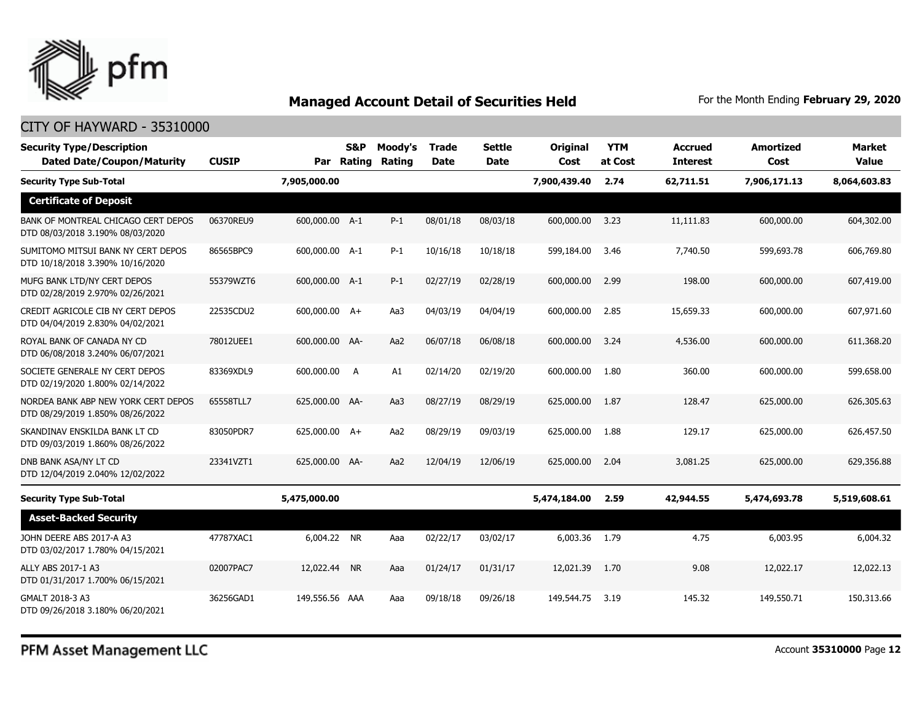

### CITY OF HAYWARD - 35310000

| <b>Security Type/Description</b><br><b>Dated Date/Coupon/Maturity</b>   | <b>CUSIP</b> | Par            | S&P<br>Rating | Moody's<br>Rating | <b>Trade</b><br><b>Date</b> | <b>Settle</b><br><b>Date</b> | <b>Original</b><br>Cost | <b>YTM</b><br>at Cost | <b>Accrued</b><br><b>Interest</b> | <b>Amortized</b><br>Cost | <b>Market</b><br><b>Value</b> |
|-------------------------------------------------------------------------|--------------|----------------|---------------|-------------------|-----------------------------|------------------------------|-------------------------|-----------------------|-----------------------------------|--------------------------|-------------------------------|
| <b>Security Type Sub-Total</b>                                          |              | 7,905,000.00   |               |                   |                             |                              | 7,900,439.40            | 2.74                  | 62,711.51                         | 7,906,171.13             | 8,064,603.83                  |
| <b>Certificate of Deposit</b>                                           |              |                |               |                   |                             |                              |                         |                       |                                   |                          |                               |
| BANK OF MONTREAL CHICAGO CERT DEPOS<br>DTD 08/03/2018 3.190% 08/03/2020 | 06370REU9    | 600,000.00 A-1 |               | $P-1$             | 08/01/18                    | 08/03/18                     | 600,000.00              | 3.23                  | 11,111.83                         | 600,000.00               | 604,302.00                    |
| SUMITOMO MITSUI BANK NY CERT DEPOS<br>DTD 10/18/2018 3.390% 10/16/2020  | 86565BPC9    | 600,000.00 A-1 |               | $P-1$             | 10/16/18                    | 10/18/18                     | 599,184.00              | 3.46                  | 7,740.50                          | 599,693.78               | 606,769.80                    |
| MUFG BANK LTD/NY CERT DEPOS<br>DTD 02/28/2019 2.970% 02/26/2021         | 55379WZT6    | 600,000.00 A-1 |               | $P-1$             | 02/27/19                    | 02/28/19                     | 600,000.00              | 2.99                  | 198.00                            | 600,000.00               | 607,419.00                    |
| CREDIT AGRICOLE CIB NY CERT DEPOS<br>DTD 04/04/2019 2.830% 04/02/2021   | 22535CDU2    | 600,000.00 A+  |               | Aa3               | 04/03/19                    | 04/04/19                     | 600,000.00              | 2.85                  | 15,659.33                         | 600,000.00               | 607,971.60                    |
| ROYAL BANK OF CANADA NY CD<br>DTD 06/08/2018 3.240% 06/07/2021          | 78012UEE1    | 600,000,00 AA- |               | Aa2               | 06/07/18                    | 06/08/18                     | 600,000,00              | 3.24                  | 4,536,00                          | 600,000,00               | 611,368,20                    |
| SOCIETE GENERALE NY CERT DEPOS<br>DTD 02/19/2020 1.800% 02/14/2022      | 83369XDL9    | 600,000.00     | A             | A1                | 02/14/20                    | 02/19/20                     | 600,000.00              | 1.80                  | 360.00                            | 600,000.00               | 599,658.00                    |
| NORDEA BANK ABP NEW YORK CERT DEPOS<br>DTD 08/29/2019 1.850% 08/26/2022 | 65558TLL7    | 625,000.00 AA- |               | Aa3               | 08/27/19                    | 08/29/19                     | 625,000.00              | 1.87                  | 128.47                            | 625,000.00               | 626,305.63                    |
| SKANDINAV ENSKILDA BANK LT CD<br>DTD 09/03/2019 1.860% 08/26/2022       | 83050PDR7    | 625,000.00 A+  |               | Aa2               | 08/29/19                    | 09/03/19                     | 625,000.00              | 1.88                  | 129.17                            | 625,000.00               | 626,457.50                    |
| DNB BANK ASA/NY LT CD<br>DTD 12/04/2019 2.040% 12/02/2022               | 23341VZT1    | 625,000.00 AA- |               | Aa2               | 12/04/19                    | 12/06/19                     | 625,000.00              | 2.04                  | 3,081.25                          | 625,000.00               | 629,356.88                    |
| <b>Security Type Sub-Total</b>                                          |              | 5,475,000.00   |               |                   |                             |                              | 5,474,184.00            | 2.59                  | 42,944.55                         | 5,474,693.78             | 5,519,608.61                  |
| <b>Asset-Backed Security</b>                                            |              |                |               |                   |                             |                              |                         |                       |                                   |                          |                               |
| JOHN DEERE ABS 2017-A A3<br>DTD 03/02/2017 1.780% 04/15/2021            | 47787XAC1    | 6,004.22 NR    |               | Aaa               | 02/22/17                    | 03/02/17                     | 6,003.36                | 1.79                  | 4.75                              | 6.003.95                 | 6,004.32                      |
| ALLY ABS 2017-1 A3<br>DTD 01/31/2017 1.700% 06/15/2021                  | 02007PAC7    | 12,022.44 NR   |               | Aaa               | 01/24/17                    | 01/31/17                     | 12,021.39               | 1.70                  | 9.08                              | 12,022.17                | 12,022.13                     |
| GMALT 2018-3 A3<br>DTD 09/26/2018 3.180% 06/20/2021                     | 36256GAD1    | 149,556,56 AAA |               | Aaa               | 09/18/18                    | 09/26/18                     | 149,544.75              | 3.19                  | 145.32                            | 149,550.71               | 150,313.66                    |

PFM Asset Management LLC

Account **35310000** Page **12**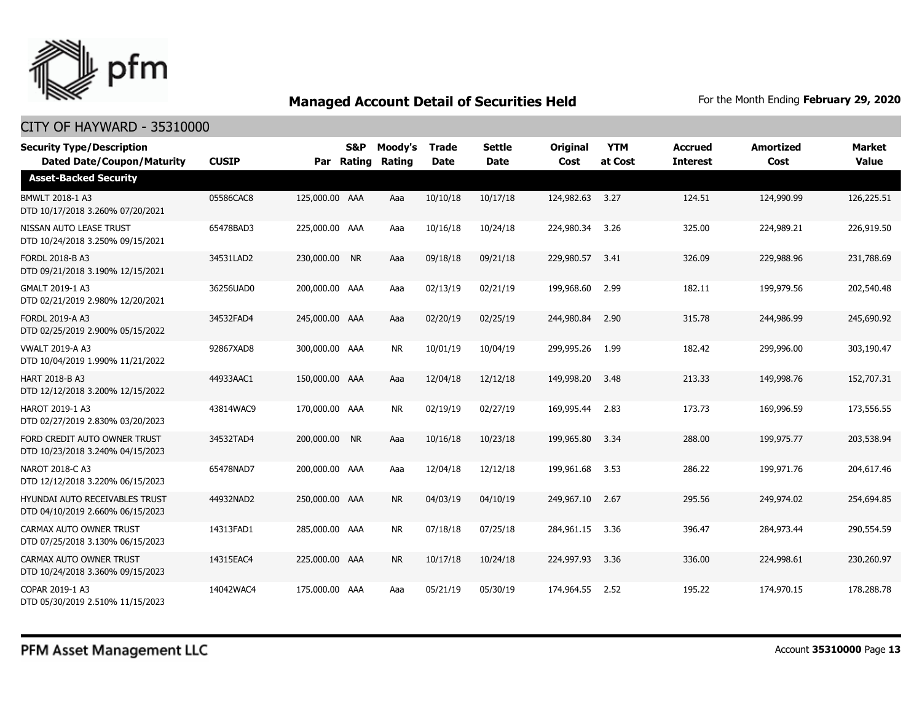

| <b>Security Type/Description</b><br><b>Dated Date/Coupon/Maturity</b> | <b>CUSIP</b> | Par            | <b>S&amp;P</b><br>Rating | Moody's<br>Rating | <b>Trade</b><br><b>Date</b> | <b>Settle</b><br><b>Date</b> | <b>Original</b><br>Cost | <b>YTM</b><br>at Cost | <b>Accrued</b><br><b>Interest</b> | <b>Amortized</b><br>Cost | <b>Market</b><br><b>Value</b> |
|-----------------------------------------------------------------------|--------------|----------------|--------------------------|-------------------|-----------------------------|------------------------------|-------------------------|-----------------------|-----------------------------------|--------------------------|-------------------------------|
| <b>Asset-Backed Security</b>                                          |              |                |                          |                   |                             |                              |                         |                       |                                   |                          |                               |
| BMWLT 2018-1 A3<br>DTD 10/17/2018 3.260% 07/20/2021                   | 05586CAC8    | 125,000.00 AAA |                          | Aaa               | 10/10/18                    | 10/17/18                     | 124,982.63              | 3.27                  | 124.51                            | 124,990.99               | 126,225.51                    |
| NISSAN AUTO LEASE TRUST<br>DTD 10/24/2018 3.250% 09/15/2021           | 65478BAD3    | 225,000.00 AAA |                          | Aaa               | 10/16/18                    | 10/24/18                     | 224,980.34              | 3.26                  | 325.00                            | 224,989.21               | 226,919.50                    |
| <b>FORDL 2018-B A3</b><br>DTD 09/21/2018 3.190% 12/15/2021            | 34531LAD2    | 230,000.00 NR  |                          | Aaa               | 09/18/18                    | 09/21/18                     | 229,980.57              | 3.41                  | 326.09                            | 229,988.96               | 231,788.69                    |
| GMALT 2019-1 A3<br>DTD 02/21/2019 2.980% 12/20/2021                   | 36256UAD0    | 200,000.00 AAA |                          | Aaa               | 02/13/19                    | 02/21/19                     | 199,968.60              | 2.99                  | 182.11                            | 199,979.56               | 202,540.48                    |
| FORDL 2019-A A3<br>DTD 02/25/2019 2.900% 05/15/2022                   | 34532FAD4    | 245,000.00 AAA |                          | Aaa               | 02/20/19                    | 02/25/19                     | 244,980.84              | 2.90                  | 315.78                            | 244,986.99               | 245,690.92                    |
| <b>VWALT 2019-A A3</b><br>DTD 10/04/2019 1.990% 11/21/2022            | 92867XAD8    | 300,000,00 AAA |                          | <b>NR</b>         | 10/01/19                    | 10/04/19                     | 299,995.26              | 1.99                  | 182.42                            | 299,996.00               | 303,190.47                    |
| HART 2018-B A3<br>DTD 12/12/2018 3.200% 12/15/2022                    | 44933AAC1    | 150,000.00 AAA |                          | Aaa               | 12/04/18                    | 12/12/18                     | 149,998.20              | 3.48                  | 213.33                            | 149,998.76               | 152,707.31                    |
| HAROT 2019-1 A3<br>DTD 02/27/2019 2.830% 03/20/2023                   | 43814WAC9    | 170,000.00 AAA |                          | <b>NR</b>         | 02/19/19                    | 02/27/19                     | 169,995.44              | 2.83                  | 173.73                            | 169,996.59               | 173,556.55                    |
| FORD CREDIT AUTO OWNER TRUST<br>DTD 10/23/2018 3.240% 04/15/2023      | 34532TAD4    | 200,000.00 NR  |                          | Aaa               | 10/16/18                    | 10/23/18                     | 199,965.80              | 3.34                  | 288.00                            | 199,975.77               | 203,538.94                    |
| NAROT 2018-C A3<br>DTD 12/12/2018 3.220% 06/15/2023                   | 65478NAD7    | 200,000.00 AAA |                          | Aaa               | 12/04/18                    | 12/12/18                     | 199,961.68              | 3.53                  | 286.22                            | 199,971.76               | 204,617.46                    |
| HYUNDAI AUTO RECEIVABLES TRUST<br>DTD 04/10/2019 2.660% 06/15/2023    | 44932NAD2    | 250,000.00 AAA |                          | <b>NR</b>         | 04/03/19                    | 04/10/19                     | 249,967.10              | 2.67                  | 295.56                            | 249,974.02               | 254,694.85                    |
| CARMAX AUTO OWNER TRUST<br>DTD 07/25/2018 3.130% 06/15/2023           | 14313FAD1    | 285,000.00 AAA |                          | <b>NR</b>         | 07/18/18                    | 07/25/18                     | 284,961.15              | 3.36                  | 396.47                            | 284,973.44               | 290,554.59                    |
| <b>CARMAX AUTO OWNER TRUST</b><br>DTD 10/24/2018 3.360% 09/15/2023    | 14315EAC4    | 225,000.00 AAA |                          | <b>NR</b>         | 10/17/18                    | 10/24/18                     | 224,997.93              | 3.36                  | 336.00                            | 224,998.61               | 230,260.97                    |
| COPAR 2019-1 A3<br>DTD 05/30/2019 2.510% 11/15/2023                   | 14042WAC4    | 175,000.00 AAA |                          | Aaa               | 05/21/19                    | 05/30/19                     | 174,964.55              | 2.52                  | 195.22                            | 174,970.15               | 178,288,78                    |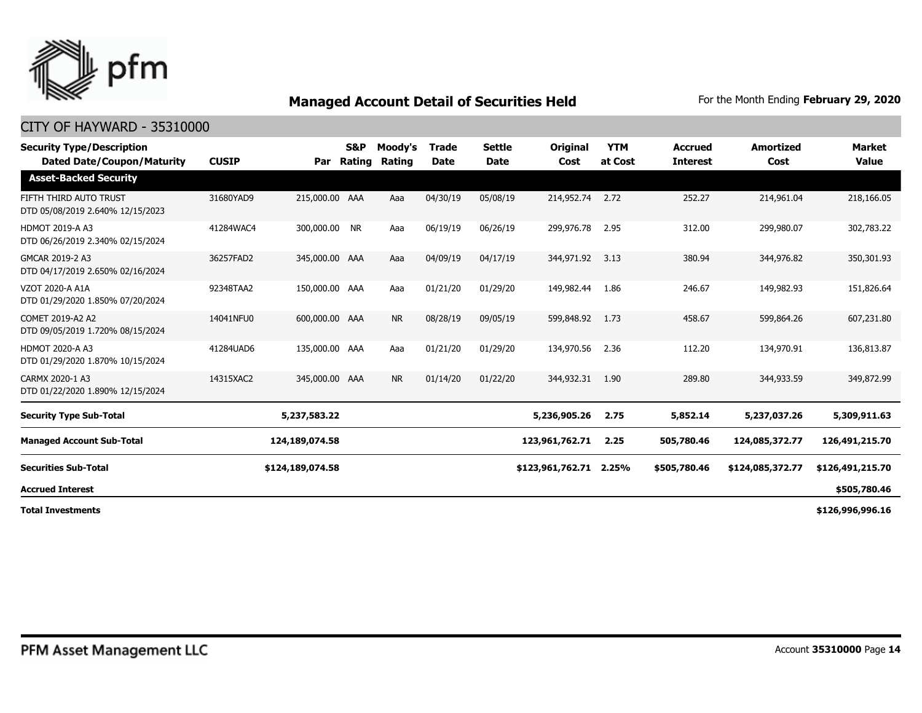

| <b>Security Type/Description</b><br><b>Dated Date/Coupon/Maturity</b> | <b>CUSIP</b> | Par              | <b>S&amp;P</b><br>Rating | Moody's<br>Rating | <b>Trade</b><br><b>Date</b> | Settle<br>Date | Original<br>Cost | <b>YTM</b><br>at Cost | <b>Accrued</b><br><b>Interest</b> | <b>Amortized</b><br>Cost | <b>Market</b><br><b>Value</b> |
|-----------------------------------------------------------------------|--------------|------------------|--------------------------|-------------------|-----------------------------|----------------|------------------|-----------------------|-----------------------------------|--------------------------|-------------------------------|
| <b>Asset-Backed Security</b>                                          |              |                  |                          |                   |                             |                |                  |                       |                                   |                          |                               |
| FIFTH THIRD AUTO TRUST<br>DTD 05/08/2019 2.640% 12/15/2023            | 31680YAD9    | 215,000.00 AAA   |                          | Aaa               | 04/30/19                    | 05/08/19       | 214,952.74 2.72  |                       | 252.27                            | 214,961.04               | 218,166.05                    |
| <b>HDMOT 2019-A A3</b><br>DTD 06/26/2019 2.340% 02/15/2024            | 41284WAC4    | 300,000.00 NR    |                          | Aaa               | 06/19/19                    | 06/26/19       | 299,976,78       | 2.95                  | 312.00                            | 299,980.07               | 302,783.22                    |
| GMCAR 2019-2 A3<br>DTD 04/17/2019 2.650% 02/16/2024                   | 36257FAD2    | 345,000.00 AAA   |                          | Aaa               | 04/09/19                    | 04/17/19       | 344,971.92 3.13  |                       | 380.94                            | 344,976.82               | 350,301.93                    |
| VZOT 2020-A A1A<br>DTD 01/29/2020 1.850% 07/20/2024                   | 92348TAA2    | 150,000.00 AAA   |                          | Aaa               | 01/21/20                    | 01/29/20       | 149,982.44       | 1.86                  | 246.67                            | 149,982.93               | 151,826.64                    |
| COMET 2019-A2 A2<br>DTD 09/05/2019 1.720% 08/15/2024                  | 14041NFU0    | 600,000.00 AAA   |                          | <b>NR</b>         | 08/28/19                    | 09/05/19       | 599,848.92       | 1.73                  | 458.67                            | 599,864.26               | 607,231.80                    |
| <b>HDMOT 2020-A A3</b><br>DTD 01/29/2020 1.870% 10/15/2024            | 41284UAD6    | 135,000.00 AAA   |                          | Aaa               | 01/21/20                    | 01/29/20       | 134,970.56       | 2.36                  | 112.20                            | 134,970.91               | 136,813.87                    |
| CARMX 2020-1 A3<br>DTD 01/22/2020 1.890% 12/15/2024                   | 14315XAC2    | 345,000.00 AAA   |                          | <b>NR</b>         | 01/14/20                    | 01/22/20       | 344,932.31       | 1.90                  | 289.80                            | 344,933.59               | 349,872.99                    |
| <b>Security Type Sub-Total</b>                                        |              | 5,237,583.22     |                          |                   |                             |                | 5,236,905.26     | 2.75                  | 5,852.14                          | 5,237,037.26             | 5,309,911.63                  |
| <b>Managed Account Sub-Total</b>                                      |              | 124,189,074.58   |                          |                   |                             |                | 123,961,762.71   | 2.25                  | 505,780.46                        | 124,085,372.77           | 126,491,215.70                |
| <b>Securities Sub-Total</b>                                           |              | \$124,189,074.58 |                          |                   |                             |                | \$123,961,762.71 | 2.25%                 | \$505,780.46                      | \$124,085,372.77         | \$126,491,215.70              |
| <b>Accrued Interest</b>                                               |              |                  |                          |                   |                             |                |                  |                       |                                   |                          | \$505,780.46                  |
| <b>Total Investments</b>                                              |              |                  |                          |                   |                             |                |                  |                       |                                   |                          | \$126,996,996.16              |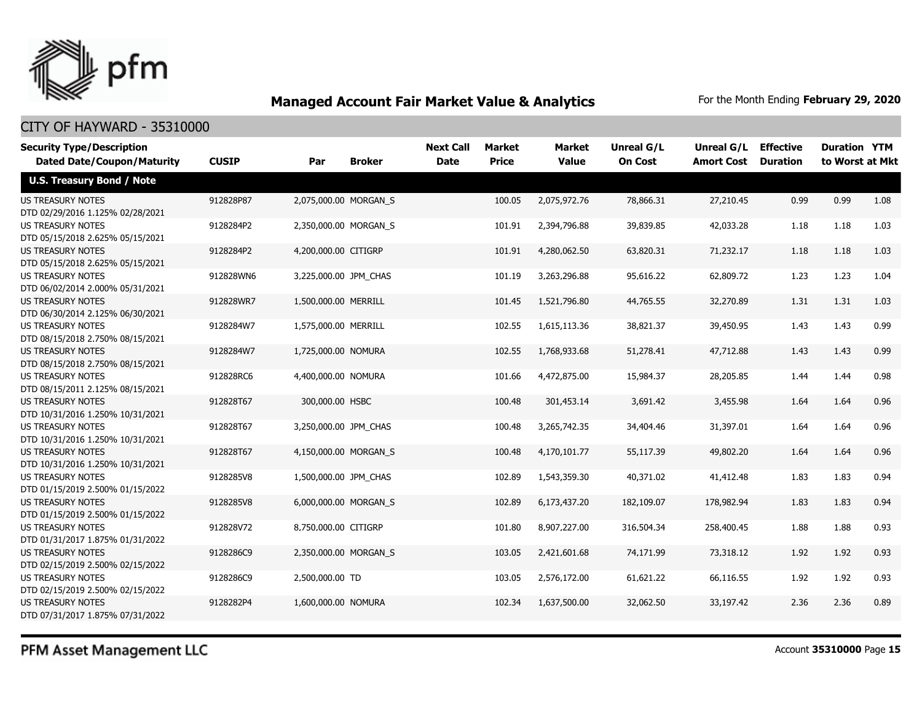

# CITY OF HAYWARD - 35310000

| <b>Security Type/Description</b>                             |              |                       |                       | <b>Next Call</b> | Market       | <b>Market</b> | <b>Unreal G/L</b> | <b>Unreal G/L Effective</b> |                 | <b>Duration YTM</b> |      |
|--------------------------------------------------------------|--------------|-----------------------|-----------------------|------------------|--------------|---------------|-------------------|-----------------------------|-----------------|---------------------|------|
| <b>Dated Date/Coupon/Maturity</b>                            | <b>CUSIP</b> | Par                   | <b>Broker</b>         | <b>Date</b>      | <b>Price</b> | <b>Value</b>  | <b>On Cost</b>    | <b>Amort Cost</b>           | <b>Duration</b> | to Worst at Mkt     |      |
| <b>U.S. Treasury Bond / Note</b>                             |              |                       |                       |                  |              |               |                   |                             |                 |                     |      |
| <b>US TREASURY NOTES</b><br>DTD 02/29/2016 1.125% 02/28/2021 | 912828P87    |                       | 2,075,000.00 MORGAN_S |                  | 100.05       | 2,075,972.76  | 78,866.31         | 27,210.45                   | 0.99            | 0.99                | 1.08 |
| <b>US TREASURY NOTES</b><br>DTD 05/15/2018 2.625% 05/15/2021 | 9128284P2    |                       | 2,350,000.00 MORGAN_S |                  | 101.91       | 2,394,796.88  | 39,839.85         | 42,033.28                   | 1.18            | 1.18                | 1.03 |
| <b>US TREASURY NOTES</b><br>DTD 05/15/2018 2.625% 05/15/2021 | 9128284P2    | 4,200,000.00 CITIGRP  |                       |                  | 101.91       | 4,280,062.50  | 63,820.31         | 71,232.17                   | 1.18            | 1.18                | 1.03 |
| <b>US TREASURY NOTES</b><br>DTD 06/02/2014 2.000% 05/31/2021 | 912828WN6    | 3,225,000.00 JPM CHAS |                       |                  | 101.19       | 3,263,296.88  | 95,616.22         | 62,809.72                   | 1.23            | 1.23                | 1.04 |
| <b>US TREASURY NOTES</b><br>DTD 06/30/2014 2.125% 06/30/2021 | 912828WR7    | 1,500,000.00 MERRILL  |                       |                  | 101.45       | 1,521,796.80  | 44,765.55         | 32,270.89                   | 1.31            | 1.31                | 1.03 |
| <b>US TREASURY NOTES</b><br>DTD 08/15/2018 2.750% 08/15/2021 | 9128284W7    | 1,575,000.00 MERRILL  |                       |                  | 102.55       | 1,615,113.36  | 38,821.37         | 39,450.95                   | 1.43            | 1.43                | 0.99 |
| <b>US TREASURY NOTES</b><br>DTD 08/15/2018 2.750% 08/15/2021 | 9128284W7    | 1,725,000.00 NOMURA   |                       |                  | 102.55       | 1,768,933.68  | 51,278.41         | 47,712.88                   | 1.43            | 1.43                | 0.99 |
| <b>US TREASURY NOTES</b><br>DTD 08/15/2011 2.125% 08/15/2021 | 912828RC6    | 4,400,000.00 NOMURA   |                       |                  | 101.66       | 4,472,875.00  | 15,984.37         | 28,205.85                   | 1.44            | 1.44                | 0.98 |
| US TREASURY NOTES<br>DTD 10/31/2016 1.250% 10/31/2021        | 912828T67    | 300,000.00 HSBC       |                       |                  | 100.48       | 301,453.14    | 3,691.42          | 3,455.98                    | 1.64            | 1.64                | 0.96 |
| <b>US TREASURY NOTES</b><br>DTD 10/31/2016 1.250% 10/31/2021 | 912828T67    | 3,250,000.00 JPM CHAS |                       |                  | 100.48       | 3,265,742.35  | 34,404.46         | 31,397.01                   | 1.64            | 1.64                | 0.96 |
| <b>US TREASURY NOTES</b><br>DTD 10/31/2016 1.250% 10/31/2021 | 912828T67    |                       | 4,150,000.00 MORGAN S |                  | 100.48       | 4,170,101.77  | 55,117.39         | 49,802.20                   | 1.64            | 1.64                | 0.96 |
| <b>US TREASURY NOTES</b><br>DTD 01/15/2019 2.500% 01/15/2022 | 9128285V8    | 1,500,000.00 JPM_CHAS |                       |                  | 102.89       | 1,543,359.30  | 40,371.02         | 41,412.48                   | 1.83            | 1.83                | 0.94 |
| <b>US TREASURY NOTES</b><br>DTD 01/15/2019 2.500% 01/15/2022 | 9128285V8    |                       | 6,000,000.00 MORGAN_S |                  | 102.89       | 6,173,437.20  | 182,109.07        | 178,982.94                  | 1.83            | 1.83                | 0.94 |
| <b>US TREASURY NOTES</b><br>DTD 01/31/2017 1.875% 01/31/2022 | 912828V72    | 8,750,000.00 CITIGRP  |                       |                  | 101.80       | 8,907,227.00  | 316,504.34        | 258,400.45                  | 1.88            | 1.88                | 0.93 |
| <b>US TREASURY NOTES</b><br>DTD 02/15/2019 2.500% 02/15/2022 | 9128286C9    |                       | 2,350,000.00 MORGAN_S |                  | 103.05       | 2,421,601.68  | 74,171.99         | 73,318.12                   | 1.92            | 1.92                | 0.93 |
| US TREASURY NOTES<br>DTD 02/15/2019 2.500% 02/15/2022        | 9128286C9    | 2,500,000.00 TD       |                       |                  | 103.05       | 2,576,172.00  | 61,621.22         | 66,116.55                   | 1.92            | 1.92                | 0.93 |
| <b>US TREASURY NOTES</b><br>DTD 07/31/2017 1.875% 07/31/2022 | 9128282P4    | 1,600,000.00 NOMURA   |                       |                  | 102.34       | 1,637,500.00  | 32,062.50         | 33,197.42                   | 2.36            | 2.36                | 0.89 |

PFM Asset Management LLC

Account **35310000** Page **15**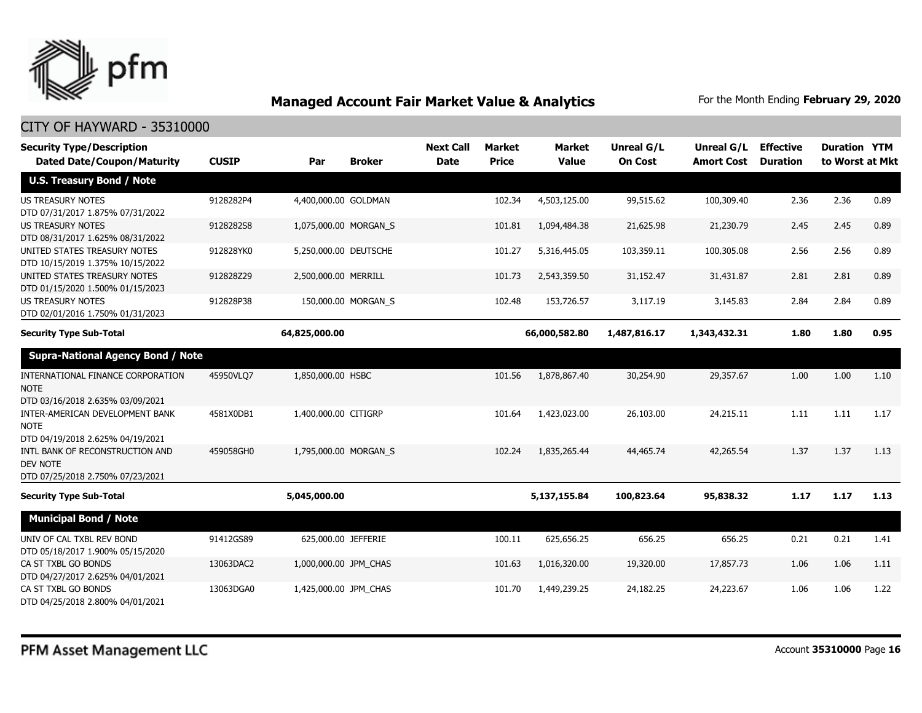

| <b>Security Type/Description</b><br><b>Dated Date/Coupon/Maturity</b> | <b>CUSIP</b> | Par                   | <b>Broker</b>       | <b>Next Call</b><br><b>Date</b> | <b>Market</b><br><b>Price</b> | Market<br><b>Value</b> | <b>Unreal G/L</b><br><b>On Cost</b> | Unreal G/L<br><b>Amort Cost</b> | <b>Effective</b><br><b>Duration</b> | <b>Duration YTM</b><br>to Worst at Mkt |      |
|-----------------------------------------------------------------------|--------------|-----------------------|---------------------|---------------------------------|-------------------------------|------------------------|-------------------------------------|---------------------------------|-------------------------------------|----------------------------------------|------|
| <b>U.S. Treasury Bond / Note</b>                                      |              |                       |                     |                                 |                               |                        |                                     |                                 |                                     |                                        |      |
| <b>US TREASURY NOTES</b>                                              | 9128282P4    | 4,400,000.00 GOLDMAN  |                     |                                 | 102.34                        | 4,503,125.00           | 99,515.62                           | 100,309.40                      | 2.36                                | 2.36                                   | 0.89 |
| DTD 07/31/2017 1.875% 07/31/2022                                      |              |                       |                     |                                 |                               |                        |                                     |                                 |                                     |                                        |      |
| <b>US TREASURY NOTES</b><br>DTD 08/31/2017 1.625% 08/31/2022          | 9128282S8    | 1,075,000.00 MORGAN S |                     |                                 | 101.81                        | 1,094,484,38           | 21,625.98                           | 21,230.79                       | 2.45                                | 2.45                                   | 0.89 |
| UNITED STATES TREASURY NOTES<br>DTD 10/15/2019 1.375% 10/15/2022      | 912828YK0    | 5,250,000.00 DEUTSCHE |                     |                                 | 101.27                        | 5,316,445.05           | 103,359.11                          | 100,305.08                      | 2.56                                | 2.56                                   | 0.89 |
| UNITED STATES TREASURY NOTES<br>DTD 01/15/2020 1.500% 01/15/2023      | 912828Z29    | 2,500,000.00 MERRILL  |                     |                                 | 101.73                        | 2,543,359.50           | 31,152.47                           | 31,431.87                       | 2.81                                | 2.81                                   | 0.89 |
| <b>US TREASURY NOTES</b><br>DTD 02/01/2016 1.750% 01/31/2023          | 912828P38    |                       | 150,000.00 MORGAN S |                                 | 102.48                        | 153,726.57             | 3,117.19                            | 3,145.83                        | 2.84                                | 2.84                                   | 0.89 |
| <b>Security Type Sub-Total</b>                                        |              | 64,825,000.00         |                     |                                 |                               | 66,000,582.80          | 1,487,816.17                        | 1,343,432.31                    | 1.80                                | 1.80                                   | 0.95 |
| <b>Supra-National Agency Bond / Note</b>                              |              |                       |                     |                                 |                               |                        |                                     |                                 |                                     |                                        |      |
| INTERNATIONAL FINANCE CORPORATION<br><b>NOTE</b>                      | 45950VLO7    | 1,850,000.00 HSBC     |                     |                                 | 101.56                        | 1,878,867.40           | 30,254.90                           | 29,357.67                       | 1.00                                | 1.00                                   | 1.10 |
| DTD 03/16/2018 2.635% 03/09/2021                                      |              |                       |                     |                                 |                               |                        |                                     |                                 |                                     |                                        |      |
| INTER-AMERICAN DEVELOPMENT BANK<br><b>NOTE</b>                        | 4581X0DB1    | 1,400,000.00 CITIGRP  |                     |                                 | 101.64                        | 1,423,023.00           | 26,103.00                           | 24,215.11                       | 1.11                                | 1.11                                   | 1.17 |
| DTD 04/19/2018 2.625% 04/19/2021                                      |              |                       |                     |                                 |                               |                        |                                     |                                 |                                     |                                        |      |
| INTL BANK OF RECONSTRUCTION AND<br><b>DEV NOTE</b>                    | 459058GH0    | 1,795,000.00 MORGAN S |                     |                                 | 102.24                        | 1,835,265.44           | 44,465.74                           | 42,265.54                       | 1.37                                | 1.37                                   | 1.13 |
| DTD 07/25/2018 2.750% 07/23/2021                                      |              |                       |                     |                                 |                               |                        |                                     |                                 |                                     |                                        |      |
| <b>Security Type Sub-Total</b>                                        |              | 5,045,000.00          |                     |                                 |                               | 5,137,155.84           | 100,823.64                          | 95,838.32                       | 1.17                                | 1.17                                   | 1.13 |
| <b>Municipal Bond / Note</b>                                          |              |                       |                     |                                 |                               |                        |                                     |                                 |                                     |                                        |      |
| UNIV OF CAL TXBL REV BOND<br>DTD 05/18/2017 1.900% 05/15/2020         | 91412GS89    | 625,000.00 JEFFERIE   |                     |                                 | 100.11                        | 625,656.25             | 656.25                              | 656.25                          | 0.21                                | 0.21                                   | 1.41 |
| CA ST TXBL GO BONDS<br>DTD 04/27/2017 2.625% 04/01/2021               | 13063DAC2    | 1,000,000.00 JPM_CHAS |                     |                                 | 101.63                        | 1,016,320.00           | 19,320.00                           | 17,857.73                       | 1.06                                | 1.06                                   | 1.11 |
| CA ST TXBL GO BONDS<br>DTD 04/25/2018 2.800% 04/01/2021               | 13063DGA0    | 1,425,000.00 JPM CHAS |                     |                                 | 101.70                        | 1,449,239.25           | 24,182.25                           | 24,223.67                       | 1.06                                | 1.06                                   | 1.22 |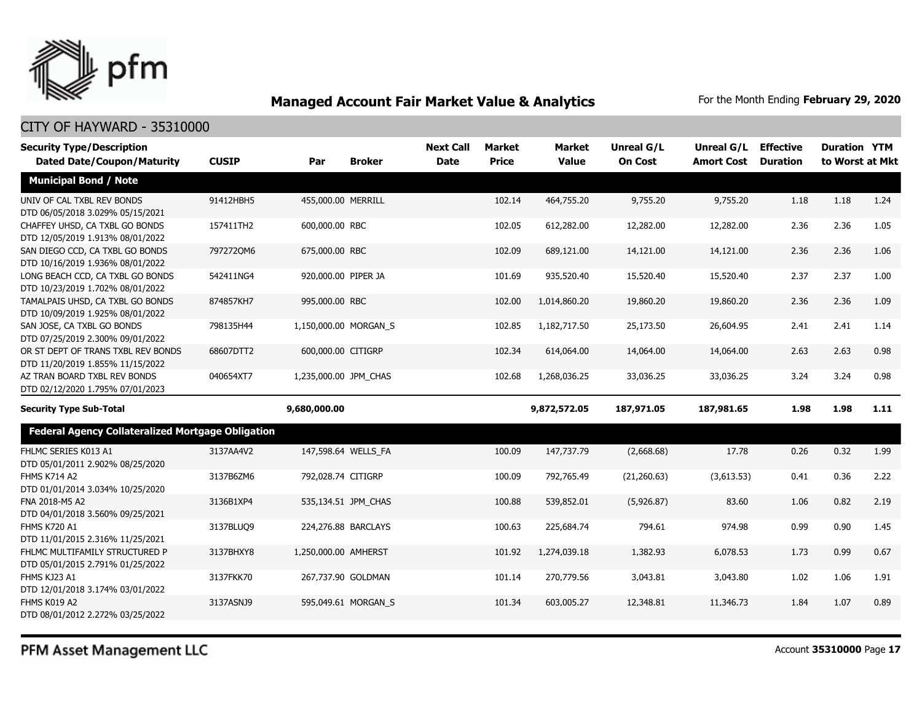

| <b>Security Type/Description</b>                                       |              |                       |                     | <b>Next Call</b> | Market       | <b>Market</b> | <b>Unreal G/L</b> | Unreal G/L        | <b>Effective</b> | <b>Duration YTM</b> |      |
|------------------------------------------------------------------------|--------------|-----------------------|---------------------|------------------|--------------|---------------|-------------------|-------------------|------------------|---------------------|------|
| <b>Dated Date/Coupon/Maturity</b>                                      | <b>CUSIP</b> | Par                   | <b>Broker</b>       | <b>Date</b>      | <b>Price</b> | <b>Value</b>  | <b>On Cost</b>    | <b>Amort Cost</b> | <b>Duration</b>  | to Worst at Mkt     |      |
| <b>Municipal Bond / Note</b>                                           |              |                       |                     |                  |              |               |                   |                   |                  |                     |      |
| UNIV OF CAL TXBL REV BONDS<br>DTD 06/05/2018 3.029% 05/15/2021         | 91412HBH5    | 455,000.00 MERRILL    |                     |                  | 102.14       | 464,755.20    | 9,755.20          | 9,755.20          | 1.18             | 1.18                | 1.24 |
| CHAFFEY UHSD, CA TXBL GO BONDS<br>DTD 12/05/2019 1.913% 08/01/2022     | 157411TH2    | 600,000.00 RBC        |                     |                  | 102.05       | 612,282.00    | 12,282.00         | 12,282.00         | 2.36             | 2.36                | 1.05 |
| SAN DIEGO CCD, CA TXBL GO BONDS<br>DTD 10/16/2019 1.936% 08/01/2022    | 7972720M6    | 675,000.00 RBC        |                     |                  | 102.09       | 689,121.00    | 14,121.00         | 14,121.00         | 2.36             | 2.36                | 1.06 |
| LONG BEACH CCD, CA TXBL GO BONDS<br>DTD 10/23/2019 1.702% 08/01/2022   | 542411NG4    | 920,000.00 PIPER JA   |                     |                  | 101.69       | 935,520.40    | 15,520.40         | 15,520.40         | 2.37             | 2.37                | 1.00 |
| TAMALPAIS UHSD, CA TXBL GO BONDS<br>DTD 10/09/2019 1.925% 08/01/2022   | 874857KH7    | 995,000.00 RBC        |                     |                  | 102.00       | 1,014,860.20  | 19,860.20         | 19,860.20         | 2.36             | 2.36                | 1.09 |
| SAN JOSE, CA TXBL GO BONDS<br>DTD 07/25/2019 2.300% 09/01/2022         | 798135H44    | 1,150,000.00 MORGAN_S |                     |                  | 102.85       | 1,182,717.50  | 25,173.50         | 26,604.95         | 2.41             | 2.41                | 1.14 |
| OR ST DEPT OF TRANS TXBL REV BONDS<br>DTD 11/20/2019 1.855% 11/15/2022 | 68607DTT2    | 600,000.00 CITIGRP    |                     |                  | 102.34       | 614,064.00    | 14,064.00         | 14,064.00         | 2.63             | 2.63                | 0.98 |
| AZ TRAN BOARD TXBL REV BONDS<br>DTD 02/12/2020 1.795% 07/01/2023       | 040654XT7    | 1,235,000.00 JPM_CHAS |                     |                  | 102.68       | 1,268,036.25  | 33,036.25         | 33,036.25         | 3.24             | 3.24                | 0.98 |
| <b>Security Type Sub-Total</b>                                         |              | 9,680,000.00          |                     |                  |              | 9,872,572.05  | 187,971.05        | 187,981.65        | 1.98             | 1.98                | 1.11 |
| <b>Federal Agency Collateralized Mortgage Obligation</b>               |              |                       |                     |                  |              |               |                   |                   |                  |                     |      |
| FHLMC SERIES K013 A1<br>DTD 05/01/2011 2.902% 08/25/2020               | 3137AA4V2    |                       | 147,598.64 WELLS_FA |                  | 100.09       | 147,737.79    | (2,668.68)        | 17.78             | 0.26             | 0.32                | 1.99 |
| <b>FHMS K714 A2</b><br>DTD 01/01/2014 3.034% 10/25/2020                | 3137B6ZM6    | 792,028.74 CITIGRP    |                     |                  | 100.09       | 792,765.49    | (21, 260.63)      | (3,613.53)        | 0.41             | 0.36                | 2.22 |
| FNA 2018-M5 A2<br>DTD 04/01/2018 3.560% 09/25/2021                     | 3136B1XP4    |                       | 535,134.51 JPM CHAS |                  | 100.88       | 539,852.01    | (5,926.87)        | 83.60             | 1.06             | 0.82                | 2.19 |
| <b>FHMS K720 A1</b><br>DTD 11/01/2015 2.316% 11/25/2021                | 3137BLUQ9    |                       | 224,276.88 BARCLAYS |                  | 100.63       | 225,684.74    | 794.61            | 974.98            | 0.99             | 0.90                | 1.45 |
| FHLMC MULTIFAMILY STRUCTURED P<br>DTD 05/01/2015 2.791% 01/25/2022     | 3137BHXY8    | 1,250,000.00 AMHERST  |                     |                  | 101.92       | 1,274,039.18  | 1,382.93          | 6,078.53          | 1.73             | 0.99                | 0.67 |
| FHMS KJ23 A1<br>DTD 12/01/2018 3.174% 03/01/2022                       | 3137FKK70    |                       | 267,737.90 GOLDMAN  |                  | 101.14       | 270,779.56    | 3,043.81          | 3,043.80          | 1.02             | 1.06                | 1.91 |
| FHMS K019 A2<br>DTD 08/01/2012 2.272% 03/25/2022                       | 3137ASNJ9    |                       | 595,049.61 MORGAN_S |                  | 101.34       | 603,005.27    | 12,348.81         | 11,346.73         | 1.84             | 1.07                | 0.89 |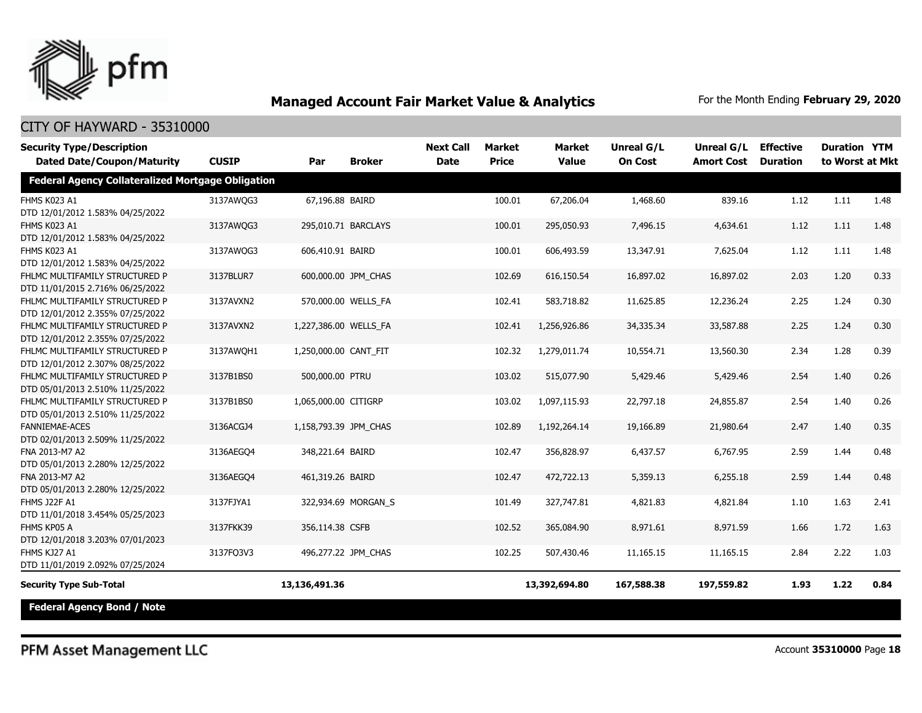

# CITY OF HAYWARD - 35310000

| <b>Security Type/Description</b>                         |              |                       |                     | <b>Next Call</b> | <b>Market</b> | <b>Market</b> | <b>Unreal G/L</b> | Unreal G/L        | <b>Effective</b> | <b>Duration YTM</b> |      |
|----------------------------------------------------------|--------------|-----------------------|---------------------|------------------|---------------|---------------|-------------------|-------------------|------------------|---------------------|------|
| <b>Dated Date/Coupon/Maturity</b>                        | <b>CUSIP</b> | Par                   | <b>Broker</b>       | <b>Date</b>      | <b>Price</b>  | <b>Value</b>  | <b>On Cost</b>    | <b>Amort Cost</b> | <b>Duration</b>  | to Worst at Mkt     |      |
| <b>Federal Agency Collateralized Mortgage Obligation</b> |              |                       |                     |                  |               |               |                   |                   |                  |                     |      |
| FHMS K023 A1                                             | 3137AWQG3    | 67,196.88 BAIRD       |                     |                  | 100.01        | 67,206.04     | 1,468.60          | 839.16            | 1.12             | 1.11                | 1.48 |
| DTD 12/01/2012 1.583% 04/25/2022                         |              |                       |                     |                  |               |               |                   |                   |                  |                     |      |
| FHMS K023 A1                                             | 3137AWQG3    | 295,010.71 BARCLAYS   |                     |                  | 100.01        | 295,050.93    | 7,496.15          | 4,634.61          | 1.12             | 1.11                | 1.48 |
| DTD 12/01/2012 1.583% 04/25/2022                         |              |                       |                     |                  |               |               |                   |                   |                  |                     |      |
| FHMS K023 A1                                             | 3137AWQG3    | 606,410.91 BAIRD      |                     |                  | 100.01        | 606,493.59    | 13,347.91         | 7,625.04          | 1.12             | 1.11                | 1.48 |
| DTD 12/01/2012 1.583% 04/25/2022                         |              |                       |                     |                  |               |               |                   |                   |                  |                     |      |
| FHLMC MULTIFAMILY STRUCTURED P                           | 3137BLUR7    | 600,000.00 JPM_CHAS   |                     |                  | 102.69        | 616,150.54    | 16,897.02         | 16,897.02         | 2.03             | 1.20                | 0.33 |
| DTD 11/01/2015 2.716% 06/25/2022                         |              |                       |                     |                  |               |               |                   |                   |                  |                     |      |
| FHLMC MULTIFAMILY STRUCTURED P                           | 3137AVXN2    |                       | 570,000.00 WELLS FA |                  | 102.41        | 583,718.82    | 11,625.85         | 12,236.24         | 2.25             | 1.24                | 0.30 |
| DTD 12/01/2012 2.355% 07/25/2022                         |              |                       |                     |                  |               |               |                   |                   |                  |                     |      |
| FHLMC MULTIFAMILY STRUCTURED P                           | 3137AVXN2    | 1,227,386.00 WELLS FA |                     |                  | 102.41        | 1,256,926.86  | 34,335.34         | 33,587.88         | 2.25             | 1.24                | 0.30 |
| DTD 12/01/2012 2.355% 07/25/2022                         |              |                       |                     |                  |               |               |                   |                   |                  |                     |      |
| FHLMC MULTIFAMILY STRUCTURED P                           | 3137AWOH1    | 1,250,000.00 CANT_FIT |                     |                  | 102.32        | 1,279,011.74  | 10,554.71         | 13,560.30         | 2.34             | 1.28                | 0.39 |
| DTD 12/01/2012 2.307% 08/25/2022                         |              |                       |                     |                  |               |               |                   |                   |                  |                     |      |
| FHLMC MULTIFAMILY STRUCTURED P                           | 3137B1BS0    | 500,000.00 PTRU       |                     |                  | 103.02        | 515,077.90    | 5,429.46          | 5,429.46          | 2.54             | 1.40                | 0.26 |
| DTD 05/01/2013 2.510% 11/25/2022                         |              |                       |                     |                  |               |               |                   |                   |                  |                     |      |
| FHLMC MULTIFAMILY STRUCTURED P                           | 3137B1BS0    | 1,065,000.00 CITIGRP  |                     |                  | 103.02        | 1,097,115.93  | 22,797.18         | 24,855.87         | 2.54             | 1.40                | 0.26 |
| DTD 05/01/2013 2.510% 11/25/2022                         |              |                       |                     |                  |               |               |                   |                   |                  |                     |      |
| <b>FANNIEMAE-ACES</b>                                    | 3136ACGJ4    | 1,158,793.39 JPM_CHAS |                     |                  | 102.89        | 1,192,264.14  | 19,166.89         | 21,980.64         | 2.47             | 1.40                | 0.35 |
| DTD 02/01/2013 2.509% 11/25/2022                         |              |                       |                     |                  |               |               |                   |                   |                  |                     |      |
| FNA 2013-M7 A2                                           | 3136AEGO4    | 348,221.64 BAIRD      |                     |                  | 102.47        | 356,828.97    | 6,437.57          | 6,767.95          | 2.59             | 1.44                | 0.48 |
| DTD 05/01/2013 2.280% 12/25/2022                         |              |                       |                     |                  |               |               |                   |                   |                  |                     |      |
| FNA 2013-M7 A2                                           | 3136AEGQ4    | 461,319.26 BAIRD      |                     |                  | 102.47        | 472,722.13    | 5,359.13          | 6,255.18          | 2.59             | 1.44                | 0.48 |
| DTD 05/01/2013 2.280% 12/25/2022                         |              |                       |                     |                  |               |               |                   |                   |                  |                     |      |
| FHMS J22F A1                                             | 3137FJYA1    |                       | 322,934.69 MORGAN_S |                  | 101.49        | 327,747.81    | 4,821.83          | 4,821.84          | 1.10             | 1.63                | 2.41 |
| DTD 11/01/2018 3.454% 05/25/2023                         |              |                       |                     |                  |               |               |                   |                   |                  |                     |      |
| FHMS KP05 A                                              | 3137FKK39    | 356,114.38 CSFB       |                     |                  | 102.52        | 365,084.90    | 8,971.61          | 8,971.59          | 1.66             | 1.72                | 1.63 |
| DTD 12/01/2018 3.203% 07/01/2023                         |              |                       |                     |                  |               |               |                   |                   |                  |                     |      |
| FHMS KJ27 A1                                             | 3137FQ3V3    |                       | 496,277.22 JPM_CHAS |                  | 102.25        | 507,430.46    | 11,165.15         | 11,165.15         | 2.84             | 2.22                | 1.03 |
| DTD 11/01/2019 2.092% 07/25/2024                         |              |                       |                     |                  |               |               |                   |                   |                  |                     |      |
| <b>Security Type Sub-Total</b>                           |              | 13,136,491.36         |                     |                  |               | 13,392,694.80 | 167,588.38        | 197,559.82        | 1.93             | 1.22                | 0.84 |
| <b>Federal Agency Bond / Note</b>                        |              |                       |                     |                  |               |               |                   |                   |                  |                     |      |

PFM Asset Management LLC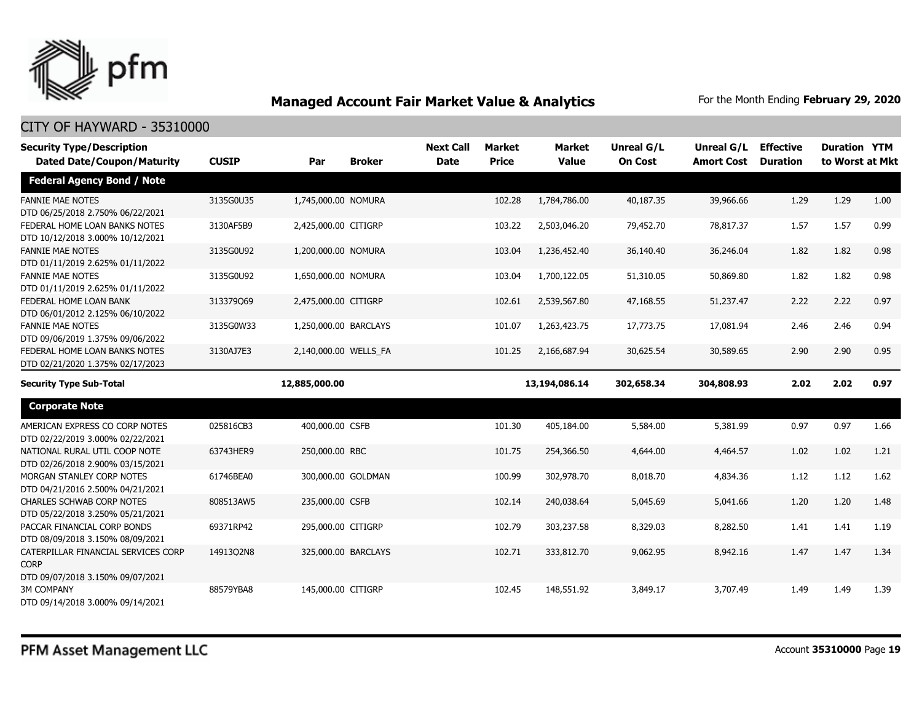

| <b>Security Type/Description</b>                                                       |              |                       |                     | <b>Next Call</b> | <b>Market</b> | <b>Market</b> | Unreal G/L     | <b>Unreal G/L</b> | <b>Effective</b> | <b>Duration YTM</b> |      |
|----------------------------------------------------------------------------------------|--------------|-----------------------|---------------------|------------------|---------------|---------------|----------------|-------------------|------------------|---------------------|------|
| <b>Dated Date/Coupon/Maturity</b>                                                      | <b>CUSIP</b> | Par                   | <b>Broker</b>       | <b>Date</b>      | <b>Price</b>  | <b>Value</b>  | <b>On Cost</b> | <b>Amort Cost</b> | <b>Duration</b>  | to Worst at Mkt     |      |
| <b>Federal Agency Bond / Note</b>                                                      |              |                       |                     |                  |               |               |                |                   |                  |                     |      |
| <b>FANNIE MAE NOTES</b><br>DTD 06/25/2018 2.750% 06/22/2021                            | 3135G0U35    | 1,745,000.00 NOMURA   |                     |                  | 102.28        | 1,784,786.00  | 40,187.35      | 39,966.66         | 1.29             | 1.29                | 1.00 |
| FEDERAL HOME LOAN BANKS NOTES<br>DTD 10/12/2018 3.000% 10/12/2021                      | 3130AF5B9    | 2,425,000.00 CITIGRP  |                     |                  | 103.22        | 2,503,046.20  | 79,452.70      | 78,817.37         | 1.57             | 1.57                | 0.99 |
| <b>FANNIE MAE NOTES</b><br>DTD 01/11/2019 2.625% 01/11/2022                            | 3135G0U92    | 1,200,000.00 NOMURA   |                     |                  | 103.04        | 1,236,452.40  | 36,140.40      | 36,246.04         | 1.82             | 1.82                | 0.98 |
| <b>FANNIE MAE NOTES</b><br>DTD 01/11/2019 2.625% 01/11/2022                            | 3135G0U92    | 1,650,000.00 NOMURA   |                     |                  | 103.04        | 1,700,122.05  | 51,310.05      | 50,869.80         | 1.82             | 1.82                | 0.98 |
| FEDERAL HOME LOAN BANK<br>DTD 06/01/2012 2.125% 06/10/2022                             | 313379069    | 2,475,000.00 CITIGRP  |                     |                  | 102.61        | 2,539,567.80  | 47,168.55      | 51,237.47         | 2.22             | 2.22                | 0.97 |
| <b>FANNIE MAE NOTES</b><br>DTD 09/06/2019 1.375% 09/06/2022                            | 3135G0W33    | 1,250,000.00 BARCLAYS |                     |                  | 101.07        | 1,263,423.75  | 17,773.75      | 17,081.94         | 2.46             | 2.46                | 0.94 |
| FEDERAL HOME LOAN BANKS NOTES<br>DTD 02/21/2020 1.375% 02/17/2023                      | 3130AJ7E3    | 2,140,000.00 WELLS_FA |                     |                  | 101.25        | 2,166,687.94  | 30,625.54      | 30,589.65         | 2.90             | 2.90                | 0.95 |
| <b>Security Type Sub-Total</b>                                                         |              | 12,885,000.00         |                     |                  |               | 13,194,086.14 | 302,658.34     | 304,808.93        | 2.02             | 2.02                | 0.97 |
| <b>Corporate Note</b>                                                                  |              |                       |                     |                  |               |               |                |                   |                  |                     |      |
| AMERICAN EXPRESS CO CORP NOTES<br>DTD 02/22/2019 3.000% 02/22/2021                     | 025816CB3    | 400,000,00 CSFB       |                     |                  | 101.30        | 405,184.00    | 5,584.00       | 5,381.99          | 0.97             | 0.97                | 1.66 |
| NATIONAL RURAL UTIL COOP NOTE<br>DTD 02/26/2018 2.900% 03/15/2021                      | 63743HER9    | 250,000.00 RBC        |                     |                  | 101.75        | 254,366.50    | 4,644.00       | 4,464.57          | 1.02             | 1.02                | 1.21 |
| MORGAN STANLEY CORP NOTES<br>DTD 04/21/2016 2.500% 04/21/2021                          | 61746BEA0    |                       | 300,000.00 GOLDMAN  |                  | 100.99        | 302,978.70    | 8,018.70       | 4,834.36          | 1.12             | 1.12                | 1.62 |
| <b>CHARLES SCHWAB CORP NOTES</b><br>DTD 05/22/2018 3.250% 05/21/2021                   | 808513AW5    | 235,000.00 CSFB       |                     |                  | 102.14        | 240,038.64    | 5,045.69       | 5,041.66          | 1.20             | 1.20                | 1.48 |
| PACCAR FINANCIAL CORP BONDS<br>DTD 08/09/2018 3.150% 08/09/2021                        | 69371RP42    | 295,000.00 CITIGRP    |                     |                  | 102.79        | 303,237.58    | 8,329.03       | 8,282.50          | 1.41             | 1.41                | 1.19 |
| CATERPILLAR FINANCIAL SERVICES CORP<br><b>CORP</b><br>DTD 09/07/2018 3.150% 09/07/2021 | 14913Q2N8    |                       | 325,000.00 BARCLAYS |                  | 102.71        | 333,812.70    | 9,062.95       | 8,942.16          | 1.47             | 1.47                | 1.34 |
| <b>3M COMPANY</b><br>DTD 09/14/2018 3.000% 09/14/2021                                  | 88579YBA8    | 145,000.00 CITIGRP    |                     |                  | 102.45        | 148,551.92    | 3,849.17       | 3,707.49          | 1.49             | 1.49                | 1.39 |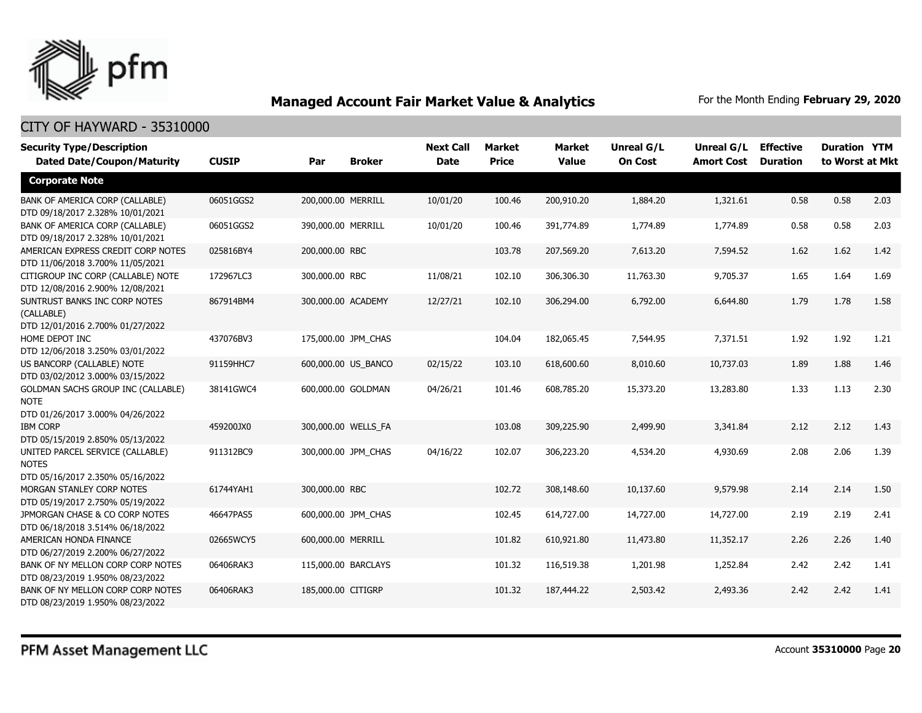

| <b>Security Type/Description</b><br><b>Dated Date/Coupon/Maturity</b>                        | <b>CUSIP</b> | Par                | <b>Broker</b>       | <b>Next Call</b><br><b>Date</b> | <b>Market</b><br><b>Price</b> | <b>Market</b><br><b>Value</b> | <b>Unreal G/L</b><br><b>On Cost</b> | Unreal G/L<br><b>Amort Cost</b> | <b>Effective</b><br><b>Duration</b> | <b>Duration YTM</b><br>to Worst at Mkt |      |
|----------------------------------------------------------------------------------------------|--------------|--------------------|---------------------|---------------------------------|-------------------------------|-------------------------------|-------------------------------------|---------------------------------|-------------------------------------|----------------------------------------|------|
| <b>Corporate Note</b>                                                                        |              |                    |                     |                                 |                               |                               |                                     |                                 |                                     |                                        |      |
| BANK OF AMERICA CORP (CALLABLE)<br>DTD 09/18/2017 2.328% 10/01/2021                          | 06051GGS2    | 200,000.00 MERRILL |                     | 10/01/20                        | 100.46                        | 200,910.20                    | 1,884.20                            | 1,321.61                        | 0.58                                | 0.58                                   | 2.03 |
| BANK OF AMERICA CORP (CALLABLE)<br>DTD 09/18/2017 2.328% 10/01/2021                          | 06051GGS2    | 390,000.00 MERRILL |                     | 10/01/20                        | 100.46                        | 391,774.89                    | 1,774.89                            | 1,774.89                        | 0.58                                | 0.58                                   | 2.03 |
| AMERICAN EXPRESS CREDIT CORP NOTES<br>DTD 11/06/2018 3.700% 11/05/2021                       | 025816BY4    | 200,000.00 RBC     |                     |                                 | 103.78                        | 207,569.20                    | 7,613.20                            | 7,594.52                        | 1.62                                | 1.62                                   | 1.42 |
| CITIGROUP INC CORP (CALLABLE) NOTE<br>DTD 12/08/2016 2.900% 12/08/2021                       | 172967LC3    | 300,000.00 RBC     |                     | 11/08/21                        | 102.10                        | 306,306.30                    | 11,763.30                           | 9,705.37                        | 1.65                                | 1.64                                   | 1.69 |
| SUNTRUST BANKS INC CORP NOTES<br>(CALLABLE)<br>DTD 12/01/2016 2.700% 01/27/2022              | 867914BM4    | 300,000.00 ACADEMY |                     | 12/27/21                        | 102.10                        | 306,294.00                    | 6,792.00                            | 6,644.80                        | 1.79                                | 1.78                                   | 1.58 |
| HOME DEPOT INC<br>DTD 12/06/2018 3.250% 03/01/2022                                           | 437076BV3    |                    | 175,000.00 JPM CHAS |                                 | 104.04                        | 182,065.45                    | 7,544.95                            | 7,371.51                        | 1.92                                | 1.92                                   | 1.21 |
| US BANCORP (CALLABLE) NOTE<br>DTD 03/02/2012 3.000% 03/15/2022                               | 91159HHC7    |                    | 600,000.00 US_BANCO | 02/15/22                        | 103.10                        | 618,600.60                    | 8,010.60                            | 10,737.03                       | 1.89                                | 1.88                                   | 1.46 |
| <b>GOLDMAN SACHS GROUP INC (CALLABLE)</b><br><b>NOTE</b><br>DTD 01/26/2017 3.000% 04/26/2022 | 38141GWC4    |                    | 600,000.00 GOLDMAN  | 04/26/21                        | 101.46                        | 608,785.20                    | 15,373.20                           | 13,283.80                       | 1.33                                | 1.13                                   | 2.30 |
| <b>IBM CORP</b><br>DTD 05/15/2019 2.850% 05/13/2022                                          | 459200JX0    |                    | 300,000.00 WELLS_FA |                                 | 103.08                        | 309,225.90                    | 2,499.90                            | 3,341.84                        | 2.12                                | 2.12                                   | 1.43 |
| UNITED PARCEL SERVICE (CALLABLE)<br><b>NOTES</b><br>DTD 05/16/2017 2.350% 05/16/2022         | 911312BC9    |                    | 300,000.00 JPM CHAS | 04/16/22                        | 102.07                        | 306,223.20                    | 4,534.20                            | 4,930.69                        | 2.08                                | 2.06                                   | 1.39 |
| MORGAN STANLEY CORP NOTES<br>DTD 05/19/2017 2.750% 05/19/2022                                | 61744YAH1    | 300,000.00 RBC     |                     |                                 | 102.72                        | 308,148.60                    | 10,137.60                           | 9,579.98                        | 2.14                                | 2.14                                   | 1.50 |
| JPMORGAN CHASE & CO CORP NOTES<br>DTD 06/18/2018 3.514% 06/18/2022                           | 46647PAS5    |                    | 600,000.00 JPM_CHAS |                                 | 102.45                        | 614,727.00                    | 14,727.00                           | 14,727.00                       | 2.19                                | 2.19                                   | 2.41 |
| AMERICAN HONDA FINANCE<br>DTD 06/27/2019 2.200% 06/27/2022                                   | 02665WCY5    | 600,000.00 MERRILL |                     |                                 | 101.82                        | 610,921.80                    | 11,473.80                           | 11,352.17                       | 2.26                                | 2.26                                   | 1.40 |
| BANK OF NY MELLON CORP CORP NOTES<br>DTD 08/23/2019 1.950% 08/23/2022                        | 06406RAK3    |                    | 115,000.00 BARCLAYS |                                 | 101.32                        | 116,519.38                    | 1,201.98                            | 1,252.84                        | 2.42                                | 2.42                                   | 1.41 |
| BANK OF NY MELLON CORP CORP NOTES<br>DTD 08/23/2019 1.950% 08/23/2022                        | 06406RAK3    | 185,000.00 CITIGRP |                     |                                 | 101.32                        | 187,444.22                    | 2,503.42                            | 2,493.36                        | 2.42                                | 2.42                                   | 1.41 |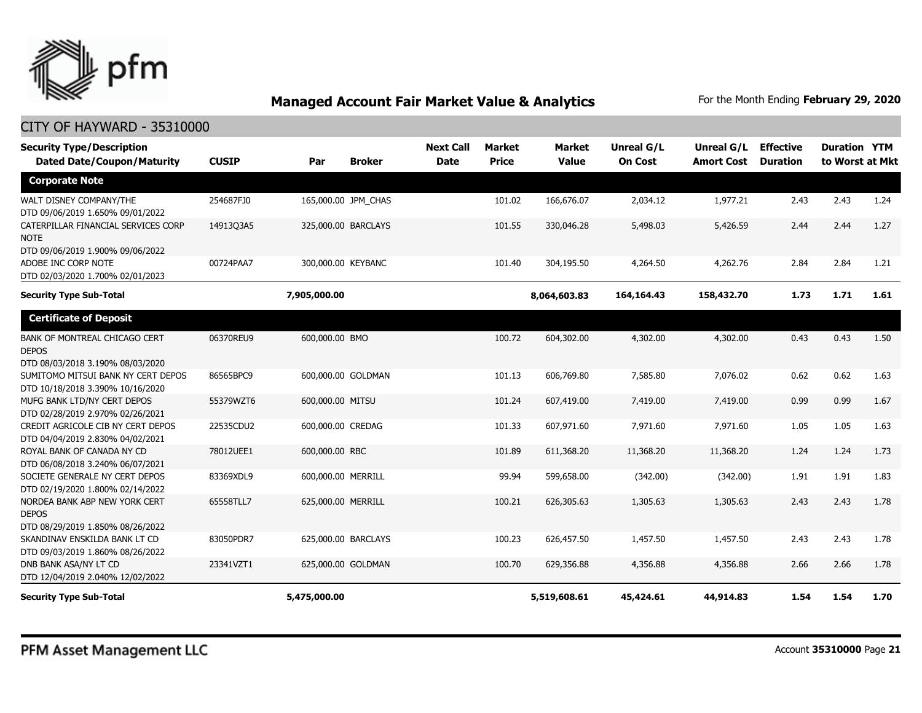

| <b>Security Type/Description</b><br><b>Dated Date/Coupon/Maturity</b>                    | <b>CUSIP</b> | Par                 | <b>Broker</b>       | <b>Next Call</b><br><b>Date</b> | <b>Market</b><br><b>Price</b> | <b>Market</b><br><b>Value</b> | <b>Unreal G/L</b><br><b>On Cost</b> | Unreal G/L<br><b>Amort Cost</b> | <b>Effective</b><br><b>Duration</b> | <b>Duration YTM</b><br>to Worst at Mkt |      |
|------------------------------------------------------------------------------------------|--------------|---------------------|---------------------|---------------------------------|-------------------------------|-------------------------------|-------------------------------------|---------------------------------|-------------------------------------|----------------------------------------|------|
| <b>Corporate Note</b>                                                                    |              |                     |                     |                                 |                               |                               |                                     |                                 |                                     |                                        |      |
| WALT DISNEY COMPANY/THE<br>DTD 09/06/2019 1.650% 09/01/2022                              | 254687FJ0    |                     | 165,000.00 JPM_CHAS |                                 | 101.02                        | 166,676.07                    | 2,034.12                            | 1,977.21                        | 2.43                                | 2.43                                   | 1.24 |
| CATERPILLAR FINANCIAL SERVICES CORP<br>NOTE<br>DTD 09/06/2019 1.900% 09/06/2022          | 14913Q3A5    | 325,000.00 BARCLAYS |                     |                                 | 101.55                        | 330,046.28                    | 5,498.03                            | 5,426.59                        | 2.44                                | 2.44                                   | 1.27 |
| ADOBE INC CORP NOTE<br>DTD 02/03/2020 1.700% 02/01/2023                                  | 00724PAA7    | 300,000.00 KEYBANC  |                     |                                 | 101.40                        | 304,195.50                    | 4,264.50                            | 4,262.76                        | 2.84                                | 2.84                                   | 1.21 |
| <b>Security Type Sub-Total</b>                                                           |              | 7,905,000.00        |                     |                                 |                               | 8,064,603.83                  | 164,164.43                          | 158,432.70                      | 1.73                                | 1.71                                   | 1.61 |
| <b>Certificate of Deposit</b>                                                            |              |                     |                     |                                 |                               |                               |                                     |                                 |                                     |                                        |      |
| <b>BANK OF MONTREAL CHICAGO CERT</b><br><b>DEPOS</b><br>DTD 08/03/2018 3.190% 08/03/2020 | 06370REU9    | 600,000.00 BMO      |                     |                                 | 100.72                        | 604,302.00                    | 4,302.00                            | 4,302.00                        | 0.43                                | 0.43                                   | 1.50 |
| SUMITOMO MITSUI BANK NY CERT DEPOS<br>DTD 10/18/2018 3.390% 10/16/2020                   | 86565BPC9    | 600,000.00 GOLDMAN  |                     |                                 | 101.13                        | 606,769.80                    | 7,585.80                            | 7,076.02                        | 0.62                                | 0.62                                   | 1.63 |
| MUFG BANK LTD/NY CERT DEPOS<br>DTD 02/28/2019 2.970% 02/26/2021                          | 55379WZT6    | 600,000.00 MITSU    |                     |                                 | 101.24                        | 607,419.00                    | 7,419.00                            | 7,419.00                        | 0.99                                | 0.99                                   | 1.67 |
| CREDIT AGRICOLE CIB NY CERT DEPOS<br>DTD 04/04/2019 2.830% 04/02/2021                    | 22535CDU2    | 600,000.00 CREDAG   |                     |                                 | 101.33                        | 607,971.60                    | 7,971.60                            | 7,971.60                        | 1.05                                | 1.05                                   | 1.63 |
| ROYAL BANK OF CANADA NY CD<br>DTD 06/08/2018 3.240% 06/07/2021                           | 78012UEE1    | 600,000.00 RBC      |                     |                                 | 101.89                        | 611,368.20                    | 11,368.20                           | 11,368.20                       | 1.24                                | 1.24                                   | 1.73 |
| SOCIETE GENERALE NY CERT DEPOS<br>DTD 02/19/2020 1.800% 02/14/2022                       | 83369XDL9    | 600,000.00 MERRILL  |                     |                                 | 99.94                         | 599,658.00                    | (342.00)                            | (342.00)                        | 1.91                                | 1.91                                   | 1.83 |
| NORDEA BANK ABP NEW YORK CERT<br><b>DEPOS</b><br>DTD 08/29/2019 1.850% 08/26/2022        | 65558TLL7    | 625,000.00 MERRILL  |                     |                                 | 100.21                        | 626,305.63                    | 1,305.63                            | 1,305.63                        | 2.43                                | 2.43                                   | 1.78 |
| SKANDINAV ENSKILDA BANK LT CD<br>DTD 09/03/2019 1.860% 08/26/2022                        | 83050PDR7    | 625,000.00 BARCLAYS |                     |                                 | 100.23                        | 626,457.50                    | 1,457.50                            | 1,457.50                        | 2.43                                | 2.43                                   | 1.78 |
| DNB BANK ASA/NY LT CD<br>DTD 12/04/2019 2.040% 12/02/2022                                | 23341VZT1    | 625,000.00 GOLDMAN  |                     |                                 | 100.70                        | 629,356.88                    | 4,356.88                            | 4,356.88                        | 2.66                                | 2.66                                   | 1.78 |
| <b>Security Type Sub-Total</b>                                                           |              | 5,475,000.00        |                     |                                 |                               | 5,519,608.61                  | 45,424.61                           | 44,914.83                       | 1.54                                | 1.54                                   | 1.70 |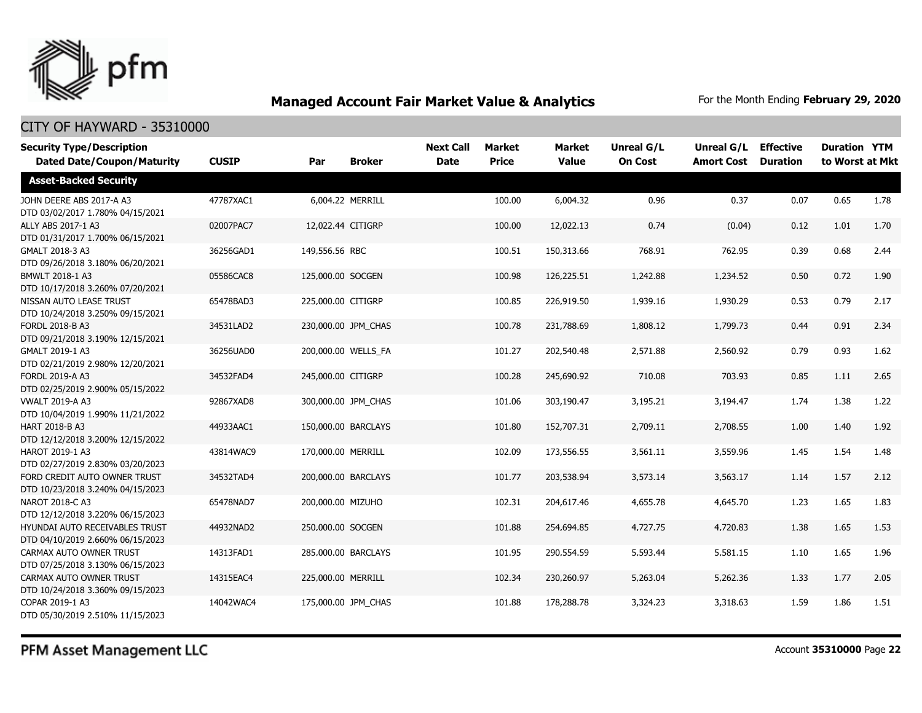

### CITY OF HAYWARD - 35310000

| <b>Security Type/Description</b><br><b>Dated Date/Coupon/Maturity</b> | <b>CUSIP</b> | Par                | <b>Broker</b>       | <b>Next Call</b><br><b>Date</b> | <b>Market</b><br><b>Price</b> | <b>Market</b><br><b>Value</b> | Unreal G/L<br><b>On Cost</b> | Unreal G/L<br><b>Amort Cost</b> | <b>Effective</b><br><b>Duration</b> | <b>Duration YTM</b><br>to Worst at Mkt |      |
|-----------------------------------------------------------------------|--------------|--------------------|---------------------|---------------------------------|-------------------------------|-------------------------------|------------------------------|---------------------------------|-------------------------------------|----------------------------------------|------|
| <b>Asset-Backed Security</b>                                          |              |                    |                     |                                 |                               |                               |                              |                                 |                                     |                                        |      |
| JOHN DEERE ABS 2017-A A3<br>DTD 03/02/2017 1.780% 04/15/2021          | 47787XAC1    |                    | 6.004.22 MERRILL    |                                 | 100.00                        | 6,004.32                      | 0.96                         | 0.37                            | 0.07                                | 0.65                                   | 1.78 |
| ALLY ABS 2017-1 A3<br>DTD 01/31/2017 1.700% 06/15/2021                | 02007PAC7    | 12,022.44 CITIGRP  |                     |                                 | 100.00                        | 12,022.13                     | 0.74                         | (0.04)                          | 0.12                                | 1.01                                   | 1.70 |
| GMALT 2018-3 A3<br>DTD 09/26/2018 3.180% 06/20/2021                   | 36256GAD1    | 149,556.56 RBC     |                     |                                 | 100.51                        | 150,313.66                    | 768.91                       | 762.95                          | 0.39                                | 0.68                                   | 2.44 |
| <b>BMWLT 2018-1 A3</b><br>DTD 10/17/2018 3.260% 07/20/2021            | 05586CAC8    | 125,000.00 SOCGEN  |                     |                                 | 100.98                        | 126,225.51                    | 1,242.88                     | 1,234.52                        | 0.50                                | 0.72                                   | 1.90 |
| NISSAN AUTO LEASE TRUST<br>DTD 10/24/2018 3.250% 09/15/2021           | 65478BAD3    | 225,000.00 CITIGRP |                     |                                 | 100.85                        | 226,919.50                    | 1,939.16                     | 1,930.29                        | 0.53                                | 0.79                                   | 2.17 |
| FORDL 2018-B A3<br>DTD 09/21/2018 3.190% 12/15/2021                   | 34531LAD2    |                    | 230,000.00 JPM_CHAS |                                 | 100.78                        | 231,788.69                    | 1,808.12                     | 1,799.73                        | 0.44                                | 0.91                                   | 2.34 |
| GMALT 2019-1 A3<br>DTD 02/21/2019 2.980% 12/20/2021                   | 36256UAD0    |                    | 200,000.00 WELLS_FA |                                 | 101.27                        | 202,540.48                    | 2,571.88                     | 2,560.92                        | 0.79                                | 0.93                                   | 1.62 |
| FORDL 2019-A A3<br>DTD 02/25/2019 2.900% 05/15/2022                   | 34532FAD4    | 245,000.00 CITIGRP |                     |                                 | 100.28                        | 245,690.92                    | 710.08                       | 703.93                          | 0.85                                | 1.11                                   | 2.65 |
| <b>VWALT 2019-A A3</b><br>DTD 10/04/2019 1.990% 11/21/2022            | 92867XAD8    |                    | 300,000.00 JPM CHAS |                                 | 101.06                        | 303,190.47                    | 3,195.21                     | 3,194.47                        | 1.74                                | 1.38                                   | 1.22 |
| HART 2018-B A3<br>DTD 12/12/2018 3.200% 12/15/2022                    | 44933AAC1    |                    | 150,000.00 BARCLAYS |                                 | 101.80                        | 152,707.31                    | 2,709.11                     | 2,708.55                        | 1.00                                | 1.40                                   | 1.92 |
| HAROT 2019-1 A3<br>DTD 02/27/2019 2.830% 03/20/2023                   | 43814WAC9    | 170,000.00 MERRILL |                     |                                 | 102.09                        | 173,556.55                    | 3,561.11                     | 3,559.96                        | 1.45                                | 1.54                                   | 1.48 |
| FORD CREDIT AUTO OWNER TRUST<br>DTD 10/23/2018 3.240% 04/15/2023      | 34532TAD4    |                    | 200,000.00 BARCLAYS |                                 | 101.77                        | 203,538.94                    | 3,573.14                     | 3,563.17                        | 1.14                                | 1.57                                   | 2.12 |
| NAROT 2018-C A3<br>DTD 12/12/2018 3.220% 06/15/2023                   | 65478NAD7    | 200,000.00 MIZUHO  |                     |                                 | 102.31                        | 204,617.46                    | 4,655.78                     | 4,645.70                        | 1.23                                | 1.65                                   | 1.83 |
| HYUNDAI AUTO RECEIVABLES TRUST<br>DTD 04/10/2019 2.660% 06/15/2023    | 44932NAD2    | 250,000.00 SOCGEN  |                     |                                 | 101.88                        | 254,694.85                    | 4,727.75                     | 4,720.83                        | 1.38                                | 1.65                                   | 1.53 |
| CARMAX AUTO OWNER TRUST<br>DTD 07/25/2018 3.130% 06/15/2023           | 14313FAD1    |                    | 285,000.00 BARCLAYS |                                 | 101.95                        | 290,554.59                    | 5,593.44                     | 5,581.15                        | 1.10                                | 1.65                                   | 1.96 |
| CARMAX AUTO OWNER TRUST<br>DTD 10/24/2018 3.360% 09/15/2023           | 14315EAC4    | 225,000.00 MERRILL |                     |                                 | 102.34                        | 230,260.97                    | 5,263.04                     | 5,262.36                        | 1.33                                | 1.77                                   | 2.05 |
| COPAR 2019-1 A3<br>DTD 05/30/2019 2.510% 11/15/2023                   | 14042WAC4    |                    | 175,000.00 JPM CHAS |                                 | 101.88                        | 178,288.78                    | 3,324.23                     | 3,318.63                        | 1.59                                | 1.86                                   | 1.51 |

PFM Asset Management LLC

Account **35310000** Page **22**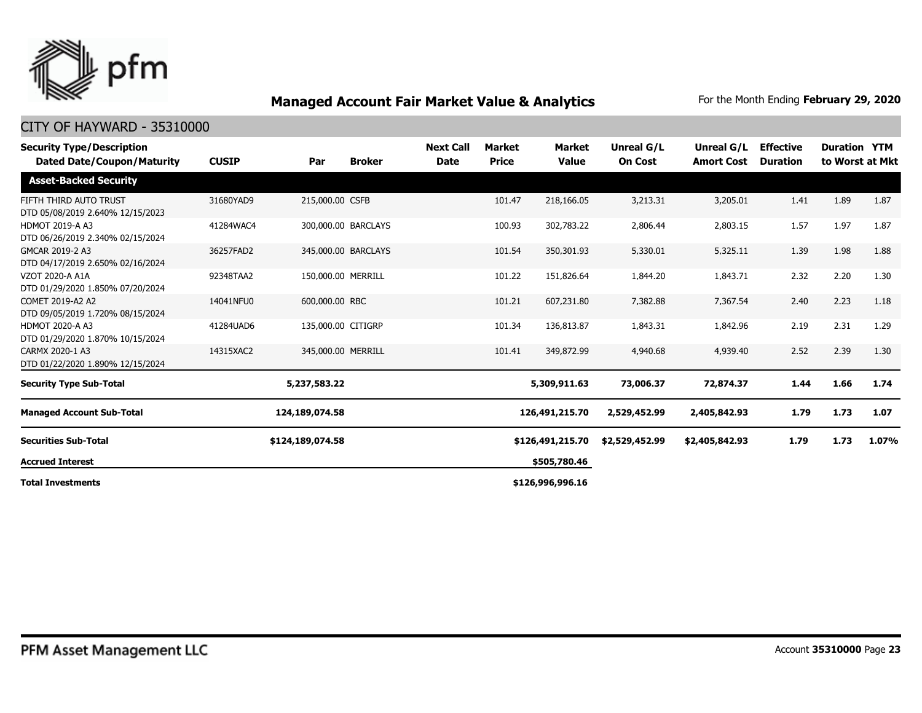

| <b>Security Type/Description</b><br>Dated Date/Coupon/Maturity | <b>CUSIP</b> | Par                 | <b>Broker</b> | <b>Next Call</b><br><b>Date</b> | <b>Market</b><br><b>Price</b> | <b>Market</b><br><b>Value</b> | <b>Unreal G/L</b><br><b>On Cost</b> | Unreal G/L<br><b>Amort Cost</b> | <b>Effective</b><br><b>Duration</b> | <b>Duration YTM</b> | to Worst at Mkt |
|----------------------------------------------------------------|--------------|---------------------|---------------|---------------------------------|-------------------------------|-------------------------------|-------------------------------------|---------------------------------|-------------------------------------|---------------------|-----------------|
| <b>Asset-Backed Security</b>                                   |              |                     |               |                                 |                               |                               |                                     |                                 |                                     |                     |                 |
| FIFTH THIRD AUTO TRUST<br>DTD 05/08/2019 2.640% 12/15/2023     | 31680YAD9    | 215,000.00 CSFB     |               |                                 | 101.47                        | 218,166.05                    | 3,213.31                            | 3,205.01                        | 1.41                                | 1.89                | 1.87            |
| <b>HDMOT 2019-A A3</b><br>DTD 06/26/2019 2.340% 02/15/2024     | 41284WAC4    | 300,000.00 BARCLAYS |               |                                 | 100.93                        | 302,783.22                    | 2,806.44                            | 2,803.15                        | 1.57                                | 1.97                | 1.87            |
| GMCAR 2019-2 A3<br>DTD 04/17/2019 2.650% 02/16/2024            | 36257FAD2    | 345,000.00 BARCLAYS |               |                                 | 101.54                        | 350,301.93                    | 5,330.01                            | 5,325.11                        | 1.39                                | 1.98                | 1.88            |
| VZOT 2020-A A1A<br>DTD 01/29/2020 1.850% 07/20/2024            | 92348TAA2    | 150,000.00 MERRILL  |               |                                 | 101.22                        | 151,826.64                    | 1,844.20                            | 1,843.71                        | 2.32                                | 2.20                | 1.30            |
| COMET 2019-A2 A2<br>DTD 09/05/2019 1.720% 08/15/2024           | 14041NFU0    | 600,000.00 RBC      |               |                                 | 101.21                        | 607,231.80                    | 7,382.88                            | 7,367.54                        | 2.40                                | 2.23                | 1.18            |
| <b>HDMOT 2020-A A3</b><br>DTD 01/29/2020 1.870% 10/15/2024     | 41284UAD6    | 135,000.00 CITIGRP  |               |                                 | 101.34                        | 136,813.87                    | 1,843.31                            | 1,842.96                        | 2.19                                | 2.31                | 1.29            |
| CARMX 2020-1 A3<br>DTD 01/22/2020 1.890% 12/15/2024            | 14315XAC2    | 345,000.00 MERRILL  |               |                                 | 101.41                        | 349,872.99                    | 4,940.68                            | 4,939.40                        | 2.52                                | 2.39                | 1.30            |
| <b>Security Type Sub-Total</b>                                 |              | 5,237,583.22        |               |                                 |                               | 5,309,911.63                  | 73,006.37                           | 72,874.37                       | 1.44                                | 1.66                | 1.74            |
| <b>Managed Account Sub-Total</b>                               |              | 124,189,074.58      |               |                                 |                               | 126,491,215.70                | 2,529,452.99                        | 2,405,842.93                    | 1.79                                | 1.73                | 1.07            |
| <b>Securities Sub-Total</b>                                    |              | \$124,189,074.58    |               |                                 |                               | \$126,491,215.70              | \$2,529,452.99                      | \$2,405,842.93                  | 1.79                                | 1.73                | 1.07%           |
| <b>Accrued Interest</b>                                        |              |                     |               |                                 | \$505,780.46                  |                               |                                     |                                 |                                     |                     |                 |
| <b>Total Investments</b>                                       |              |                     |               |                                 |                               | \$126,996,996.16              |                                     |                                 |                                     |                     |                 |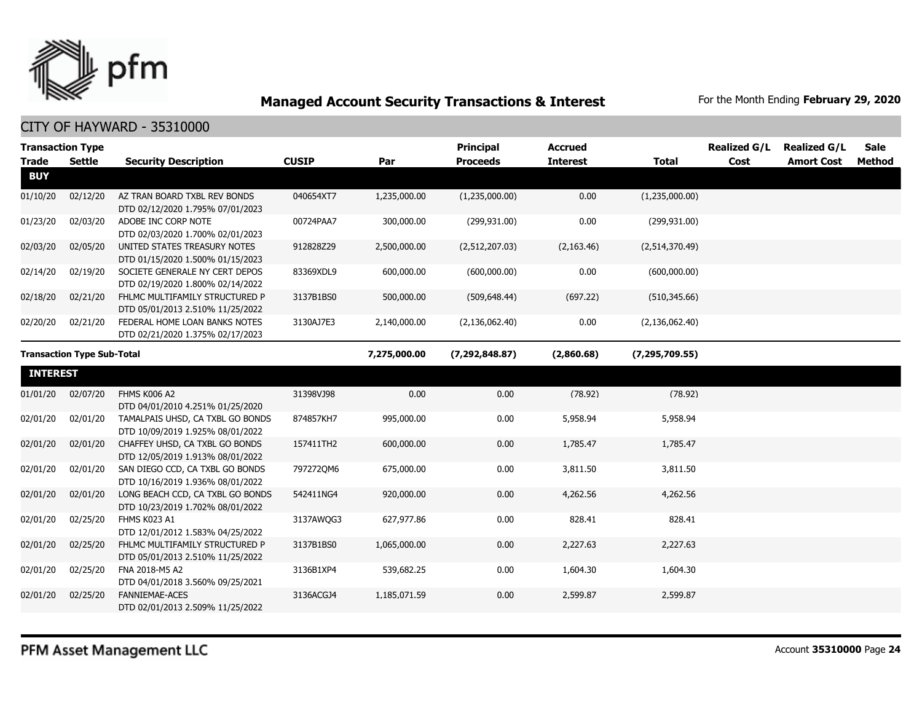

|                                   | <b>Transaction Type</b> |                                                                      | <b>CUSIP</b> |                  | Principal<br><b>Proceeds</b> | <b>Accrued</b>   |                  | <b>Realized G/L</b><br>Cost | <b>Realized G/L</b> | <b>Sale</b>   |
|-----------------------------------|-------------------------|----------------------------------------------------------------------|--------------|------------------|------------------------------|------------------|------------------|-----------------------------|---------------------|---------------|
| <b>Trade</b><br><b>BUY</b>        | <b>Settle</b>           | <b>Security Description</b>                                          |              | Par              |                              | <b>Interest</b>  | <b>Total</b>     |                             | <b>Amort Cost</b>   | <b>Method</b> |
| 01/10/20                          | 02/12/20                | AZ TRAN BOARD TXBL REV BONDS<br>DTD 02/12/2020 1.795% 07/01/2023     | 040654XT7    | 1,235,000.00     | (1,235,000.00)               | 0.00             | (1,235,000.00)   |                             |                     |               |
| 01/23/20                          | 02/03/20                | ADOBE INC CORP NOTE<br>DTD 02/03/2020 1.700% 02/01/2023              | 00724PAA7    | 300,000.00       | (299, 931.00)                | 0.00             | (299, 931.00)    |                             |                     |               |
| 02/03/20                          | 02/05/20                | UNITED STATES TREASURY NOTES<br>DTD 01/15/2020 1.500% 01/15/2023     | 912828Z29    | 2,500,000.00     | (2,512,207.03)               | (2, 163.46)      | (2,514,370.49)   |                             |                     |               |
| 02/14/20                          | 02/19/20                | SOCIETE GENERALE NY CERT DEPOS<br>DTD 02/19/2020 1.800% 02/14/2022   | 83369XDL9    | 600,000.00       | (600,000.00)                 | 0.00             | (600,000.00)     |                             |                     |               |
| 02/18/20                          | 02/21/20                | FHLMC MULTIFAMILY STRUCTURED P<br>DTD 05/01/2013 2.510% 11/25/2022   | 3137B1BS0    | 500,000.00       | (509, 648.44)                | (697.22)         | (510, 345.66)    |                             |                     |               |
| 02/20/20                          | 02/21/20                | FEDERAL HOME LOAN BANKS NOTES<br>DTD 02/21/2020 1.375% 02/17/2023    | 3130AJ7E3    | 2,140,000.00     | (2, 136, 062.40)             | 0.00             | (2, 136, 062.40) |                             |                     |               |
| <b>Transaction Type Sub-Total</b> |                         |                                                                      | 7,275,000.00 | (7, 292, 848.87) | (2,860.68)                   | (7, 295, 709.55) |                  |                             |                     |               |
| <b>INTEREST</b>                   |                         |                                                                      |              |                  |                              |                  |                  |                             |                     |               |
| 01/01/20                          | 02/07/20                | FHMS K006 A2<br>DTD 04/01/2010 4.251% 01/25/2020                     | 31398VJ98    | 0.00             | 0.00                         | (78.92)          | (78.92)          |                             |                     |               |
| 02/01/20                          | 02/01/20                | TAMALPAIS UHSD, CA TXBL GO BONDS<br>DTD 10/09/2019 1.925% 08/01/2022 | 874857KH7    | 995,000.00       | 0.00                         | 5,958.94         | 5,958.94         |                             |                     |               |
| 02/01/20                          | 02/01/20                | CHAFFEY UHSD, CA TXBL GO BONDS<br>DTD 12/05/2019 1.913% 08/01/2022   | 157411TH2    | 600,000.00       | 0.00                         | 1,785.47         | 1,785.47         |                             |                     |               |
| 02/01/20                          | 02/01/20                | SAN DIEGO CCD, CA TXBL GO BONDS<br>DTD 10/16/2019 1.936% 08/01/2022  | 797272QM6    | 675,000.00       | 0.00                         | 3,811.50         | 3,811.50         |                             |                     |               |
| 02/01/20                          | 02/01/20                | LONG BEACH CCD, CA TXBL GO BONDS<br>DTD 10/23/2019 1.702% 08/01/2022 | 542411NG4    | 920,000.00       | 0.00                         | 4,262.56         | 4,262.56         |                             |                     |               |
| 02/01/20                          | 02/25/20                | FHMS K023 A1<br>DTD 12/01/2012 1.583% 04/25/2022                     | 3137AWOG3    | 627,977.86       | 0.00                         | 828.41           | 828.41           |                             |                     |               |
| 02/01/20                          | 02/25/20                | FHLMC MULTIFAMILY STRUCTURED P<br>DTD 05/01/2013 2.510% 11/25/2022   | 3137B1BS0    | 1,065,000.00     | 0.00                         | 2,227.63         | 2,227.63         |                             |                     |               |
| 02/01/20                          | 02/25/20                | FNA 2018-M5 A2<br>DTD 04/01/2018 3.560% 09/25/2021                   | 3136B1XP4    | 539,682.25       | 0.00                         | 1,604.30         | 1,604.30         |                             |                     |               |
| 02/01/20                          | 02/25/20                | <b>FANNIEMAE-ACES</b><br>DTD 02/01/2013 2.509% 11/25/2022            | 3136ACGJ4    | 1,185,071.59     | 0.00                         | 2,599.87         | 2,599.87         |                             |                     |               |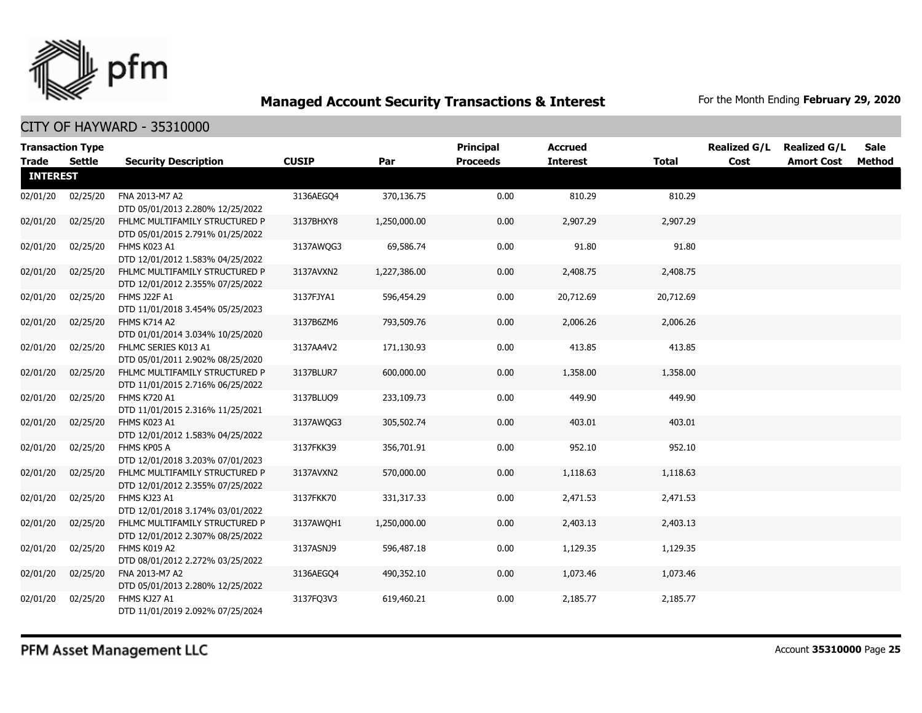

|                 | <b>Transaction Type</b> |                                                                    |              |              | Principal       | <b>Accrued</b>  |              | <b>Realized G/L</b> | <b>Realized G/L</b> | <b>Sale</b> |
|-----------------|-------------------------|--------------------------------------------------------------------|--------------|--------------|-----------------|-----------------|--------------|---------------------|---------------------|-------------|
| <b>Trade</b>    | Settle                  | <b>Security Description</b>                                        | <b>CUSIP</b> | Par          | <b>Proceeds</b> | <b>Interest</b> | <b>Total</b> | Cost                | <b>Amort Cost</b>   | Method      |
| <b>INTEREST</b> |                         |                                                                    |              |              |                 |                 |              |                     |                     |             |
| 02/01/20        | 02/25/20                | FNA 2013-M7 A2                                                     | 3136AEGO4    | 370,136.75   | 0.00            | 810.29          | 810.29       |                     |                     |             |
|                 |                         | DTD 05/01/2013 2.280% 12/25/2022                                   |              |              |                 |                 |              |                     |                     |             |
| 02/01/20        | 02/25/20                | FHLMC MULTIFAMILY STRUCTURED P<br>DTD 05/01/2015 2.791% 01/25/2022 | 3137BHXY8    | 1,250,000.00 | 0.00            | 2,907.29        | 2,907.29     |                     |                     |             |
| 02/01/20        | 02/25/20                | FHMS K023 A1                                                       | 3137AWOG3    | 69,586.74    | 0.00            | 91.80           | 91.80        |                     |                     |             |
|                 |                         | DTD 12/01/2012 1.583% 04/25/2022                                   |              |              |                 |                 |              |                     |                     |             |
| 02/01/20        | 02/25/20                | FHLMC MULTIFAMILY STRUCTURED P                                     | 3137AVXN2    | 1,227,386.00 | 0.00            | 2,408.75        | 2,408.75     |                     |                     |             |
|                 |                         | DTD 12/01/2012 2.355% 07/25/2022                                   |              |              |                 |                 |              |                     |                     |             |
| 02/01/20        | 02/25/20                | <b>FHMS J22F A1</b>                                                | 3137FJYA1    | 596,454.29   | 0.00            | 20,712.69       | 20,712.69    |                     |                     |             |
|                 |                         | DTD 11/01/2018 3.454% 05/25/2023                                   |              |              |                 |                 |              |                     |                     |             |
| 02/01/20        | 02/25/20                | FHMS K714 A2                                                       | 3137B6ZM6    | 793,509.76   | 0.00            | 2,006.26        | 2,006.26     |                     |                     |             |
|                 |                         | DTD 01/01/2014 3.034% 10/25/2020                                   |              |              |                 |                 |              |                     |                     |             |
| 02/01/20        | 02/25/20                | FHLMC SERIES K013 A1                                               | 3137AA4V2    | 171,130.93   | 0.00            | 413.85          | 413.85       |                     |                     |             |
| 02/01/20        | 02/25/20                | DTD 05/01/2011 2.902% 08/25/2020<br>FHLMC MULTIFAMILY STRUCTURED P | 3137BLUR7    | 600,000.00   | 0.00            | 1,358.00        | 1,358.00     |                     |                     |             |
|                 |                         | DTD 11/01/2015 2.716% 06/25/2022                                   |              |              |                 |                 |              |                     |                     |             |
| 02/01/20        | 02/25/20                | <b>FHMS K720 A1</b>                                                | 3137BLUQ9    | 233,109.73   | 0.00            | 449.90          | 449.90       |                     |                     |             |
|                 |                         | DTD 11/01/2015 2.316% 11/25/2021                                   |              |              |                 |                 |              |                     |                     |             |
| 02/01/20        | 02/25/20                | FHMS K023 A1                                                       | 3137AWQG3    | 305,502.74   | 0.00            | 403.01          | 403.01       |                     |                     |             |
|                 |                         | DTD 12/01/2012 1.583% 04/25/2022                                   |              |              |                 |                 |              |                     |                     |             |
| 02/01/20        | 02/25/20                | FHMS KP05 A                                                        | 3137FKK39    | 356,701.91   | 0.00            | 952.10          | 952.10       |                     |                     |             |
|                 |                         | DTD 12/01/2018 3.203% 07/01/2023                                   |              |              |                 |                 |              |                     |                     |             |
| 02/01/20        | 02/25/20                | FHLMC MULTIFAMILY STRUCTURED P                                     | 3137AVXN2    | 570,000.00   | 0.00            | 1,118.63        | 1,118.63     |                     |                     |             |
|                 |                         | DTD 12/01/2012 2.355% 07/25/2022                                   |              |              |                 |                 |              |                     |                     |             |
| 02/01/20        | 02/25/20                | FHMS KJ23 A1                                                       | 3137FKK70    | 331,317.33   | 0.00            | 2,471.53        | 2,471.53     |                     |                     |             |
|                 |                         | DTD 12/01/2018 3.174% 03/01/2022                                   |              |              |                 |                 |              |                     |                     |             |
| 02/01/20        | 02/25/20                | FHLMC MULTIFAMILY STRUCTURED P<br>DTD 12/01/2012 2.307% 08/25/2022 | 3137AWQH1    | 1,250,000.00 | 0.00            | 2,403.13        | 2,403.13     |                     |                     |             |
| 02/01/20        | 02/25/20                | FHMS K019 A2                                                       | 3137ASNJ9    | 596,487.18   | 0.00            | 1,129.35        | 1,129.35     |                     |                     |             |
|                 |                         | DTD 08/01/2012 2.272% 03/25/2022                                   |              |              |                 |                 |              |                     |                     |             |
| 02/01/20        | 02/25/20                | FNA 2013-M7 A2                                                     | 3136AEGQ4    | 490,352.10   | 0.00            | 1,073.46        | 1,073.46     |                     |                     |             |
|                 |                         | DTD 05/01/2013 2.280% 12/25/2022                                   |              |              |                 |                 |              |                     |                     |             |
| 02/01/20        | 02/25/20                | FHMS KJ27 A1                                                       | 3137FQ3V3    | 619,460.21   | 0.00            | 2,185.77        | 2,185.77     |                     |                     |             |
|                 |                         | DTD 11/01/2019 2.092% 07/25/2024                                   |              |              |                 |                 |              |                     |                     |             |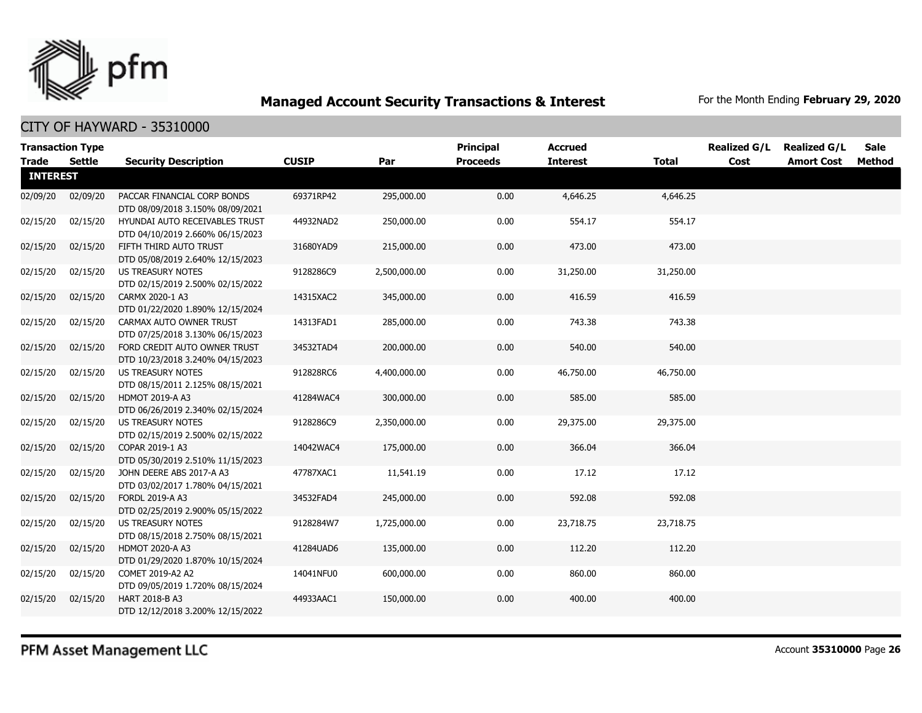

| <b>Transaction Type</b> |               |                                                                    |              |              | <b>Principal</b> | <b>Accrued</b>  |              | <b>Realized G/L</b> | <b>Realized G/L</b> | <b>Sale</b> |
|-------------------------|---------------|--------------------------------------------------------------------|--------------|--------------|------------------|-----------------|--------------|---------------------|---------------------|-------------|
| <b>Trade</b>            | <b>Settle</b> | <b>Security Description</b>                                        | <b>CUSIP</b> | Par          | <b>Proceeds</b>  | <b>Interest</b> | <b>Total</b> | Cost                | <b>Amort Cost</b>   | Method      |
| <b>INTEREST</b>         |               |                                                                    |              |              |                  |                 |              |                     |                     |             |
| 02/09/20                | 02/09/20      | PACCAR FINANCIAL CORP BONDS<br>DTD 08/09/2018 3.150% 08/09/2021    | 69371RP42    | 295,000.00   | 0.00             | 4,646.25        | 4,646.25     |                     |                     |             |
| 02/15/20                | 02/15/20      | HYUNDAI AUTO RECEIVABLES TRUST<br>DTD 04/10/2019 2.660% 06/15/2023 | 44932NAD2    | 250,000.00   | 0.00             | 554.17          | 554.17       |                     |                     |             |
| 02/15/20                | 02/15/20      | FIFTH THIRD AUTO TRUST<br>DTD 05/08/2019 2.640% 12/15/2023         | 31680YAD9    | 215,000.00   | 0.00             | 473.00          | 473.00       |                     |                     |             |
| 02/15/20                | 02/15/20      | US TREASURY NOTES<br>DTD 02/15/2019 2.500% 02/15/2022              | 9128286C9    | 2,500,000.00 | 0.00             | 31,250.00       | 31,250.00    |                     |                     |             |
| 02/15/20                | 02/15/20      | CARMX 2020-1 A3<br>DTD 01/22/2020 1.890% 12/15/2024                | 14315XAC2    | 345,000.00   | 0.00             | 416.59          | 416.59       |                     |                     |             |
| 02/15/20                | 02/15/20      | CARMAX AUTO OWNER TRUST<br>DTD 07/25/2018 3.130% 06/15/2023        | 14313FAD1    | 285,000.00   | 0.00             | 743.38          | 743.38       |                     |                     |             |
| 02/15/20                | 02/15/20      | FORD CREDIT AUTO OWNER TRUST<br>DTD 10/23/2018 3.240% 04/15/2023   | 34532TAD4    | 200,000.00   | 0.00             | 540.00          | 540.00       |                     |                     |             |
| 02/15/20                | 02/15/20      | <b>US TREASURY NOTES</b><br>DTD 08/15/2011 2.125% 08/15/2021       | 912828RC6    | 4,400,000.00 | 0.00             | 46,750.00       | 46,750.00    |                     |                     |             |
| 02/15/20                | 02/15/20      | <b>HDMOT 2019-A A3</b><br>DTD 06/26/2019 2.340% 02/15/2024         | 41284WAC4    | 300,000.00   | 0.00             | 585.00          | 585.00       |                     |                     |             |
| 02/15/20                | 02/15/20      | <b>US TREASURY NOTES</b><br>DTD 02/15/2019 2.500% 02/15/2022       | 9128286C9    | 2,350,000.00 | 0.00             | 29,375.00       | 29,375.00    |                     |                     |             |
| 02/15/20                | 02/15/20      | COPAR 2019-1 A3<br>DTD 05/30/2019 2.510% 11/15/2023                | 14042WAC4    | 175,000.00   | 0.00             | 366.04          | 366.04       |                     |                     |             |
| 02/15/20                | 02/15/20      | JOHN DEERE ABS 2017-A A3<br>DTD 03/02/2017 1.780% 04/15/2021       | 47787XAC1    | 11,541.19    | 0.00             | 17.12           | 17.12        |                     |                     |             |
| 02/15/20                | 02/15/20      | FORDL 2019-A A3<br>DTD 02/25/2019 2.900% 05/15/2022                | 34532FAD4    | 245,000.00   | 0.00             | 592.08          | 592.08       |                     |                     |             |
| 02/15/20                | 02/15/20      | <b>US TREASURY NOTES</b><br>DTD 08/15/2018 2.750% 08/15/2021       | 9128284W7    | 1,725,000.00 | 0.00             | 23,718.75       | 23,718.75    |                     |                     |             |
| 02/15/20                | 02/15/20      | <b>HDMOT 2020-A A3</b><br>DTD 01/29/2020 1.870% 10/15/2024         | 41284UAD6    | 135,000.00   | 0.00             | 112.20          | 112.20       |                     |                     |             |
| 02/15/20                | 02/15/20      | COMET 2019-A2 A2<br>DTD 09/05/2019 1.720% 08/15/2024               | 14041NFU0    | 600,000.00   | 0.00             | 860.00          | 860.00       |                     |                     |             |
| 02/15/20                | 02/15/20      | HART 2018-B A3<br>DTD 12/12/2018 3.200% 12/15/2022                 | 44933AAC1    | 150,000.00   | 0.00             | 400.00          | 400.00       |                     |                     |             |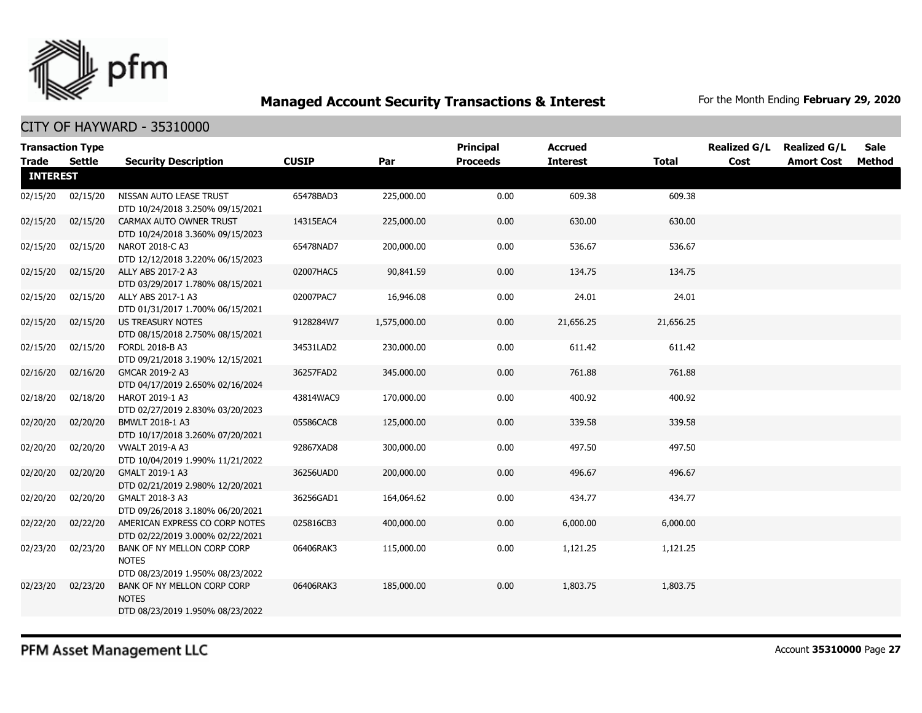

CITY OF HAYWARD - 35310000

| <b>Transaction Type</b><br><b>Trade</b> | <b>Settle</b> | <b>Security Description</b>                                                     | <b>CUSIP</b> | Par          | Principal<br><b>Proceeds</b> | <b>Accrued</b><br><b>Interest</b> | <b>Total</b> | <b>Realized G/L</b><br>Cost | <b>Realized G/L</b><br><b>Amort Cost</b> | <b>Sale</b><br>Method |
|-----------------------------------------|---------------|---------------------------------------------------------------------------------|--------------|--------------|------------------------------|-----------------------------------|--------------|-----------------------------|------------------------------------------|-----------------------|
| <b>INTEREST</b>                         |               |                                                                                 |              |              |                              |                                   |              |                             |                                          |                       |
| 02/15/20                                | 02/15/20      | NISSAN AUTO LEASE TRUST<br>DTD 10/24/2018 3.250% 09/15/2021                     | 65478BAD3    | 225,000.00   | 0.00                         | 609.38                            | 609.38       |                             |                                          |                       |
| 02/15/20                                | 02/15/20      | CARMAX AUTO OWNER TRUST<br>DTD 10/24/2018 3.360% 09/15/2023                     | 14315EAC4    | 225,000.00   | 0.00                         | 630.00                            | 630.00       |                             |                                          |                       |
| 02/15/20                                | 02/15/20      | NAROT 2018-C A3<br>DTD 12/12/2018 3.220% 06/15/2023                             | 65478NAD7    | 200,000.00   | 0.00                         | 536.67                            | 536.67       |                             |                                          |                       |
| 02/15/20                                | 02/15/20      | ALLY ABS 2017-2 A3<br>DTD 03/29/2017 1.780% 08/15/2021                          | 02007HAC5    | 90,841.59    | 0.00                         | 134.75                            | 134.75       |                             |                                          |                       |
| 02/15/20                                | 02/15/20      | ALLY ABS 2017-1 A3<br>DTD 01/31/2017 1.700% 06/15/2021                          | 02007PAC7    | 16,946.08    | 0.00                         | 24.01                             | 24.01        |                             |                                          |                       |
| 02/15/20                                | 02/15/20      | <b>US TREASURY NOTES</b><br>DTD 08/15/2018 2.750% 08/15/2021                    | 9128284W7    | 1,575,000.00 | 0.00                         | 21,656.25                         | 21,656.25    |                             |                                          |                       |
| 02/15/20                                | 02/15/20      | FORDL 2018-B A3<br>DTD 09/21/2018 3.190% 12/15/2021                             | 34531LAD2    | 230,000.00   | 0.00                         | 611.42                            | 611.42       |                             |                                          |                       |
| 02/16/20                                | 02/16/20      | GMCAR 2019-2 A3<br>DTD 04/17/2019 2.650% 02/16/2024                             | 36257FAD2    | 345,000.00   | 0.00                         | 761.88                            | 761.88       |                             |                                          |                       |
| 02/18/20                                | 02/18/20      | <b>HAROT 2019-1 A3</b><br>DTD 02/27/2019 2.830% 03/20/2023                      | 43814WAC9    | 170,000.00   | 0.00                         | 400.92                            | 400.92       |                             |                                          |                       |
| 02/20/20                                | 02/20/20      | BMWLT 2018-1 A3<br>DTD 10/17/2018 3.260% 07/20/2021                             | 05586CAC8    | 125,000.00   | 0.00                         | 339.58                            | 339.58       |                             |                                          |                       |
| 02/20/20                                | 02/20/20      | <b>VWALT 2019-A A3</b><br>DTD 10/04/2019 1.990% 11/21/2022                      | 92867XAD8    | 300,000.00   | 0.00                         | 497.50                            | 497.50       |                             |                                          |                       |
| 02/20/20                                | 02/20/20      | GMALT 2019-1 A3<br>DTD 02/21/2019 2.980% 12/20/2021                             | 36256UAD0    | 200,000.00   | 0.00                         | 496.67                            | 496.67       |                             |                                          |                       |
| 02/20/20                                | 02/20/20      | GMALT 2018-3 A3<br>DTD 09/26/2018 3.180% 06/20/2021                             | 36256GAD1    | 164,064.62   | 0.00                         | 434.77                            | 434.77       |                             |                                          |                       |
| 02/22/20                                | 02/22/20      | AMERICAN EXPRESS CO CORP NOTES<br>DTD 02/22/2019 3.000% 02/22/2021              | 025816CB3    | 400,000.00   | 0.00                         | 6,000.00                          | 6,000.00     |                             |                                          |                       |
| 02/23/20                                | 02/23/20      | BANK OF NY MELLON CORP CORP<br><b>NOTES</b><br>DTD 08/23/2019 1.950% 08/23/2022 | 06406RAK3    | 115,000.00   | 0.00                         | 1,121.25                          | 1,121.25     |                             |                                          |                       |
| 02/23/20                                | 02/23/20      | BANK OF NY MELLON CORP CORP<br><b>NOTES</b><br>DTD 08/23/2019 1.950% 08/23/2022 | 06406RAK3    | 185,000.00   | 0.00                         | 1,803.75                          | 1,803.75     |                             |                                          |                       |

PFM Asset Management LLC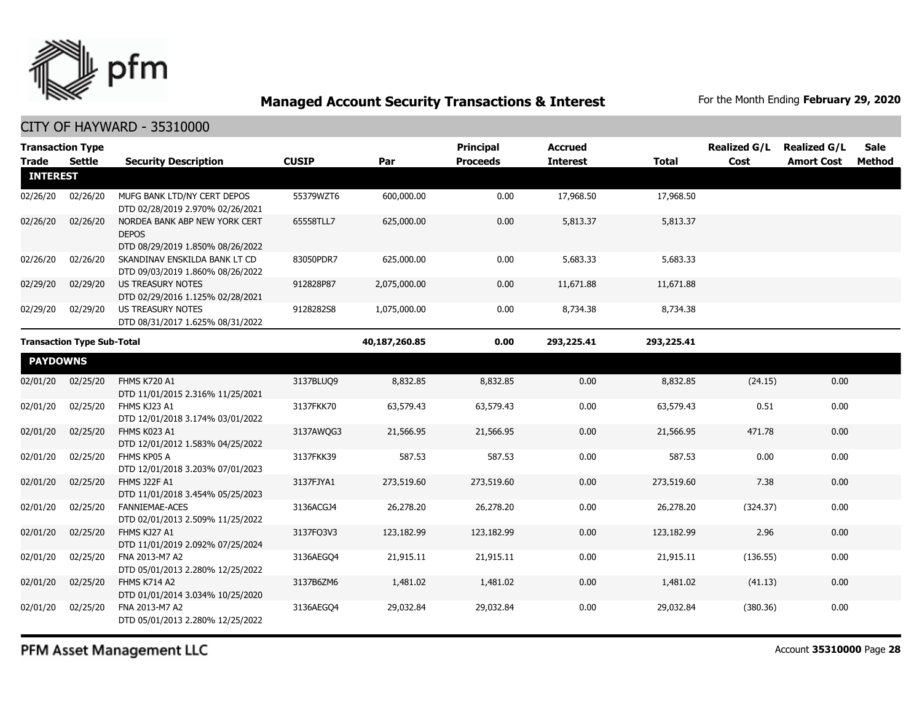

| <b>Transaction Type</b> |                                   |                                                                   |              |               | <b>Principal</b> | <b>Accrued</b>  |              | <b>Realized G/L</b> | <b>Realized G/L</b> | <b>Sale</b>   |
|-------------------------|-----------------------------------|-------------------------------------------------------------------|--------------|---------------|------------------|-----------------|--------------|---------------------|---------------------|---------------|
| <b>Trade</b>            | <b>Settle</b>                     | <b>Security Description</b>                                       | <b>CUSIP</b> | Par           | <b>Proceeds</b>  | <b>Interest</b> | <b>Total</b> | Cost                | <b>Amort Cost</b>   | <b>Method</b> |
| <b>INTEREST</b>         |                                   |                                                                   |              |               |                  |                 |              |                     |                     |               |
| 02/26/20                | 02/26/20                          | MUFG BANK LTD/NY CERT DEPOS                                       | 55379WZT6    | 600,000.00    | 0.00             | 17,968.50       | 17,968.50    |                     |                     |               |
|                         |                                   | DTD 02/28/2019 2.970% 02/26/2021                                  |              |               |                  |                 |              |                     |                     |               |
| 02/26/20                | 02/26/20                          | NORDEA BANK ABP NEW YORK CERT<br><b>DEPOS</b>                     | 65558TLL7    | 625,000.00    | 0.00             | 5,813.37        | 5,813.37     |                     |                     |               |
|                         |                                   | DTD 08/29/2019 1.850% 08/26/2022                                  |              |               |                  |                 |              |                     |                     |               |
| 02/26/20                | 02/26/20                          | SKANDINAV ENSKILDA BANK LT CD<br>DTD 09/03/2019 1.860% 08/26/2022 | 83050PDR7    | 625,000.00    | 0.00             | 5,683.33        | 5,683.33     |                     |                     |               |
| 02/29/20                | 02/29/20                          | US TREASURY NOTES                                                 | 912828P87    | 2,075,000.00  | 0.00             | 11,671.88       | 11,671.88    |                     |                     |               |
|                         |                                   | DTD 02/29/2016 1.125% 02/28/2021                                  |              |               |                  |                 |              |                     |                     |               |
| 02/29/20                | 02/29/20                          | <b>US TREASURY NOTES</b>                                          | 9128282S8    | 1,075,000.00  | 0.00             | 8,734.38        | 8,734.38     |                     |                     |               |
|                         |                                   | DTD 08/31/2017 1.625% 08/31/2022                                  |              |               |                  |                 |              |                     |                     |               |
|                         | <b>Transaction Type Sub-Total</b> |                                                                   |              | 40,187,260.85 | 0.00             | 293,225.41      | 293,225.41   |                     |                     |               |
| <b>PAYDOWNS</b>         |                                   |                                                                   |              |               |                  |                 |              |                     |                     |               |
| 02/01/20                | 02/25/20                          | <b>FHMS K720 A1</b>                                               | 3137BLUO9    | 8,832.85      | 8,832.85         | 0.00            | 8,832.85     | (24.15)             | 0.00                |               |
|                         |                                   | DTD 11/01/2015 2.316% 11/25/2021                                  |              |               |                  |                 |              |                     |                     |               |
| 02/01/20                | 02/25/20                          | FHMS KJ23 A1                                                      | 3137FKK70    | 63,579.43     | 63,579.43        | 0.00            | 63,579.43    | 0.51                | 0.00                |               |
|                         |                                   | DTD 12/01/2018 3.174% 03/01/2022                                  |              |               |                  |                 |              |                     |                     |               |
| 02/01/20                | 02/25/20                          | FHMS K023 A1                                                      | 3137AWQG3    | 21,566.95     | 21,566.95        | 0.00            | 21,566.95    | 471.78              | 0.00                |               |
|                         |                                   | DTD 12/01/2012 1.583% 04/25/2022                                  |              |               |                  |                 |              |                     |                     |               |
| 02/01/20                | 02/25/20                          | FHMS KP05 A                                                       | 3137FKK39    | 587.53        | 587.53           | 0.00            | 587.53       | 0.00                | 0.00                |               |
|                         |                                   | DTD 12/01/2018 3.203% 07/01/2023                                  |              |               |                  |                 |              |                     |                     |               |
| 02/01/20                | 02/25/20                          | FHMS J22F A1                                                      | 3137FJYA1    | 273,519.60    | 273,519.60       | 0.00            | 273,519.60   | 7.38                | 0.00                |               |
|                         |                                   | DTD 11/01/2018 3.454% 05/25/2023<br><b>FANNIEMAE-ACES</b>         |              |               |                  |                 |              |                     |                     |               |
| 02/01/20                | 02/25/20                          | DTD 02/01/2013 2.509% 11/25/2022                                  | 3136ACGJ4    | 26,278.20     | 26,278.20        | 0.00            | 26,278.20    | (324.37)            | 0.00                |               |
| 02/01/20                | 02/25/20                          | FHMS KJ27 A1                                                      | 3137FQ3V3    | 123,182.99    | 123,182.99       | 0.00            | 123,182.99   | 2.96                | 0.00                |               |
|                         |                                   | DTD 11/01/2019 2.092% 07/25/2024                                  |              |               |                  |                 |              |                     |                     |               |
| 02/01/20                | 02/25/20                          | FNA 2013-M7 A2                                                    | 3136AEGO4    | 21,915.11     | 21,915.11        | 0.00            | 21,915.11    | (136.55)            | 0.00                |               |
|                         |                                   | DTD 05/01/2013 2.280% 12/25/2022                                  |              |               |                  |                 |              |                     |                     |               |
| 02/01/20                | 02/25/20                          | FHMS K714 A2                                                      | 3137B6ZM6    | 1,481.02      | 1,481.02         | 0.00            | 1,481.02     | (41.13)             | 0.00                |               |
|                         |                                   | DTD 01/01/2014 3.034% 10/25/2020                                  |              |               |                  |                 |              |                     |                     |               |
| 02/01/20                | 02/25/20                          | FNA 2013-M7 A2                                                    | 3136AEGO4    | 29,032.84     | 29,032.84        | 0.00            | 29,032.84    | (380.36)            | 0.00                |               |
|                         |                                   | DTD 05/01/2013 2.280% 12/25/2022                                  |              |               |                  |                 |              |                     |                     |               |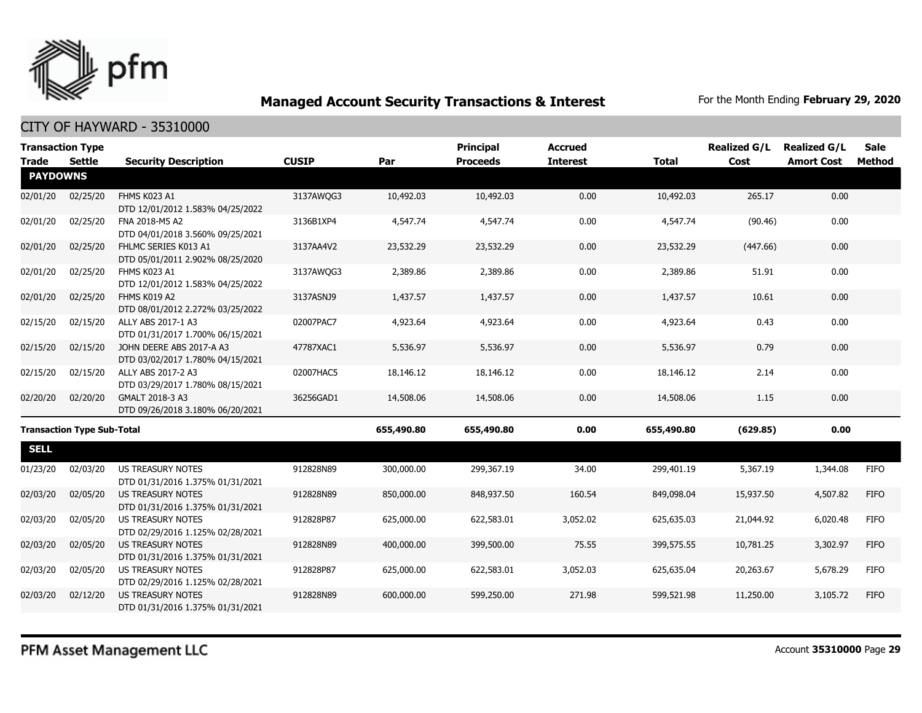

|                 | <b>Transaction Type</b>           |                                                              |              |            | <b>Principal</b> | <b>Accrued</b>  |              | <b>Realized G/L</b> | <b>Realized G/L</b> | <b>Sale</b> |
|-----------------|-----------------------------------|--------------------------------------------------------------|--------------|------------|------------------|-----------------|--------------|---------------------|---------------------|-------------|
| <b>Trade</b>    | <b>Settle</b>                     | <b>Security Description</b>                                  | <b>CUSIP</b> | Par        | <b>Proceeds</b>  | <b>Interest</b> | <b>Total</b> | Cost                | <b>Amort Cost</b>   | Method      |
| <b>PAYDOWNS</b> |                                   |                                                              |              |            |                  |                 |              |                     |                     |             |
| 02/01/20        | 02/25/20                          | FHMS K023 A1<br>DTD 12/01/2012 1.583% 04/25/2022             | 3137AWQG3    | 10,492.03  | 10,492.03        | 0.00            | 10,492.03    | 265.17              | 0.00                |             |
| 02/01/20        | 02/25/20                          | FNA 2018-M5 A2<br>DTD 04/01/2018 3.560% 09/25/2021           | 3136B1XP4    | 4,547.74   | 4,547.74         | 0.00            | 4,547.74     | (90.46)             | 0.00                |             |
| 02/01/20        | 02/25/20                          | FHLMC SERIES K013 A1<br>DTD 05/01/2011 2.902% 08/25/2020     | 3137AA4V2    | 23,532.29  | 23,532.29        | 0.00            | 23,532.29    | (447.66)            | 0.00                |             |
| 02/01/20        | 02/25/20                          | FHMS K023 A1<br>DTD 12/01/2012 1.583% 04/25/2022             | 3137AWQG3    | 2,389.86   | 2,389.86         | 0.00            | 2,389.86     | 51.91               | 0.00                |             |
| 02/01/20        | 02/25/20                          | FHMS K019 A2<br>DTD 08/01/2012 2.272% 03/25/2022             | 3137ASNJ9    | 1,437.57   | 1,437.57         | 0.00            | 1,437.57     | 10.61               | 0.00                |             |
| 02/15/20        | 02/15/20                          | ALLY ABS 2017-1 A3<br>DTD 01/31/2017 1.700% 06/15/2021       | 02007PAC7    | 4,923.64   | 4,923.64         | 0.00            | 4,923.64     | 0.43                | 0.00                |             |
| 02/15/20        | 02/15/20                          | JOHN DEERE ABS 2017-A A3<br>DTD 03/02/2017 1.780% 04/15/2021 | 47787XAC1    | 5,536.97   | 5,536.97         | 0.00            | 5,536.97     | 0.79                | 0.00                |             |
| 02/15/20        | 02/15/20                          | ALLY ABS 2017-2 A3<br>DTD 03/29/2017 1.780% 08/15/2021       | 02007HAC5    | 18,146.12  | 18,146.12        | 0.00            | 18,146.12    | 2.14                | 0.00                |             |
| 02/20/20        | 02/20/20                          | GMALT 2018-3 A3<br>DTD 09/26/2018 3.180% 06/20/2021          | 36256GAD1    | 14,508.06  | 14,508.06        | 0.00            | 14,508.06    | 1.15                | 0.00                |             |
|                 | <b>Transaction Type Sub-Total</b> |                                                              |              | 655,490.80 | 655,490.80       | 0.00            | 655,490.80   | (629.85)            | 0.00                |             |
| <b>SELL</b>     |                                   |                                                              |              |            |                  |                 |              |                     |                     |             |
| 01/23/20        | 02/03/20                          | <b>US TREASURY NOTES</b><br>DTD 01/31/2016 1.375% 01/31/2021 | 912828N89    | 300,000.00 | 299,367.19       | 34.00           | 299,401.19   | 5,367.19            | 1,344.08            | <b>FIFO</b> |
| 02/03/20        | 02/05/20                          | <b>US TREASURY NOTES</b><br>DTD 01/31/2016 1.375% 01/31/2021 | 912828N89    | 850,000.00 | 848,937.50       | 160.54          | 849,098.04   | 15,937.50           | 4,507.82            | <b>FIFO</b> |
| 02/03/20        | 02/05/20                          | <b>US TREASURY NOTES</b><br>DTD 02/29/2016 1.125% 02/28/2021 | 912828P87    | 625,000.00 | 622,583.01       | 3,052.02        | 625,635.03   | 21,044.92           | 6,020.48            | <b>FIFO</b> |
| 02/03/20        | 02/05/20                          | US TREASURY NOTES<br>DTD 01/31/2016 1.375% 01/31/2021        | 912828N89    | 400,000.00 | 399,500.00       | 75.55           | 399,575.55   | 10,781.25           | 3,302.97            | <b>FIFO</b> |
| 02/03/20        | 02/05/20                          | <b>US TREASURY NOTES</b><br>DTD 02/29/2016 1.125% 02/28/2021 | 912828P87    | 625,000.00 | 622,583.01       | 3,052.03        | 625,635.04   | 20,263.67           | 5,678.29            | <b>FIFO</b> |
| 02/03/20        | 02/12/20                          | US TREASURY NOTES<br>DTD 01/31/2016 1.375% 01/31/2021        | 912828N89    | 600,000.00 | 599,250.00       | 271.98          | 599,521.98   | 11,250.00           | 3,105.72            | <b>FIFO</b> |